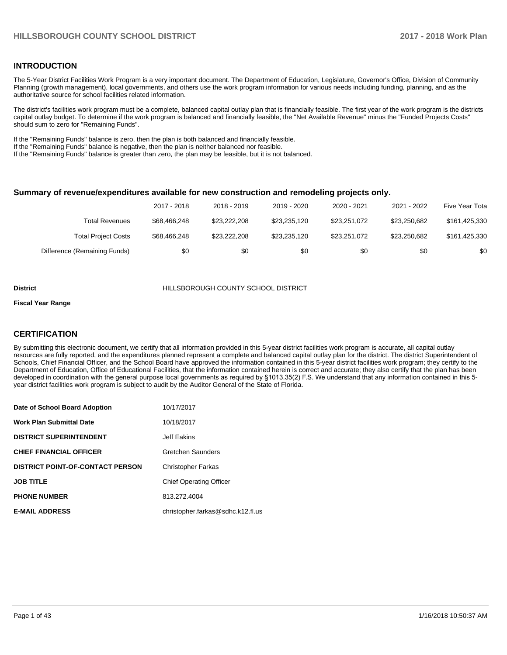#### **INTRODUCTION**

The 5-Year District Facilities Work Program is a very important document. The Department of Education, Legislature, Governor's Office, Division of Community Planning (growth management), local governments, and others use the work program information for various needs including funding, planning, and as the authoritative source for school facilities related information.

The district's facilities work program must be a complete, balanced capital outlay plan that is financially feasible. The first year of the work program is the districts capital outlay budget. To determine if the work program is balanced and financially feasible, the "Net Available Revenue" minus the "Funded Projects Costs" should sum to zero for "Remaining Funds".

If the "Remaining Funds" balance is zero, then the plan is both balanced and financially feasible.

If the "Remaining Funds" balance is negative, then the plan is neither balanced nor feasible.

If the "Remaining Funds" balance is greater than zero, the plan may be feasible, but it is not balanced.

#### **Summary of revenue/expenditures available for new construction and remodeling projects only.**

|                              | 2017 - 2018  | 2018 - 2019  | 2019 - 2020  | 2020 - 2021  | 2021 - 2022  | Five Year Tota |
|------------------------------|--------------|--------------|--------------|--------------|--------------|----------------|
| Total Revenues               | \$68,466,248 | \$23,222,208 | \$23,235,120 | \$23,251,072 | \$23.250.682 | \$161,425,330  |
| <b>Total Project Costs</b>   | \$68,466,248 | \$23,222,208 | \$23.235.120 | \$23,251,072 | \$23.250.682 | \$161,425,330  |
| Difference (Remaining Funds) | \$0          | \$0          | \$0          | \$0          | \$0          | \$0            |

#### **District** HILLSBOROUGH COUNTY SCHOOL DISTRICT

#### **Fiscal Year Range**

#### **CERTIFICATION**

By submitting this electronic document, we certify that all information provided in this 5-year district facilities work program is accurate, all capital outlay resources are fully reported, and the expenditures planned represent a complete and balanced capital outlay plan for the district. The district Superintendent of Schools, Chief Financial Officer, and the School Board have approved the information contained in this 5-year district facilities work program; they certify to the Department of Education, Office of Educational Facilities, that the information contained herein is correct and accurate; they also certify that the plan has been developed in coordination with the general purpose local governments as required by §1013.35(2) F.S. We understand that any information contained in this 5year district facilities work program is subject to audit by the Auditor General of the State of Florida.

| Date of School Board Adoption           | 10/17/2017                        |
|-----------------------------------------|-----------------------------------|
| <b>Work Plan Submittal Date</b>         | 10/18/2017                        |
| <b>DISTRICT SUPERINTENDENT</b>          | Jeff Eakins                       |
| <b>CHIEF FINANCIAL OFFICER</b>          | Gretchen Saunders                 |
| <b>DISTRICT POINT-OF-CONTACT PERSON</b> | <b>Christopher Farkas</b>         |
| <b>JOB TITLE</b>                        | <b>Chief Operating Officer</b>    |
| <b>PHONE NUMBER</b>                     | 813.272.4004                      |
| <b>E-MAIL ADDRESS</b>                   | christopher.farkas@sdhc.k12.fl.us |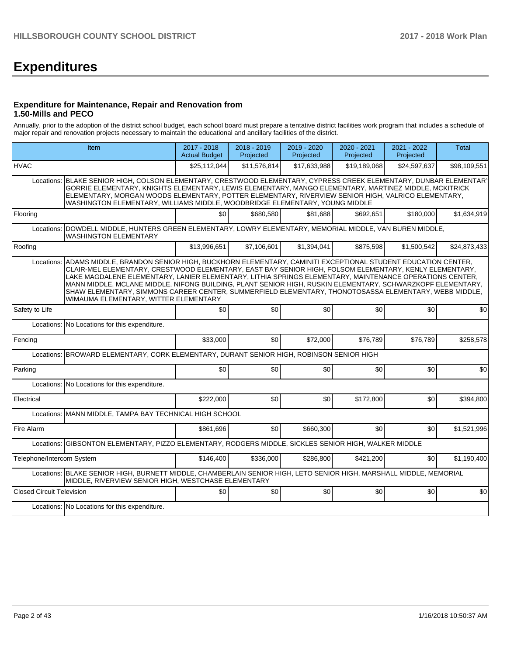# **Expenditures**

#### **Expenditure for Maintenance, Repair and Renovation from 1.50-Mills and PECO**

Annually, prior to the adoption of the district school budget, each school board must prepare a tentative district facilities work program that includes a schedule of major repair and renovation projects necessary to maintain the educational and ancillary facilities of the district.

|                                  | Item                                                                                                                                                                                                                                                                                                                                                                                                                                                                                                                                                                                        |                  | 2018 - 2019<br>Projected | 2019 - 2020<br>Projected | $2020 - 2021$<br>Projected | 2021 - 2022<br>Projected | <b>Total</b> |
|----------------------------------|---------------------------------------------------------------------------------------------------------------------------------------------------------------------------------------------------------------------------------------------------------------------------------------------------------------------------------------------------------------------------------------------------------------------------------------------------------------------------------------------------------------------------------------------------------------------------------------------|------------------|--------------------------|--------------------------|----------------------------|--------------------------|--------------|
| <b>HVAC</b>                      |                                                                                                                                                                                                                                                                                                                                                                                                                                                                                                                                                                                             | \$25,112,044     | \$11,576,814             | \$17,633,988             | \$19,189,068               | \$24,597,637             | \$98,109,551 |
| Locations:                       | BLAKE SENIOR HIGH, COLSON ELEMENTARY, CRESTWOOD ELEMENTARY, CYPRESS CREEK ELEMENTARY, DUNBAR ELEMENTARY<br>GORRIE ELEMENTARY, KNIGHTS ELEMENTARY, LEWIS ELEMENTARY, MANGO ELEMENTARY, MARTINEZ MIDDLE, MCKITRICK<br>ELEMENTARY, MORGAN WOODS ELEMENTARY, POTTER ELEMENTARY, RIVERVIEW SENIOR HIGH, VALRICO ELEMENTARY,<br>WASHINGTON ELEMENTARY, WILLIAMS MIDDLE, WOODBRIDGE ELEMENTARY, YOUNG MIDDLE                                                                                                                                                                                       |                  |                          |                          |                            |                          |              |
| Flooring                         |                                                                                                                                                                                                                                                                                                                                                                                                                                                                                                                                                                                             | \$0 <sub>1</sub> | \$680.580                | \$81.688                 | \$692.651                  | \$180,000                | \$1,634,919  |
| Locations:                       | DOWDELL MIDDLE, HUNTERS GREEN ELEMENTARY, LOWRY ELEMENTARY, MEMORIAL MIDDLE, VAN BUREN MIDDLE,<br><b>WASHINGTON ELEMENTARY</b>                                                                                                                                                                                                                                                                                                                                                                                                                                                              |                  |                          |                          |                            |                          |              |
| Roofing                          |                                                                                                                                                                                                                                                                                                                                                                                                                                                                                                                                                                                             | \$13,996,651     | \$7,106,601              | \$1,394,041              | \$875,598                  | \$1,500,542              | \$24,873,433 |
| Locations:                       | ADAMS MIDDLE, BRANDON SENIOR HIGH, BUCKHORN ELEMENTARY, CAMINITI EXCEPTIONAL STUDENT EDUCATION CENTER,<br>CLAIR-MEL ELEMENTARY, CRESTWOOD ELEMENTARY, EAST BAY SENIOR HIGH, FOLSOM ELEMENTARY, KENLY ELEMENTARY,<br>LAKE MAGDALENE ELEMENTARY, LANIER ELEMENTARY, LITHIA SPRINGS ELEMENTARY, MAINTENANCE OPERATIONS CENTER,<br>MANN MIDDLE, MCLANE MIDDLE, NIFONG BUILDING, PLANT SENIOR HIGH, RUSKIN ELEMENTARY, SCHWARZKOPF ELEMENTARY,<br>SHAW ELEMENTARY, SIMMONS CAREER CENTER, SUMMERFIELD ELEMENTARY, THONOTOSASSA ELEMENTARY, WEBB MIDDLE,<br>WIMAUMA ELEMENTARY, WITTER ELEMENTARY |                  |                          |                          |                            |                          |              |
| Safety to Life                   |                                                                                                                                                                                                                                                                                                                                                                                                                                                                                                                                                                                             | \$0              | \$0                      | \$0                      | \$0                        | \$0                      | \$0          |
| Locations:                       | No Locations for this expenditure.                                                                                                                                                                                                                                                                                                                                                                                                                                                                                                                                                          |                  |                          |                          |                            |                          |              |
| Fencing                          |                                                                                                                                                                                                                                                                                                                                                                                                                                                                                                                                                                                             | \$33,000         | \$0                      | \$72,000                 | \$76,789                   | \$76,789                 | \$258,578    |
|                                  | Locations: BROWARD ELEMENTARY, CORK ELEMENTARY, DURANT SENIOR HIGH, ROBINSON SENIOR HIGH                                                                                                                                                                                                                                                                                                                                                                                                                                                                                                    |                  |                          |                          |                            |                          |              |
| Parking                          |                                                                                                                                                                                                                                                                                                                                                                                                                                                                                                                                                                                             | \$0              | \$0                      | \$0                      | \$0                        | \$0                      | \$0          |
| Locations:                       | No Locations for this expenditure.                                                                                                                                                                                                                                                                                                                                                                                                                                                                                                                                                          |                  |                          |                          |                            |                          |              |
| Electrical                       |                                                                                                                                                                                                                                                                                                                                                                                                                                                                                                                                                                                             | \$222,000        | \$0                      | \$0                      | \$172,800                  | \$0                      | \$394,800    |
| Locations:                       | MANN MIDDLE, TAMPA BAY TECHNICAL HIGH SCHOOL                                                                                                                                                                                                                                                                                                                                                                                                                                                                                                                                                |                  |                          |                          |                            |                          |              |
| Fire Alarm                       |                                                                                                                                                                                                                                                                                                                                                                                                                                                                                                                                                                                             | \$861.696        | \$0 <sub>1</sub>         | \$660,300                | \$0                        | \$0                      | \$1,521,996  |
| Locations:                       | GIBSONTON ELEMENTARY, PIZZO ELEMENTARY, RODGERS MIDDLE, SICKLES SENIOR HIGH, WALKER MIDDLE                                                                                                                                                                                                                                                                                                                                                                                                                                                                                                  |                  |                          |                          |                            |                          |              |
| Telephone/Intercom System        |                                                                                                                                                                                                                                                                                                                                                                                                                                                                                                                                                                                             | \$146.400        | \$336,000                | \$286,800                | \$421,200                  | \$0                      | \$1,190,400  |
|                                  | Locations: BLAKE SENIOR HIGH, BURNETT MIDDLE, CHAMBERLAIN SENIOR HIGH, LETO SENIOR HIGH, MARSHALL MIDDLE, MEMORIAL<br>MIDDLE, RIVERVIEW SENIOR HIGH, WESTCHASE ELEMENTARY                                                                                                                                                                                                                                                                                                                                                                                                                   |                  |                          |                          |                            |                          |              |
| <b>Closed Circuit Television</b> |                                                                                                                                                                                                                                                                                                                                                                                                                                                                                                                                                                                             | \$0              | \$0                      | \$0                      | \$0                        | \$0                      | \$0          |
|                                  | Locations: No Locations for this expenditure.                                                                                                                                                                                                                                                                                                                                                                                                                                                                                                                                               |                  |                          |                          |                            |                          |              |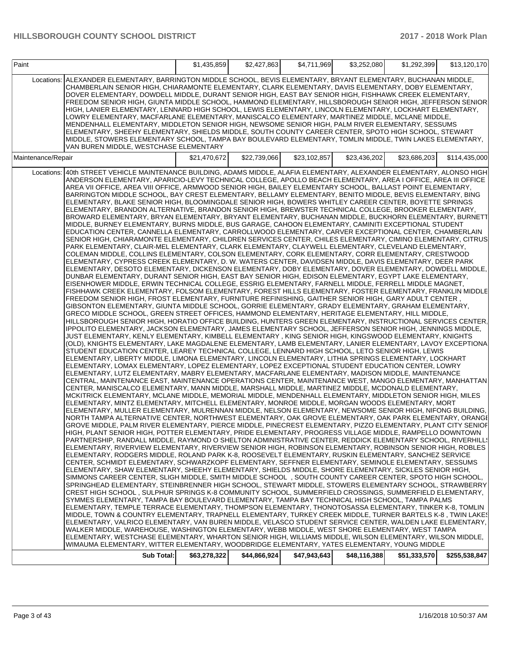| Paint              |                                                                                                                                                                                                                                                                                                                                                                                                                                                                                                                                                                                                                                                                                                                                                                                                                                                                                                                                                                                                                                                                                                                                                                                                                                                                                                                                                                                                                                                                                                                                                                                                                                                                                                                                                                                                                                                                                                                                                                                                                                                                                                                                                                                                                                                                                                                                                                                                                                                                                                                                                                                                                                                                                                                                                                                                                                                                                                                                                                                                                                                                                                                                                                                                                                                                                                                                                                                                                                                                                                                                                                                                                                                                                                                                                                                                                                                                                                                                                                                                                                                                                                                                                                                                                                                                                                                                                                                                                                                                                                                                                                                                                                                                                                                                                                                                                                                                                                                                                                                                                                                                                                                                                                                                                                                                                                                                                                                                                                                                                                                                                                                                                                               | \$1,435,859  | \$2,427,863  | \$4,711,969  | \$3,252,080  | \$1,292,399  | \$13,120,170  |
|--------------------|-----------------------------------------------------------------------------------------------------------------------------------------------------------------------------------------------------------------------------------------------------------------------------------------------------------------------------------------------------------------------------------------------------------------------------------------------------------------------------------------------------------------------------------------------------------------------------------------------------------------------------------------------------------------------------------------------------------------------------------------------------------------------------------------------------------------------------------------------------------------------------------------------------------------------------------------------------------------------------------------------------------------------------------------------------------------------------------------------------------------------------------------------------------------------------------------------------------------------------------------------------------------------------------------------------------------------------------------------------------------------------------------------------------------------------------------------------------------------------------------------------------------------------------------------------------------------------------------------------------------------------------------------------------------------------------------------------------------------------------------------------------------------------------------------------------------------------------------------------------------------------------------------------------------------------------------------------------------------------------------------------------------------------------------------------------------------------------------------------------------------------------------------------------------------------------------------------------------------------------------------------------------------------------------------------------------------------------------------------------------------------------------------------------------------------------------------------------------------------------------------------------------------------------------------------------------------------------------------------------------------------------------------------------------------------------------------------------------------------------------------------------------------------------------------------------------------------------------------------------------------------------------------------------------------------------------------------------------------------------------------------------------------------------------------------------------------------------------------------------------------------------------------------------------------------------------------------------------------------------------------------------------------------------------------------------------------------------------------------------------------------------------------------------------------------------------------------------------------------------------------------------------------------------------------------------------------------------------------------------------------------------------------------------------------------------------------------------------------------------------------------------------------------------------------------------------------------------------------------------------------------------------------------------------------------------------------------------------------------------------------------------------------------------------------------------------------------------------------------------------------------------------------------------------------------------------------------------------------------------------------------------------------------------------------------------------------------------------------------------------------------------------------------------------------------------------------------------------------------------------------------------------------------------------------------------------------------------------------------------------------------------------------------------------------------------------------------------------------------------------------------------------------------------------------------------------------------------------------------------------------------------------------------------------------------------------------------------------------------------------------------------------------------------------------------------------------------------------------------------------------------------------------------------------------------------------------------------------------------------------------------------------------------------------------------------------------------------------------------------------------------------------------------------------------------------------------------------------------------------------------------------------------------------------------------------------------------------------------------------------------------------------------|--------------|--------------|--------------|--------------|--------------|---------------|
|                    | Locations: ALEXANDER ELEMENTARY, BARRINGTON MIDDLE SCHOOL, BEVIS ELEMENTARY, BRYANT ELEMENTARY, BUCHANAN MIDDLE,<br>CHAMBERLAIN SENIOR HIGH, CHIARAMONTE ELEMENTARY, CLARK ELEMENTARY, DAVIS ELEMENTARY, DOBY ELEMENTARY,<br>DOVER ELEMENTARY, DOWDELL MIDDLE, DURANT SENIOR HIGH, EAST BAY SENIOR HIGH, FISHHAWK CREEK ELEMENTARY,<br>FREEDOM SENIOR HIGH, GIUNTA MIDDLE SCHOOL, HAMMOND ELEMENTARY, HILLSBOROUGH SENIOR HIGH, JEFFERSON SENIOR<br>HIGH, LANIER ELEMENTARY, LENNARD HIGH SCHOOL, LEWIS ELEMENTARY, LINCOLN ELEMENTARY, LOCKHART ELEMENTARY,<br>LOWRY ELEMENTARY, MACFARLANE ELEMENTARY, MANISCALCO ELEMENTARY, MARTINEZ MIDDLE, MCLANE MIDDLE,<br>MENDENHALL ELEMENTARY, MIDDLETON SENIOR HIGH, NEWSOME SENIOR HIGH, PALM RIVER ELEMENTARY, SESSUMS<br>ELEMENTARY, SHEEHY ELEMENTARY, SHIELDS MIDDLE, SOUTH COUNTY CAREER CENTER, SPOTO HIGH SCHOOL, STEWART<br>MIDDLE, STOWERS ELEMENTARY SCHOOL, TAMPA BAY BOULEVARD ELEMENTARY, TOMLIN MIDDLE, TWIN LAKES ELEMENTARY,<br>VAN BUREN MIDDLE, WESTCHASE ELEMENTARY                                                                                                                                                                                                                                                                                                                                                                                                                                                                                                                                                                                                                                                                                                                                                                                                                                                                                                                                                                                                                                                                                                                                                                                                                                                                                                                                                                                                                                                                                                                                                                                                                                                                                                                                                                                                                                                                                                                                                                                                                                                                                                                                                                                                                                                                                                                                                                                                                                                                                                                                                                                                                                                                                                                                                                                                                                                                                                                                                                                                                                                                                                                                                                                                                                                                                                                                                                                                                                                                                                                                                                                                                                                                                                                                                                                                                                                                                                                                                                                                                                                                                                                                                                                                                                                                                                                                                                                                                                                                                                                                                                                                           |              |              |              |              |              |               |
| Maintenance/Repair |                                                                                                                                                                                                                                                                                                                                                                                                                                                                                                                                                                                                                                                                                                                                                                                                                                                                                                                                                                                                                                                                                                                                                                                                                                                                                                                                                                                                                                                                                                                                                                                                                                                                                                                                                                                                                                                                                                                                                                                                                                                                                                                                                                                                                                                                                                                                                                                                                                                                                                                                                                                                                                                                                                                                                                                                                                                                                                                                                                                                                                                                                                                                                                                                                                                                                                                                                                                                                                                                                                                                                                                                                                                                                                                                                                                                                                                                                                                                                                                                                                                                                                                                                                                                                                                                                                                                                                                                                                                                                                                                                                                                                                                                                                                                                                                                                                                                                                                                                                                                                                                                                                                                                                                                                                                                                                                                                                                                                                                                                                                                                                                                                                               | \$21.470.672 | \$22,739,066 | \$23,102,857 | \$23,436,202 | \$23.686.203 | \$114,435,000 |
|                    | Locations: 40th STREET VEHICLE MAINTENANCE BUILDING, ADAMS MIDDLE, ALAFIA ELEMENTARY, ALEXANDER ELEMENTARY, ALONSO HIGH<br>ANDERSON ELEMENTARY, APARICIO-LEVY TECHNICAL COLLEGE, APOLLO BEACH ELEMENTARY, AREA I OFFICE, AREA III OFFICE<br>AREA VII OFFICE, AREA VIII OFFICE, ARMWOOD SENIOR HIGH, BAILEY ELEMENTARY SCHOOL, BALLAST POINT ELEMENTARY,<br>BARRINGTON MIDDLE SCHOOL, BAY CREST ELEMENTARY, BELLAMY ELEMENTARY, BENITO MIDDLE, BEVIS ELEMENTARY, BING<br>ELEMENTARY, BLAKE SENIOR HIGH, BLOOMINGDALE SENIOR HIGH, BOWERS WHITLEY CAREER CENTER, BOYETTE SPRINGS<br>ELEMENTARY, BRANDON ALTERNATIVE, BRANDON SENIOR HIGH, BREWSTER TECHNICAL COLLEGE, BROOKER ELEMENTARY,<br>BROWARD ELEMENTARY, BRYAN ELEMENTARY, BRYANT ELEMENTARY, BUCHANAN MIDDLE, BUCKHORN ELEMENTARY, BURNETT<br>MIDDLE, BURNEY ELEMENTARY, BURNS MIDDLE, BUS GARAGE, CAHOON ELEMENTARY, CAMINITI EXCEPTIONAL STUDENT<br>EDUCATION CENTER, CANNELLA ELEMENTARY, CARROLLWOOD ELEMENTARY, CARVER EXCEPTIONAL CENTER, CHAMBERLAIN<br>SENIOR HIGH, CHIARAMONTE ELEMENTARY, CHILDREN SERVICES CENTER, CHILES ELEMENTARY, CIMINO ELEMENTARY, CITRUS<br>PARK ELEMENTARY, CLAIR-MEL ELEMENTARY, CLARK ELEMENTARY, CLAYWELL ELEMENTARY, CLEVELAND ELEMENTARY,<br>COLEMAN MIDDLE, COLLINS ELEMENTARY, COLSON ELEMENTARY, CORK ELEMENTARY, CORR ELEMENTARY, CRESTWOOD<br>ELEMENTARY, CYPRESS CREEK ELEMENTARY, D. W. WATERS CENTER, DAVIDSEN MIDDLE, DAVIS ELEMENTARY, DEER PARK<br>ELEMENTARY, DESOTO ELEMENTARY, DICKENSON ELEMENTARY, DOBY ELEMENTARY, DOVER ELEMENTARY, DOWDELL MIDDLE,<br>DUNBAR ELEMENTARY, DURANT SENIOR HIGH, EAST BAY SENIOR HIGH, EDISON ELEMENTARY, EGYPT LAKE ELEMENTARY,<br>EISENHOWER MIDDLE, ERWIN TECHNICAL COLLEGE, ESSRIG ELEMENTARY, FARNELL MIDDLE, FERRELL MIDDLE MAGNET,<br>FISHHAWK CREEK ELEMENTARY, FOLSOM ELEMENTARY, FOREST HILLS ELEMENTARY, FOSTER ELEMENTARY, FRANKLIN MIDDLE<br>FREEDOM SENIOR HIGH, FROST ELEMENTARY, FURNITURE REFINISHING, GAITHER SENIOR HIGH, GARY ADULT CENTER,<br>GIBSONTON ELEMENTARY, GIUNTA MIDDLE SCHOOL, GORRIE ELEMENTARY, GRADY ELEMENTARY, GRAHAM ELEMENTARY,<br>GRECO MIDDLE SCHOOL, GREEN STREET OFFICES, HAMMOND ELEMENTARY, HERITAGE ELEMENTARY, HILL MIDDLE,<br>HILLSBOROUGH SENIOR HIGH, HORATIO OFFICE BUILDING, HUNTERS GREEN ELEMENTARY, INSTRUCTIONAL SERVICES CENTER,<br>IPPOLITO ELEMENTARY, JACKSON ELEMENTARY, JAMES ELEMENTARY SCHOOL, JEFFERSON SENIOR HIGH, JENNINGS MIDDLE,<br>JUST ELEMENTARY, KENLY ELEMENTARY, KIMBELL ELEMENTARY, KING SENIOR HIGH, KINGSWOOD ELEMENTARY, KNIGHTS<br>(OLD), KNIGHTS ELEMENTARY, LAKE MAGDALENE ELEMENTARY, LAMB ELEMENTARY, LANIER ELEMENTARY, LAVOY EXCEPTIONA<br>STUDENT EDUCATION CENTER, LEAREY TECHNICAL COLLEGE, LENNARD HIGH SCHOOL, LETO SENIOR HIGH, LEWIS<br>ELEMENTARY, LIBERTY MIDDLE, LIMONA ELEMENTARY, LINCOLN ELEMENTARY, LITHIA SPRINGS ELEMENTARY, LOCKHART<br>ELEMENTARY, LOMAX ELEMENTARY, LOPEZ ELEMENTARY, LOPEZ EXCEPTIONAL STUDENT EDUCATION CENTER, LOWRY<br>ELEMENTARY, LUTZ ELEMENTARY, MABRY ELEMENTARY, MACFARLANE ELEMENTARY, MADISON MIDDLE, MAINTENANCE<br>CENTRAL, MAINTENANCE EAST, MAINTENANCE OPERATIONS CENTER, MAINTENANCE WEST, MANGO ELEMENTARY, MANHATTAN<br>CENTER, MANISCALCO ELEMENTARY, MANN MIDDLE, MARSHALL MIDDLE, MARTINEZ MIDDLE, MCDONALD ELEMENTARY,<br>MCKITRICK ELEMENTARY, MCLANE MIDDLE, MEMORIAL MIDDLE, MENDENHALL ELEMENTARY, MIDDLETON SENIOR HIGH, MILES<br>ELEMENTARY, MINTZ ELEMENTARY, MITCHELL ELEMENTARY, MONROE MIDDLE, MORGAN WOODS ELEMENTARY, MORT<br>ELEMENTARY, MULLER ELEMENTARY, MULRENNAN MIDDLE, NELSON ELEMENTARY, NEWSOME SENIOR HIGH, NIFONG BUILDING,<br>NORTH TAMPA ALTERNATIVE CENTER, NORTHWEST ELEMENTARY, OAK GROVE ELEMENTARY, OAK PARK ELEMENTARY, ORANGI<br>GROVE MIDDLE, PALM RIVER ELEMENTARY, PIERCE MIDDLE, PINECREST ELEMENTARY, PIZZO ELEMENTARY, PLANT CITY SENIOF<br>HIGH, PLANT SENIOR HIGH, POTTER ELEMENTARY, PRIDE ELEMENTARY, PROGRESS VILLAGE MIDDLE, RAMPELLO DOWNTOWN<br>PARTNERSHIP, RANDALL MIDDLE, RAYMOND O SHELTON ADMINISTRATIVE CENTER, REDDICK ELEMENTARY SCHOOL, RIVERHILL!<br>ELEMENTARY, RIVERVIEW ELEMENTARY, RIVERVIEW SENIOR HIGH, ROBINSON ELEMENTARY, ROBINSON SENIOR HIGH, ROBLES<br>ELEMENTARY, RODGERS MIDDLE, ROLAND PARK K-8, ROOSEVELT ELEMENTARY, RUSKIN ELEMENTARY, SANCHEZ SERVICE<br>CENTER, SCHMIDT ELEMENTARY, SCHWARZKOPF ELEMENTARY, SEFFNER ELEMENTARY, SEMINOLE ELEMENTARY, SESSUMS<br>ELEMENTARY, SHAW ELEMENTARY, SHEEHY ELEMENTARY, SHIELDS MIDDLE, SHORE ELEMENTARY, SICKLES SENIOR HIGH,<br>SIMMONS CAREER CENTER, SLIGH MIDDLE, SMITH MIDDLE SCHOOL, SOUTH COUNTY CAREER CENTER, SPOTO HIGH SCHOOL,<br>SPRINGHEAD ELEMENTARY, STEINBRENNER HIGH SCHOOL, STEWART MIDDLE, STOWERS ELEMENTARY SCHOOL, STRAWBERRY<br>CREST HIGH SCHOOL, SULPHUR SPRINGS K-8 COMMUNITY SCHOOL, SUMMERFIELD CROSSINGS, SUMMERFIELD ELEMENTARY,<br>SYMMES ELEMENTARY, TAMPA BAY BOULEVARD ELEMENTARY, TAMPA BAY TECHNICAL HIGH SCHOOL, TAMPA PALMS<br>ELEMENTARY, TEMPLE TERRACE ELEMENTARY, THOMPSON ELEMENTARY, THONOTOSASSA ELEMENTARY, TINKER K-8, TOMLIN<br>MIDDLE, TOWN & COUNTRY ELEMENTARY, TRAPNELL ELEMENTARY, TURKEY CREEK MIDDLE, TURNER BARTELS K-8, TWIN LAKES<br>ELEMENTARY, VALRICO ELEMENTARY, VAN BUREN MIDDLE, VELASCO STUDENT SERVICE CENTER, WALDEN LAKE ELEMENTARY,<br>WALKER MIDDLE, WAREHOUSE, WASHINGTON ELEMENTARY, WEBB MIDDLE, WEST SHORE ELEMENTARY, WEST TAMPA<br>ELEMENTARY, WESTCHASE ELEMENTARY, WHARTON SENIOR HIGH, WILLIAMS MIDDLE, WILSON ELEMENTARY, WILSON MIDDLE,<br>WIMAUMA ELEMENTARY, WITTER ELEMENTARY, WOODBRIDGE ELEMENTARY, YATES ELEMENTARY, YOUNG MIDDLE |              |              |              |              |              |               |
|                    | Sub Total:                                                                                                                                                                                                                                                                                                                                                                                                                                                                                                                                                                                                                                                                                                                                                                                                                                                                                                                                                                                                                                                                                                                                                                                                                                                                                                                                                                                                                                                                                                                                                                                                                                                                                                                                                                                                                                                                                                                                                                                                                                                                                                                                                                                                                                                                                                                                                                                                                                                                                                                                                                                                                                                                                                                                                                                                                                                                                                                                                                                                                                                                                                                                                                                                                                                                                                                                                                                                                                                                                                                                                                                                                                                                                                                                                                                                                                                                                                                                                                                                                                                                                                                                                                                                                                                                                                                                                                                                                                                                                                                                                                                                                                                                                                                                                                                                                                                                                                                                                                                                                                                                                                                                                                                                                                                                                                                                                                                                                                                                                                                                                                                                                                    | \$63,278,322 | \$44,866,924 | \$47,943,643 | \$48,116,388 | \$51,333,570 | \$255,538,847 |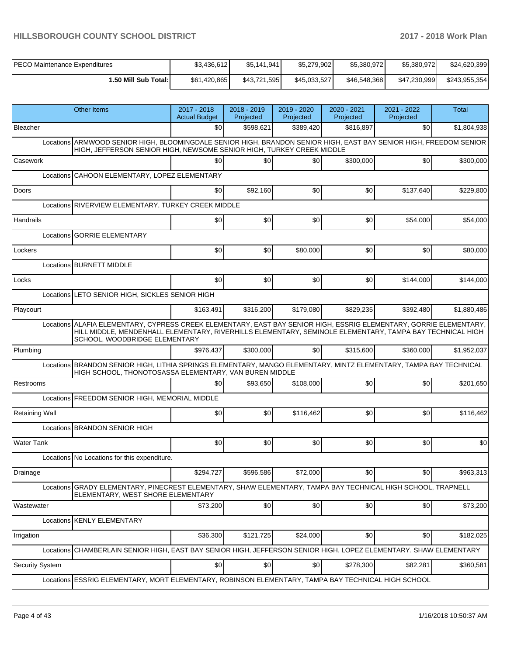| <b>PECO Maintenance Expenditures</b> | \$3,436,612  | \$5,141,941  | \$5,279,902  | \$5,380,972  | \$5,380,972  | \$24,620,399  |
|--------------------------------------|--------------|--------------|--------------|--------------|--------------|---------------|
| 1.50 Mill Sub Total: I               | \$61.420.865 | \$43.721.595 | \$45,033,527 | \$46,548,368 | \$47.230.999 | \$243.955.354 |

|                       | <b>Other Items</b>                                                                                                                                                                                                                                              | 2017 - 2018<br><b>Actual Budget</b> | 2018 - 2019<br>Projected | 2019 - 2020<br>Projected | 2020 - 2021<br>Projected | 2021 - 2022<br>Projected | Total       |
|-----------------------|-----------------------------------------------------------------------------------------------------------------------------------------------------------------------------------------------------------------------------------------------------------------|-------------------------------------|--------------------------|--------------------------|--------------------------|--------------------------|-------------|
| Bleacher              |                                                                                                                                                                                                                                                                 | \$0                                 | \$598,621                | \$389,420                | \$816,897                | \$0                      | \$1,804,938 |
|                       | Locations ARMWOOD SENIOR HIGH, BLOOMINGDALE SENIOR HIGH, BRANDON SENIOR HIGH, EAST BAY SENIOR HIGH, FREEDOM SENIOR<br>HIGH, JEFFERSON SENIOR HIGH, NEWSOME SENIOR HIGH, TURKEY CREEK MIDDLE                                                                     |                                     |                          |                          |                          |                          |             |
| Casework              |                                                                                                                                                                                                                                                                 | \$0                                 | \$0                      | \$0                      | \$300,000                | \$0                      | \$300,000   |
|                       | Locations CAHOON ELEMENTARY, LOPEZ ELEMENTARY                                                                                                                                                                                                                   |                                     |                          |                          |                          |                          |             |
| <b>Doors</b>          |                                                                                                                                                                                                                                                                 | \$0                                 | \$92,160                 | \$0                      | \$0                      | \$137,640                | \$229,800   |
|                       | Locations RIVERVIEW ELEMENTARY, TURKEY CREEK MIDDLE                                                                                                                                                                                                             |                                     |                          |                          |                          |                          |             |
| <b>Handrails</b>      |                                                                                                                                                                                                                                                                 | \$0                                 | \$0                      | \$0                      | \$0                      | \$54,000                 | \$54,000    |
|                       | Locations GORRIE ELEMENTARY                                                                                                                                                                                                                                     |                                     |                          |                          |                          |                          |             |
| Lockers               |                                                                                                                                                                                                                                                                 | \$0                                 | \$0                      | \$80,000                 | \$0                      | \$0                      | \$80,000    |
|                       | Locations BURNETT MIDDLE                                                                                                                                                                                                                                        |                                     |                          |                          |                          |                          |             |
| Locks                 |                                                                                                                                                                                                                                                                 | \$0                                 | \$0                      | \$0                      | \$0                      | \$144,000                | \$144,000   |
|                       | Locations LETO SENIOR HIGH, SICKLES SENIOR HIGH                                                                                                                                                                                                                 |                                     |                          |                          |                          |                          |             |
| Playcourt             |                                                                                                                                                                                                                                                                 | \$163,491                           | \$316,200                | \$179,080                | \$829,235                | \$392.480                | \$1,880,486 |
|                       | Locations ALAFIA ELEMENTARY, CYPRESS CREEK ELEMENTARY, EAST BAY SENIOR HIGH, ESSRIG ELEMENTARY, GORRIE ELEMENTARY,<br>HILL MIDDLE, MENDENHALL ELEMENTARY, RIVERHILLS ELEMENTARY, SEMINOLE ELEMENTARY, TAMPA BAY TECHNICAL HIGH<br>SCHOOL, WOODBRIDGE ELEMENTARY |                                     |                          |                          |                          |                          |             |
| Plumbing              |                                                                                                                                                                                                                                                                 | \$976,437                           | \$300,000                | \$0                      | \$315,600                | \$360,000                | \$1,952,037 |
|                       | Locations BRANDON SENIOR HIGH, LITHIA SPRINGS ELEMENTARY, MANGO ELEMENTARY, MINTZ ELEMENTARY, TAMPA BAY TECHNICAL<br>HIGH SCHOOL, THONOTOSASSA ELEMENTARY, VAN BUREN MIDDLE                                                                                     |                                     |                          |                          |                          |                          |             |
| Restrooms             |                                                                                                                                                                                                                                                                 | \$0                                 | \$93,650                 | \$108,000                | \$0                      | \$0                      | \$201,650   |
|                       | Locations FREEDOM SENIOR HIGH, MEMORIAL MIDDLE                                                                                                                                                                                                                  |                                     |                          |                          |                          |                          |             |
| <b>Retaining Wall</b> |                                                                                                                                                                                                                                                                 | \$0                                 | \$0                      | \$116,462                | \$0                      | \$0                      | \$116,462   |
|                       | Locations <b>BRANDON SENIOR HIGH</b>                                                                                                                                                                                                                            |                                     |                          |                          |                          |                          |             |
| <b>Water Tank</b>     |                                                                                                                                                                                                                                                                 | \$0                                 | \$0                      | \$0                      | \$0                      | \$0                      | \$0         |
|                       | Locations No Locations for this expenditure.                                                                                                                                                                                                                    |                                     |                          |                          |                          |                          |             |
| Drainage              |                                                                                                                                                                                                                                                                 | \$294,727                           | \$596,586                | \$72,000                 | \$0                      | \$0                      | \$963,313   |
|                       | Locations GRADY ELEMENTARY, PINECREST ELEMENTARY, SHAW ELEMENTARY, TAMPA BAY TECHNICAL HIGH SCHOOL, TRAPNELL<br>ELEMENTARY, WEST SHORE ELEMENTARY                                                                                                               |                                     |                          |                          |                          |                          |             |
| Wastewater            |                                                                                                                                                                                                                                                                 | \$73,200                            | \$0                      | \$0                      | \$0                      | \$0                      | \$73,200    |
|                       | Locations KENLY ELEMENTARY                                                                                                                                                                                                                                      |                                     |                          |                          |                          |                          |             |
| Irrigation            |                                                                                                                                                                                                                                                                 | \$36,300                            | \$121,725                | \$24,000                 | \$0                      | \$0                      | \$182,025   |
|                       | Locations CHAMBERLAIN SENIOR HIGH, EAST BAY SENIOR HIGH, JEFFERSON SENIOR HIGH, LOPEZ ELEMENTARY, SHAW ELEMENTARY                                                                                                                                               |                                     |                          |                          |                          |                          |             |
| Security System       |                                                                                                                                                                                                                                                                 | \$0                                 | \$0                      | \$0                      | \$278,300                | \$82,281                 | \$360,581   |
|                       | Locations ESSRIG ELEMENTARY, MORT ELEMENTARY, ROBINSON ELEMENTARY, TAMPA BAY TECHNICAL HIGH SCHOOL                                                                                                                                                              |                                     |                          |                          |                          |                          |             |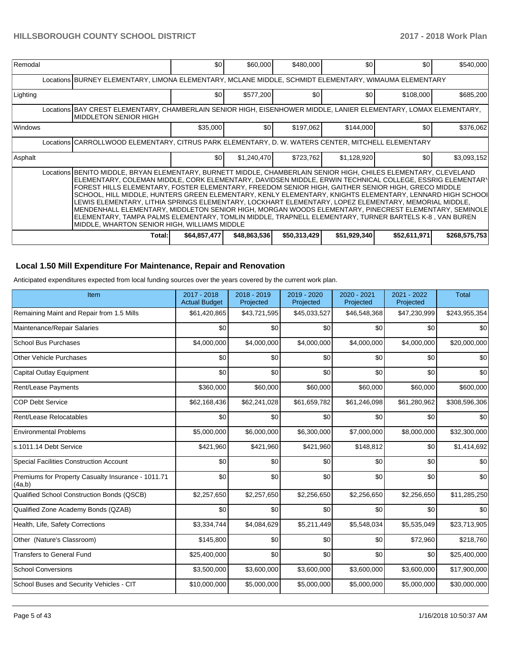| Remodal                                                                                                                                                                                                                                                                                                                                                                                                                                                                                                                                                                                                                                                                                                                                                                                                                    | \$0 <sub>1</sub>                                                                                      | \$60,000         | \$480,000        | \$0          | \$0          | \$540,000     |  |  |  |  |  |
|----------------------------------------------------------------------------------------------------------------------------------------------------------------------------------------------------------------------------------------------------------------------------------------------------------------------------------------------------------------------------------------------------------------------------------------------------------------------------------------------------------------------------------------------------------------------------------------------------------------------------------------------------------------------------------------------------------------------------------------------------------------------------------------------------------------------------|-------------------------------------------------------------------------------------------------------|------------------|------------------|--------------|--------------|---------------|--|--|--|--|--|
|                                                                                                                                                                                                                                                                                                                                                                                                                                                                                                                                                                                                                                                                                                                                                                                                                            | Locations BURNEY ELEMENTARY, LIMONA ELEMENTARY, MCLANE MIDDLE, SCHMIDT ELEMENTARY, WIMAUMA ELEMENTARY |                  |                  |              |              |               |  |  |  |  |  |
| Lighting                                                                                                                                                                                                                                                                                                                                                                                                                                                                                                                                                                                                                                                                                                                                                                                                                   | \$0 <sub>1</sub>                                                                                      | \$577,200        | \$0 <sub>1</sub> | \$0          | \$108,000    | \$685,200     |  |  |  |  |  |
| Locations BAY CREST ELEMENTARY, CHAMBERLAIN SENIOR HIGH, EISENHOWER MIDDLE, LANIER ELEMENTARY, LOMAX ELEMENTARY,<br>IMIDDLETON SENIOR HIGH                                                                                                                                                                                                                                                                                                                                                                                                                                                                                                                                                                                                                                                                                 |                                                                                                       |                  |                  |              |              |               |  |  |  |  |  |
| Windows                                                                                                                                                                                                                                                                                                                                                                                                                                                                                                                                                                                                                                                                                                                                                                                                                    | \$35,000                                                                                              | \$0 <sub>1</sub> | \$197,062        | \$144,000    | \$0          | \$376,062     |  |  |  |  |  |
| Locations CARROLLWOOD ELEMENTARY, CITRUS PARK ELEMENTARY, D. W. WATERS CENTER, MITCHELL ELEMENTARY                                                                                                                                                                                                                                                                                                                                                                                                                                                                                                                                                                                                                                                                                                                         |                                                                                                       |                  |                  |              |              |               |  |  |  |  |  |
| Asphalt                                                                                                                                                                                                                                                                                                                                                                                                                                                                                                                                                                                                                                                                                                                                                                                                                    | \$0 <sub>1</sub>                                                                                      | \$1,240,470      | \$723,762        | \$1,128,920  | \$0          | \$3,093,152   |  |  |  |  |  |
| Locations BENITO MIDDLE, BRYAN ELEMENTARY, BURNETT MIDDLE, CHAMBERLAIN SENIOR HIGH, CHILES ELEMENTARY, CLEVELAND<br> ELEMENTARY, COLEMAN MIDDLE, CORK ELEMENTARY, DAVIDSEN MIDDLE, ERWIN TECHNICAL COLLEGE, ESSRIG ELEMENTAR)<br>FOREST HILLS ELEMENTARY, FOSTER ELEMENTARY, FREEDOM SENIOR HIGH, GAITHER SENIOR HIGH, GRECO MIDDLE<br>SCHOOL, HILL MIDDLE, HUNTERS GREEN ELEMENTARY, KENLY ELEMENTARY, KNIGHTS ELEMENTARY, LENNARD HIGH SCHOOI<br>LEWIS ELEMENTARY, LITHIA SPRINGS ELEMENTARY, LOCKHART ELEMENTARY, LOPEZ ELEMENTARY, MEMORIAL MIDDLE,<br>MENDENHALL ELEMENTARY, MIDDLETON SENIOR HIGH, MORGAN WOODS ELEMENTARY, PINECREST ELEMENTARY, SEMINOLE<br>ELEMENTARY, TAMPA PALMS ELEMENTARY, TOMLIN MIDDLE, TRAPNELL ELEMENTARY, TURNER BARTELS K-8 , VAN BUREN<br>MIDDLE, WHARTON SENIOR HIGH, WILLIAMS MIDDLE |                                                                                                       |                  |                  |              |              |               |  |  |  |  |  |
| Total:                                                                                                                                                                                                                                                                                                                                                                                                                                                                                                                                                                                                                                                                                                                                                                                                                     | \$64,857,477                                                                                          | \$48,863,536     | \$50,313,429     | \$51,929,340 | \$52,611,971 | \$268,575,753 |  |  |  |  |  |

# **Local 1.50 Mill Expenditure For Maintenance, Repair and Renovation**

Anticipated expenditures expected from local funding sources over the years covered by the current work plan.

| Item                                                         | $2017 - 2018$<br><b>Actual Budget</b> | 2018 - 2019<br>Projected | 2019 - 2020<br>Projected | 2020 - 2021<br>Projected | 2021 - 2022<br>Projected | <b>Total</b>  |
|--------------------------------------------------------------|---------------------------------------|--------------------------|--------------------------|--------------------------|--------------------------|---------------|
| Remaining Maint and Repair from 1.5 Mills                    | \$61,420,865                          | \$43,721,595             | \$45,033,527             | \$46,548,368             | \$47,230,999             | \$243,955,354 |
| Maintenance/Repair Salaries                                  | \$0                                   | \$0                      | \$0                      | \$0                      | \$0                      | \$0           |
| <b>School Bus Purchases</b>                                  | \$4,000,000                           | \$4,000,000              | \$4,000,000              | \$4,000,000              | \$4,000,000              | \$20,000,000  |
| <b>Other Vehicle Purchases</b>                               | \$0                                   | \$0                      | \$0                      | \$0                      | \$0                      | \$0           |
| <b>Capital Outlay Equipment</b>                              | \$0                                   | \$0                      | \$0                      | \$0                      | \$0                      | \$0           |
| Rent/Lease Payments                                          | \$360,000                             | \$60,000                 | \$60,000                 | \$60,000                 | \$60,000                 | \$600,000     |
| <b>COP Debt Service</b>                                      | \$62,168,436                          | \$62,241,028             | \$61,659,782             | \$61,246,098             | \$61,280,962             | \$308,596,306 |
| Rent/Lease Relocatables                                      | \$0                                   | \$0                      | \$0                      | \$0                      | \$0                      | \$0           |
| <b>Environmental Problems</b>                                | \$5,000,000                           | \$6,000,000              | \$6,300,000              | \$7,000,000              | \$8,000,000              | \$32,300,000  |
| s.1011.14 Debt Service                                       | \$421,960                             | \$421,960                | \$421,960                | \$148,812                | \$0                      | \$1,414,692   |
| <b>Special Facilities Construction Account</b>               | \$0                                   | \$0                      | \$0                      | \$0                      | \$0                      | \$0           |
| Premiums for Property Casualty Insurance - 1011.71<br>(4a,b) | \$0                                   | \$0                      | \$0                      | \$0                      | \$0                      | \$0           |
| Qualified School Construction Bonds (QSCB)                   | \$2,257,650                           | \$2,257,650              | \$2,256,650              | \$2,256,650              | \$2,256,650              | \$11,285,250  |
| Qualified Zone Academy Bonds (QZAB)                          | \$0                                   | \$0                      | \$0                      | \$0                      | \$0                      | \$0           |
| Health, Life, Safety Corrections                             | \$3,334,744                           | \$4,084,629              | \$5,211,449              | \$5,548,034              | \$5,535,049              | \$23,713,905  |
| Other (Nature's Classroom)                                   | \$145,800                             | \$0                      | \$0                      | \$0                      | \$72,960                 | \$218,760     |
| <b>Transfers to General Fund</b>                             | \$25,400,000                          | \$0                      | \$0                      | \$0                      | \$0                      | \$25,400,000  |
| <b>School Conversions</b>                                    | \$3,500,000                           | \$3,600,000              | \$3,600,000              | \$3,600,000              | \$3,600,000              | \$17,900,000  |
| School Buses and Security Vehicles - CIT                     | \$10,000,000                          | \$5,000,000              | \$5,000,000              | \$5,000,000              | \$5,000,000              | \$30,000,000  |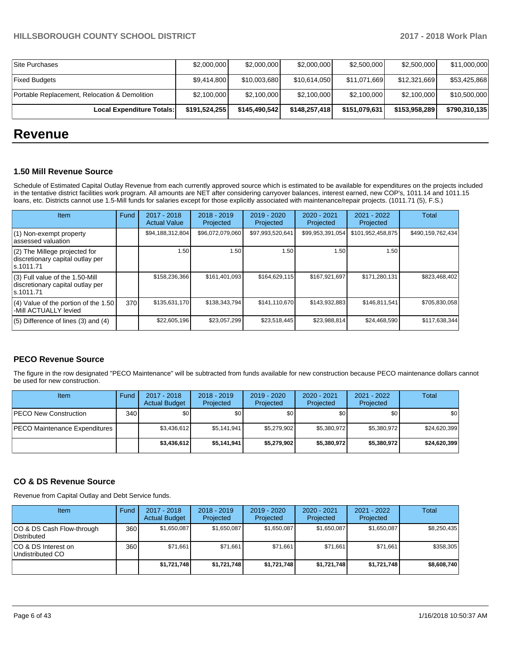| Local Expenditure Totals:                     | \$191,524,255 | \$145,490,542 | \$148,257,418 | \$151,079,631 | \$153,958,289 | \$790,310,135 |
|-----------------------------------------------|---------------|---------------|---------------|---------------|---------------|---------------|
| Portable Replacement, Relocation & Demolition | \$2,100,000   | \$2,100,000   | \$2,100,000   | \$2,100,000   | \$2,100,000   | \$10,500,000  |
| <b>Fixed Budgets</b>                          | \$9,414,800   | \$10,003,680  | \$10,614,050  | \$11,071,669  | \$12,321,669  | \$53,425,868  |
| lSite Purchases                               | \$2,000,000   | \$2,000,000   | \$2,000,000   | \$2,500,000   | \$2,500,000   | \$11,000,000  |

# **Revenue**

#### **1.50 Mill Revenue Source**

Schedule of Estimated Capital Outlay Revenue from each currently approved source which is estimated to be available for expenditures on the projects included in the tentative district facilities work program. All amounts are NET after considering carryover balances, interest earned, new COP's, 1011.14 and 1011.15 loans, etc. Districts cannot use 1.5-Mill funds for salaries except for those explicitly associated with maintenance/repair projects. (1011.71 (5), F.S.)

| <b>Item</b>                                                                         | <b>Fund</b> | $2017 - 2018$<br><b>Actual Value</b> | $2018 - 2019$<br>Projected | $2019 - 2020$<br>Projected | $2020 - 2021$<br>Projected | $2021 - 2022$<br>Projected | <b>Total</b>      |
|-------------------------------------------------------------------------------------|-------------|--------------------------------------|----------------------------|----------------------------|----------------------------|----------------------------|-------------------|
| (1) Non-exempt property<br>lassessed valuation                                      |             | \$94,188,312,804                     | \$96,072,079,060           | \$97,993,520,641           | \$99,953,391,054           | \$101,952,458,875          | \$490,159,762,434 |
| $(2)$ The Millege projected for<br>discretionary capital outlay per<br>ls.1011.71   |             | 1.50                                 | 1.50                       | 1.50                       | 1.50                       | 1.50                       |                   |
| $(3)$ Full value of the 1.50-Mill<br>discretionary capital outlay per<br>ls.1011.71 |             | \$158,236,366                        | \$161,401,093              | \$164,629,115              | \$167,921,697              | \$171,280,131              | \$823,468,402     |
| $(4)$ Value of the portion of the 1.50<br>-Mill ACTUALLY levied                     | 370         | \$135,631,170                        | \$138,343,794              | \$141,110,670              | \$143,932,883              | \$146,811,541              | \$705,830,058     |
| $(5)$ Difference of lines (3) and (4)                                               |             | \$22,605,196                         | \$23.057.299               | \$23,518,445               | \$23,988,814               | \$24,468,590               | \$117,638,344     |

#### **PECO Revenue Source**

The figure in the row designated "PECO Maintenance" will be subtracted from funds available for new construction because PECO maintenance dollars cannot be used for new construction.

| Item                          | Fund  | $2017 - 2018$<br><b>Actual Budget</b> | $2018 - 2019$<br>Projected | $2019 - 2020$<br>Projected | $2020 - 2021$<br>Projected | $2021 - 2022$<br>Projected | <b>Total</b> |
|-------------------------------|-------|---------------------------------------|----------------------------|----------------------------|----------------------------|----------------------------|--------------|
| <b>PECO New Construction</b>  | 340 l | \$0                                   | \$0                        | \$0                        | \$0                        | \$0                        | \$0          |
| PECO Maintenance Expenditures |       | \$3,436,612                           | \$5,141,941                | \$5,279,902                | \$5,380,972                | \$5,380,972                | \$24,620,399 |
|                               |       | \$3,436,612                           | \$5,141,941                | \$5.279.902                | \$5,380,972                | \$5,380,972                | \$24,620,399 |

#### **CO & DS Revenue Source**

Revenue from Capital Outlay and Debt Service funds.

| Item                                      | Fund             | $2017 - 2018$<br><b>Actual Budget</b> | $2018 - 2019$<br>Projected | $2019 - 2020$<br>Projected | $2020 - 2021$<br>Projected | $2021 - 2022$<br>Projected | Total       |
|-------------------------------------------|------------------|---------------------------------------|----------------------------|----------------------------|----------------------------|----------------------------|-------------|
| ICO & DS Cash Flow-through<br>Distributed | 360 <sup>I</sup> | \$1,650,087                           | \$1,650,087                | \$1,650,087                | \$1,650,087                | \$1,650,087                | \$8,250,435 |
| ICO & DS Interest on<br>Undistributed CO  | 360              | \$71,661                              | \$71,661                   | \$71,661                   | \$71,661                   | \$71,661                   | \$358,305   |
|                                           |                  | \$1,721,748                           | \$1,721,748                | \$1,721,748                | \$1,721,748                | \$1,721,748                | \$8,608,740 |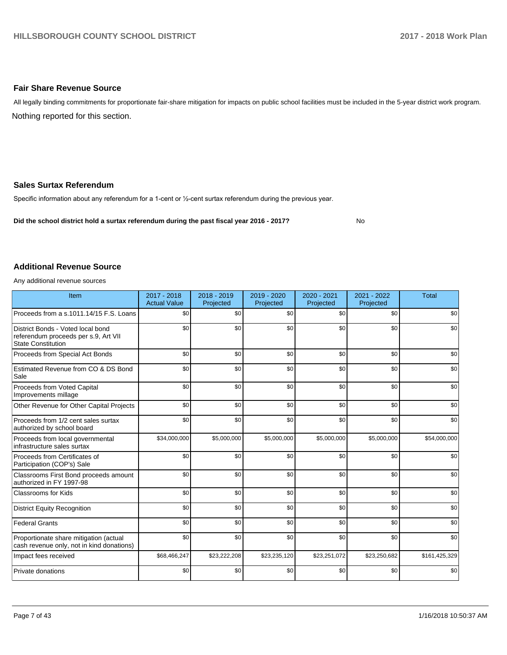#### **Fair Share Revenue Source**

Nothing reported for this section. All legally binding commitments for proportionate fair-share mitigation for impacts on public school facilities must be included in the 5-year district work program.

#### **Sales Surtax Referendum**

Specific information about any referendum for a 1-cent or 1/2-cent surtax referendum during the previous year.

**Did the school district hold a surtax referendum during the past fiscal year 2016 - 2017?**

No

#### **Additional Revenue Source**

Any additional revenue sources

| Item                                                                                                   | 2017 - 2018<br><b>Actual Value</b> | 2018 - 2019<br>Projected | 2019 - 2020<br>Projected | 2020 - 2021<br>Projected | 2021 - 2022<br>Projected | <b>Total</b>  |
|--------------------------------------------------------------------------------------------------------|------------------------------------|--------------------------|--------------------------|--------------------------|--------------------------|---------------|
| Proceeds from a s.1011.14/15 F.S. Loans                                                                | \$0                                | \$0                      | \$0                      | \$0                      | \$0                      | \$0           |
| District Bonds - Voted local bond<br>referendum proceeds per s.9, Art VII<br><b>State Constitution</b> | \$0                                | \$0                      | \$0                      | \$0                      | \$0                      | \$0           |
| Proceeds from Special Act Bonds                                                                        | \$0                                | \$0                      | \$0                      | \$0                      | \$0                      | \$0           |
| Estimated Revenue from CO & DS Bond<br>Sale                                                            | \$0                                | \$0                      | \$0                      | \$0                      | \$0                      | \$0           |
| Proceeds from Voted Capital<br>Improvements millage                                                    | \$0                                | \$0                      | \$0                      | \$0                      | \$0                      | \$0           |
| Other Revenue for Other Capital Projects                                                               | \$0                                | \$0                      | \$0                      | \$0                      | \$0                      | \$0           |
| Proceeds from 1/2 cent sales surtax<br>authorized by school board                                      | \$0                                | \$0                      | \$0                      | \$0                      | \$0                      | \$0           |
| Proceeds from local governmental<br>infrastructure sales surtax                                        | \$34,000,000                       | \$5,000,000              | \$5,000,000              | \$5,000,000              | \$5,000,000              | \$54,000,000  |
| Proceeds from Certificates of<br>Participation (COP's) Sale                                            | \$0                                | \$0                      | \$0                      | \$0                      | \$0                      | \$0           |
| Classrooms First Bond proceeds amount<br>authorized in FY 1997-98                                      | \$0                                | \$0                      | \$0                      | \$0                      | \$0                      | \$0           |
| <b>Classrooms for Kids</b>                                                                             | \$0                                | \$0                      | \$0                      | \$0                      | \$0                      | \$0           |
| <b>District Equity Recognition</b>                                                                     | \$0                                | \$0                      | \$0                      | \$0                      | \$0                      | \$0           |
| <b>Federal Grants</b>                                                                                  | \$0                                | \$0                      | \$0                      | \$0                      | \$0                      | \$0           |
| Proportionate share mitigation (actual<br>cash revenue only, not in kind donations)                    | \$0                                | \$0                      | \$0                      | \$0                      | \$0                      | \$0           |
| Impact fees received                                                                                   | \$68,466,247                       | \$23,222,208             | \$23,235,120             | \$23,251,072             | \$23,250,682             | \$161,425,329 |
| Private donations                                                                                      | \$0                                | \$0                      | \$0                      | \$0                      | \$0                      | \$0           |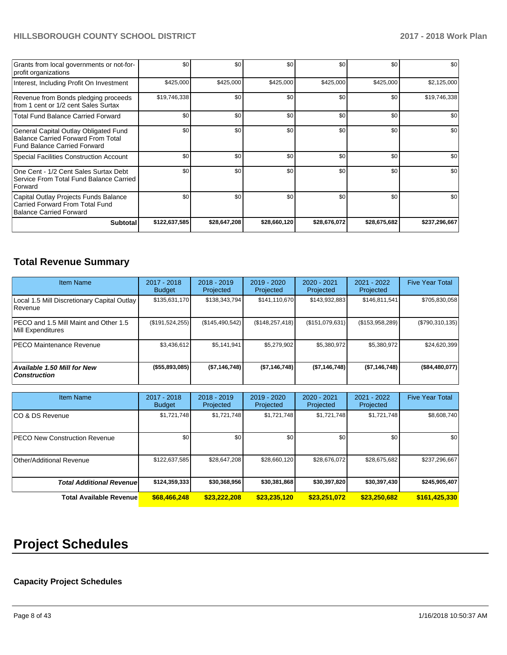| Grants from local governments or not-for-<br>profit organizations                                                         | \$0           | \$0          | \$0          | \$0          | \$0          | \$0           |
|---------------------------------------------------------------------------------------------------------------------------|---------------|--------------|--------------|--------------|--------------|---------------|
| Interest, Including Profit On Investment                                                                                  | \$425,000     | \$425,000    | \$425,000    | \$425,000    | \$425,000    | \$2,125,000   |
| Revenue from Bonds pledging proceeds<br>from 1 cent or 1/2 cent Sales Surtax                                              | \$19,746,338  | \$0          | \$0          | \$0          | \$0          | \$19,746,338  |
| <b>Total Fund Balance Carried Forward</b>                                                                                 | \$0           | \$0          | \$0          | \$0          | \$0          | \$0           |
| General Capital Outlay Obligated Fund<br><b>Balance Carried Forward From Total</b><br><b>Fund Balance Carried Forward</b> | \$0           | \$0          | \$0          | \$0          | \$0          | \$0           |
| <b>Special Facilities Construction Account</b>                                                                            | \$0           | \$0          | \$0          | \$0          | \$0          | \$0           |
| One Cent - 1/2 Cent Sales Surtax Debt<br>Service From Total Fund Balance Carried<br>Forward                               | \$0           | \$0          | \$0          | \$0          | \$0          | \$0           |
| Capital Outlay Projects Funds Balance<br>Carried Forward From Total Fund<br>Balance Carried Forward                       | \$0           | \$0          | \$0          | \$0          | \$0          | \$0           |
| <b>Subtotal</b>                                                                                                           | \$122,637,585 | \$28,647,208 | \$28,660,120 | \$28,676,072 | \$28,675,682 | \$237,296,667 |

# **Total Revenue Summary**

| <b>Item Name</b>                                           | 2017 - 2018<br><b>Budget</b> | $2018 - 2019$<br>Projected | $2019 - 2020$<br>Projected | 2020 - 2021<br>Projected | 2021 - 2022<br>Projected | <b>Five Year Total</b> |
|------------------------------------------------------------|------------------------------|----------------------------|----------------------------|--------------------------|--------------------------|------------------------|
| Local 1.5 Mill Discretionary Capital Outlay<br>l Revenue   | \$135,631,170                | \$138,343,794              | \$141,110,670              | \$143,932,883            | \$146,811,541            | \$705,830,058          |
| PECO and 1.5 Mill Maint and Other 1.5<br>Mill Expenditures | (\$191,524,255)              | (\$145,490,542)            | (\$148, 257, 418)          | (\$151,079,631)          | (\$153,958,289)          | (\$790,310,135)        |
| <b>PECO Maintenance Revenue</b>                            | \$3,436,612                  | \$5,141,941                | \$5,279,902                | \$5,380,972              | \$5,380,972              | \$24,620,399           |
| Available 1.50 Mill for New<br><b>Construction</b>         | $($ \$55,893,085)            | (\$7,146,748)              | (\$7,146,748)              | (\$7,146,748)            | (\$7,146,748)            | (\$84,480,077)         |

| <b>Item Name</b>                     | 2017 - 2018<br><b>Budget</b> | $2018 - 2019$<br>Projected | 2019 - 2020<br>Projected | $2020 - 2021$<br>Projected | $2021 - 2022$<br>Projected | <b>Five Year Total</b> |
|--------------------------------------|------------------------------|----------------------------|--------------------------|----------------------------|----------------------------|------------------------|
| ICO & DS Revenue                     | \$1,721,748                  | \$1,721,748                | \$1,721,748              | \$1,721,748                | \$1,721,748                | \$8,608,740            |
| <b>PECO New Construction Revenue</b> | \$0                          | \$0                        | \$0                      | \$0                        | \$0                        | \$0                    |
| Other/Additional Revenue             | \$122,637,585                | \$28,647,208               | \$28,660,120             | \$28,676,072               | \$28,675,682               | \$237,296,667          |
| <b>Total Additional Revenuel</b>     | \$124,359,333                | \$30,368,956               | \$30,381,868             | \$30,397,820               | \$30,397,430               | \$245,905,407          |
| <b>Total Available Revenue</b>       | \$68,466,248                 | \$23,222,208               | \$23,235,120             | \$23.251.072               | \$23,250,682               | \$161,425,330          |

# **Project Schedules**

# **Capacity Project Schedules**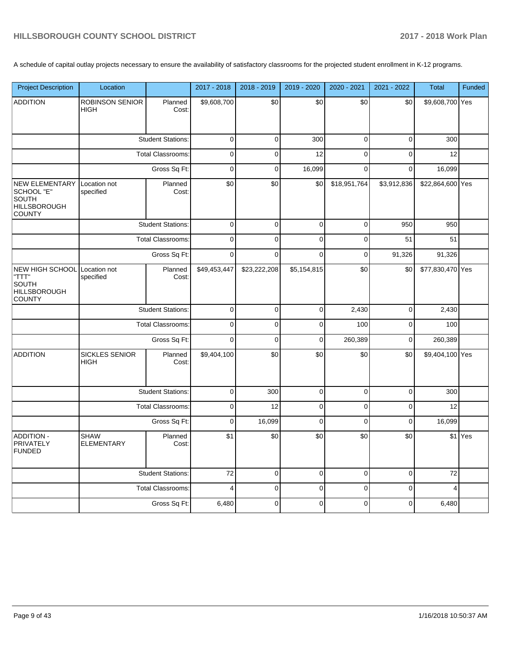A schedule of capital outlay projects necessary to ensure the availability of satisfactory classrooms for the projected student enrollment in K-12 programs.

| <b>Project Description</b>                                                             | Location                              |                          | 2017 - 2018    | 2018 - 2019  | 2019 - 2020 | 2020 - 2021  | 2021 - 2022 | Total            | Funded  |
|----------------------------------------------------------------------------------------|---------------------------------------|--------------------------|----------------|--------------|-------------|--------------|-------------|------------------|---------|
| <b>ADDITION</b>                                                                        | <b>ROBINSON SENIOR</b><br><b>HIGH</b> | Planned<br>Cost:         | \$9,608,700    | \$0          | \$0         | \$0          | \$0         | \$9,608,700 Yes  |         |
|                                                                                        |                                       | <b>Student Stations:</b> | 0              | 0            | 300         | $\pmb{0}$    | $\mathbf 0$ | 300              |         |
|                                                                                        |                                       | <b>Total Classrooms:</b> | $\mathbf 0$    | $\mathbf 0$  | 12          | $\mathbf 0$  | $\mathbf 0$ | 12               |         |
|                                                                                        |                                       | Gross Sq Ft:             | 0              | 0            | 16,099      | $\mathbf 0$  | $\mathbf 0$ | 16,099           |         |
| <b>NEW ELEMENTARY</b><br>SCHOOL "E"<br>SOUTH<br><b>HILLSBOROUGH</b><br>COUNTY          | Location not<br>specified             | Planned<br>Cost:         | \$0            | \$0          | \$0         | \$18,951,764 | \$3,912,836 | \$22,864,600 Yes |         |
|                                                                                        |                                       | <b>Student Stations:</b> | $\Omega$       | $\Omega$     | $\pmb{0}$   | $\mathbf 0$  | 950         | 950              |         |
|                                                                                        |                                       | <b>Total Classrooms:</b> | $\mathbf 0$    | 0            | $\mathbf 0$ | $\mathbf 0$  | 51          | 51               |         |
|                                                                                        |                                       | Gross Sq Ft:             | $\mathbf 0$    | 0            | $\mathbf 0$ | $\mathbf 0$  | 91,326      | 91,326           |         |
| NEW HIGH SCHOOL Location not<br>"TTT"<br>SOUTH<br><b>HILLSBOROUGH</b><br><b>COUNTY</b> | specified                             | Planned<br>Cost:         | \$49,453,447   | \$23,222,208 | \$5,154,815 | \$0          | \$0         | \$77,830,470 Yes |         |
|                                                                                        |                                       | <b>Student Stations:</b> | $\mathsf 0$    | 0            | $\mathsf 0$ | 2,430        | $\pmb{0}$   | 2,430            |         |
|                                                                                        |                                       | <b>Total Classrooms:</b> | $\mathsf 0$    | 0            | $\mathsf 0$ | 100          | $\pmb{0}$   | 100              |         |
|                                                                                        |                                       | Gross Sq Ft:             | $\Omega$       | 0            | $\pmb{0}$   | 260,389      | $\mathbf 0$ | 260,389          |         |
| <b>ADDITION</b>                                                                        | <b>SICKLES SENIOR</b><br><b>HIGH</b>  | Planned<br>Cost:         | \$9,404,100    | \$0          | \$0         | \$0          | \$0         | \$9,404,100 Yes  |         |
|                                                                                        |                                       | <b>Student Stations:</b> | $\pmb{0}$      | 300          | $\pmb{0}$   | $\pmb{0}$    | $\pmb{0}$   | 300              |         |
|                                                                                        |                                       | <b>Total Classrooms:</b> | $\mathbf 0$    | 12           | $\mathsf 0$ | $\mathbf 0$  | $\pmb{0}$   | 12               |         |
|                                                                                        |                                       | Gross Sq Ft:             | $\mathbf 0$    | 16,099       | $\mathsf 0$ | $\pmb{0}$    | $\mathbf 0$ | 16,099           |         |
| <b>ADDITION -</b><br>PRIVATELY<br><b>FUNDED</b>                                        | <b>SHAW</b><br><b>ELEMENTARY</b>      | Planned<br>Cost:         | \$1            | \$0          | \$0         | \$0          | \$0         |                  | \$1 Yes |
|                                                                                        |                                       | <b>Student Stations:</b> | 72             | $\mathbf 0$  | $\pmb{0}$   | $\mathbf 0$  | $\mathbf 0$ | 72               |         |
|                                                                                        |                                       | <b>Total Classrooms:</b> | $\overline{4}$ | 0            | $\pmb{0}$   | $\pmb{0}$    | $\mathbf 0$ | 4                |         |
|                                                                                        |                                       | Gross Sq Ft:             | 6,480          | 0            | $\mathbf 0$ | $\mathbf 0$  | $\mathbf 0$ | 6,480            |         |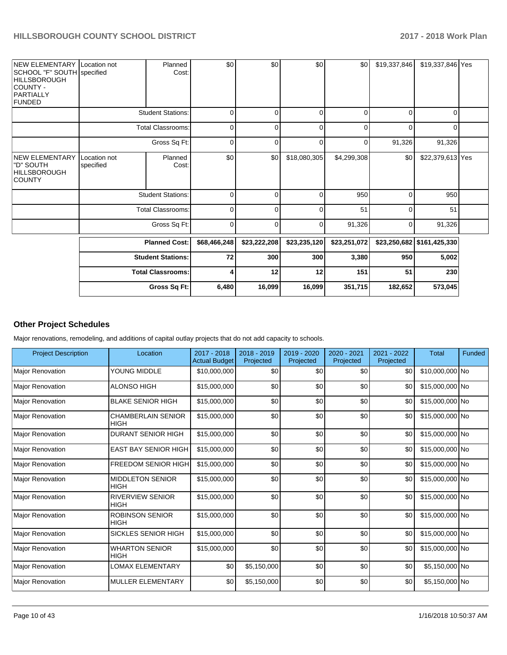| NEW ELEMENTARY Location not<br>SCHOOL "F" SOUTH specified<br><b>HILLSBOROUGH</b><br>COUNTY -<br>PARTIALLY<br><b>FUNDED</b> |                           | Planned<br>Cost:         | \$0          | \$0          | \$0          | \$0          | \$19,337,846 | \$19,337,846 Yes           |  |
|----------------------------------------------------------------------------------------------------------------------------|---------------------------|--------------------------|--------------|--------------|--------------|--------------|--------------|----------------------------|--|
|                                                                                                                            |                           | <b>Student Stations:</b> | $\Omega$     | ŋ            | 0            | $\Omega$     | $\Omega$     | 0                          |  |
|                                                                                                                            |                           | <b>Total Classrooms:</b> | $\mathbf 0$  |              | 0            | 0            | $\Omega$     | 0                          |  |
|                                                                                                                            |                           | Gross Sq Ft:             | 0            | 0            | $\mathbf 0$  | 0            | 91,326       | 91,326                     |  |
| <b>NEW ELEMENTARY</b><br>"D" SOUTH<br><b>HILLSBOROUGH</b><br><b>COUNTY</b>                                                 | Location not<br>specified | Planned<br>Cost:         | \$0          | \$0          | \$18,080,305 | \$4,299,308  | \$0          | \$22,379,613 Yes           |  |
|                                                                                                                            |                           | <b>Student Stations:</b> | $\Omega$     | r            | 0            | 950          | $\Omega$     | 950                        |  |
|                                                                                                                            |                           | <b>Total Classrooms:</b> | $\Omega$     |              | 0            | 51           | $\Omega$     | 51                         |  |
|                                                                                                                            |                           | Gross Sq Ft:             | 0            | $\Omega$     | 0            | 91,326       | 0            | 91,326                     |  |
|                                                                                                                            |                           | <b>Planned Cost:</b>     | \$68,466,248 | \$23,222,208 | \$23,235,120 | \$23,251,072 |              | \$23,250,682 \$161,425,330 |  |
|                                                                                                                            |                           | <b>Student Stations:</b> | 72           | 300          | 300          | 3,380        | 950          | 5,002                      |  |
|                                                                                                                            |                           | <b>Total Classrooms:</b> | 4            | 12           | 12           | 151          | 51           | 230                        |  |
|                                                                                                                            |                           | Gross Sq Ft:             | 6,480        | 16,099       | 16,099       | 351,715      | 182,652      | 573,045                    |  |

# **Other Project Schedules**

Major renovations, remodeling, and additions of capital outlay projects that do not add capacity to schools.

| <b>Project Description</b> | Location                                 | 2017 - 2018<br><b>Actual Budget</b> | 2018 - 2019<br>Projected | 2019 - 2020<br>Projected | 2020 - 2021<br>Projected | 2021 - 2022<br>Projected | <b>Total</b>    | Funded |
|----------------------------|------------------------------------------|-------------------------------------|--------------------------|--------------------------|--------------------------|--------------------------|-----------------|--------|
| <b>Major Renovation</b>    | YOUNG MIDDLE                             | \$10,000,000                        | \$0                      | \$0                      | \$0                      | \$0                      | \$10,000,000 No |        |
| Major Renovation           | <b>ALONSO HIGH</b>                       | \$15,000,000                        | \$0                      | \$0                      | \$0                      | \$0                      | \$15,000,000 No |        |
| <b>Major Renovation</b>    | <b>BLAKE SENIOR HIGH</b>                 | \$15,000,000                        | \$0                      | \$0                      | \$0                      | \$0                      | \$15,000,000 No |        |
| <b>Major Renovation</b>    | <b>CHAMBERLAIN SENIOR</b><br><b>HIGH</b> | \$15,000,000                        | \$0                      | \$0                      | \$0                      | \$0                      | \$15,000,000 No |        |
| <b>Major Renovation</b>    | <b>DURANT SENIOR HIGH</b>                | \$15,000,000                        | \$0                      | \$0                      | \$0                      | \$0                      | \$15,000,000 No |        |
| <b>Major Renovation</b>    | <b>EAST BAY SENIOR HIGH</b>              | \$15,000,000                        | \$0                      | \$0                      | \$0                      | \$0                      | \$15,000,000 No |        |
| <b>Major Renovation</b>    | <b>FREEDOM SENIOR HIGH</b>               | \$15,000,000                        | \$0                      | \$0                      | \$0                      | \$0                      | \$15,000,000 No |        |
| Major Renovation           | <b>MIDDLETON SENIOR</b><br><b>HIGH</b>   | \$15,000,000                        | \$0                      | \$0                      | \$0                      | \$0                      | \$15,000,000 No |        |
| <b>Major Renovation</b>    | <b>RIVERVIEW SENIOR</b><br><b>HIGH</b>   | \$15,000,000                        | \$0                      | \$0                      | \$0                      | \$0                      | \$15,000,000 No |        |
| <b>Major Renovation</b>    | <b>ROBINSON SENIOR</b><br><b>HIGH</b>    | \$15,000,000                        | \$0                      | \$0                      | \$0                      | \$0                      | \$15,000,000 No |        |
| Major Renovation           | <b>SICKLES SENIOR HIGH</b>               | \$15,000,000                        | \$0                      | \$0                      | \$0                      | \$0                      | \$15,000,000 No |        |
| <b>Major Renovation</b>    | <b>WHARTON SENIOR</b><br><b>HIGH</b>     | \$15,000,000                        | \$0                      | \$0                      | \$0                      | \$0                      | \$15,000,000 No |        |
| <b>Major Renovation</b>    | <b>LOMAX ELEMENTARY</b>                  | \$0                                 | \$5,150,000              | \$0                      | \$0                      | \$0                      | \$5,150,000 No  |        |
| <b>Major Renovation</b>    | <b>MULLER ELEMENTARY</b>                 | \$0                                 | \$5,150,000              | \$0                      | \$0                      | \$0                      | \$5,150,000 No  |        |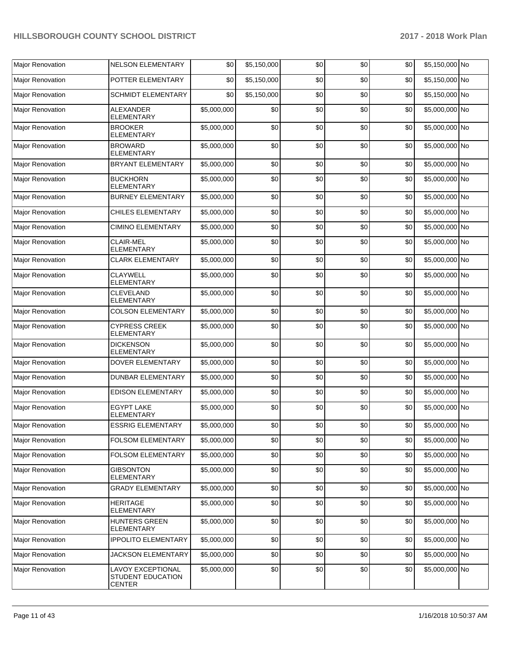| Major Renovation        | <b>NELSON ELEMENTARY</b>                                | \$0         | \$5,150,000 | \$0 | \$0 | \$0 | \$5,150,000 No |  |
|-------------------------|---------------------------------------------------------|-------------|-------------|-----|-----|-----|----------------|--|
| <b>Major Renovation</b> | POTTER ELEMENTARY                                       | \$0         | \$5,150,000 | \$0 | \$0 | \$0 | \$5,150,000 No |  |
| Major Renovation        | <b>SCHMIDT ELEMENTARY</b>                               | \$0         | \$5,150,000 | \$0 | \$0 | \$0 | \$5,150,000 No |  |
| Major Renovation        | <b>ALEXANDER</b><br><b>ELEMENTARY</b>                   | \$5,000,000 | \$0         | \$0 | \$0 | \$0 | \$5,000,000 No |  |
| <b>Major Renovation</b> | <b>BROOKER</b><br><b>ELEMENTARY</b>                     | \$5,000,000 | \$0         | \$0 | \$0 | \$0 | \$5,000,000 No |  |
| <b>Maior Renovation</b> | <b>BROWARD</b><br><b>ELEMENTARY</b>                     | \$5,000,000 | \$0         | \$0 | \$0 | \$0 | \$5,000,000 No |  |
| Major Renovation        | <b>BRYANT ELEMENTARY</b>                                | \$5,000,000 | \$0         | \$0 | \$0 | \$0 | \$5,000,000 No |  |
| Major Renovation        | <b>BUCKHORN</b><br><b>ELEMENTARY</b>                    | \$5,000,000 | \$0         | \$0 | \$0 | \$0 | \$5,000,000 No |  |
| Major Renovation        | <b>BURNEY ELEMENTARY</b>                                | \$5,000,000 | \$0         | \$0 | \$0 | \$0 | \$5,000,000 No |  |
| Major Renovation        | <b>CHILES ELEMENTARY</b>                                | \$5,000,000 | \$0         | \$0 | \$0 | \$0 | \$5,000,000 No |  |
| Major Renovation        | <b>CIMINO ELEMENTARY</b>                                | \$5,000,000 | \$0         | \$0 | \$0 | \$0 | \$5,000,000 No |  |
| Major Renovation        | <b>CLAIR-MEL</b><br><b>ELEMENTARY</b>                   | \$5,000,000 | \$0         | \$0 | \$0 | \$0 | \$5,000,000 No |  |
| <b>Major Renovation</b> | <b>CLARK ELEMENTARY</b>                                 | \$5,000,000 | \$0         | \$0 | \$0 | \$0 | \$5,000,000 No |  |
| Major Renovation        | <b>CLAYWELL</b><br>ELEMENTARY                           | \$5,000,000 | \$0         | \$0 | \$0 | \$0 | \$5,000,000 No |  |
| Major Renovation        | <b>CLEVELAND</b><br><b>ELEMENTARY</b>                   | \$5,000,000 | \$0         | \$0 | \$0 | \$0 | \$5,000,000 No |  |
| Major Renovation        | <b>COLSON ELEMENTARY</b>                                | \$5,000,000 | \$0         | \$0 | \$0 | \$0 | \$5,000,000 No |  |
| <b>Major Renovation</b> | <b>CYPRESS CREEK</b><br><b>ELEMENTARY</b>               | \$5,000,000 | \$0         | \$0 | \$0 | \$0 | \$5,000,000 No |  |
| Major Renovation        | <b>DICKENSON</b><br><b>ELEMENTARY</b>                   | \$5,000,000 | \$0         | \$0 | \$0 | \$0 | \$5,000,000 No |  |
| Major Renovation        | DOVER ELEMENTARY                                        | \$5,000,000 | \$0         | \$0 | \$0 | \$0 | \$5,000,000 No |  |
| Major Renovation        | <b>DUNBAR ELEMENTARY</b>                                | \$5,000,000 | \$0         | \$0 | \$0 | \$0 | \$5,000,000 No |  |
| Major Renovation        | <b>EDISON ELEMENTARY</b>                                | \$5,000,000 | \$0         | \$0 | \$0 | \$0 | \$5,000,000 No |  |
| Major Renovation        | <b>EGYPT LAKE</b><br><b>ELEMENTARY</b>                  | \$5,000,000 | \$0         | \$0 | \$0 | \$0 | \$5,000,000 No |  |
| <b>Major Renovation</b> | <b>ESSRIG ELEMENTARY</b>                                | \$5,000,000 | \$0         | \$0 | \$0 | \$0 | \$5,000,000 No |  |
| <b>Major Renovation</b> | <b>FOLSOM ELEMENTARY</b>                                | \$5,000,000 | \$0         | \$0 | \$0 | \$0 | \$5,000,000 No |  |
| <b>Major Renovation</b> | FOLSOM ELEMENTARY                                       | \$5,000,000 | \$0         | \$0 | \$0 | \$0 | \$5,000,000 No |  |
| <b>Major Renovation</b> | <b>GIBSONTON</b><br><b>ELEMENTARY</b>                   | \$5,000,000 | \$0         | \$0 | \$0 | \$0 | \$5,000,000 No |  |
| Major Renovation        | <b>GRADY ELEMENTARY</b>                                 | \$5,000,000 | \$0         | \$0 | \$0 | \$0 | \$5,000,000 No |  |
| <b>Maior Renovation</b> | <b>HERITAGE</b><br>ELEMENTARY                           | \$5,000,000 | \$0         | \$0 | \$0 | \$0 | \$5,000,000 No |  |
| Major Renovation        | <b>HUNTERS GREEN</b><br>ELEMENTARY                      | \$5,000,000 | \$0         | \$0 | \$0 | \$0 | \$5,000,000 No |  |
| Major Renovation        | <b>IPPOLITO ELEMENTARY</b>                              | \$5,000,000 | \$0         | \$0 | \$0 | \$0 | \$5,000,000 No |  |
| Major Renovation        | JACKSON ELEMENTARY                                      | \$5,000,000 | \$0         | \$0 | \$0 | \$0 | \$5,000,000 No |  |
| Major Renovation        | LAVOY EXCEPTIONAL<br>STUDENT EDUCATION<br><b>CENTER</b> | \$5,000,000 | \$0         | \$0 | \$0 | \$0 | \$5,000,000 No |  |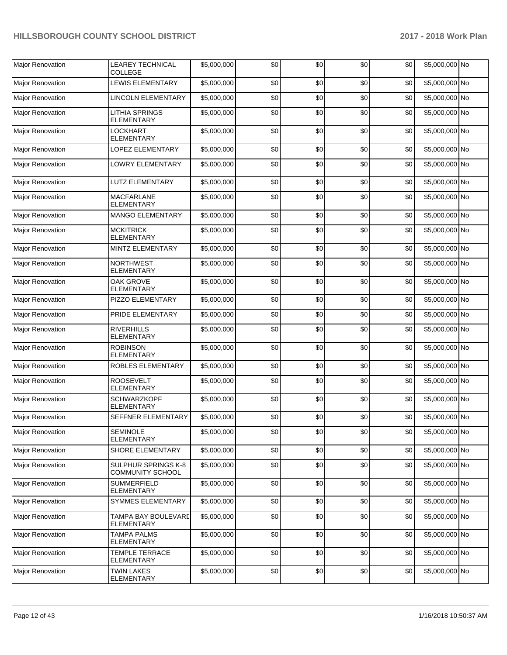| <b>Major Renovation</b> | <b>LEAREY TECHNICAL</b><br><b>COLLEGE</b>      | \$5,000,000 | \$0 | \$0 | \$0 | \$0 | \$5,000,000 No |  |
|-------------------------|------------------------------------------------|-------------|-----|-----|-----|-----|----------------|--|
| Major Renovation        | LEWIS ELEMENTARY                               | \$5,000,000 | \$0 | \$0 | \$0 | \$0 | \$5,000,000 No |  |
| Major Renovation        | <b>LINCOLN ELEMENTARY</b>                      | \$5,000,000 | \$0 | \$0 | \$0 | \$0 | \$5,000,000 No |  |
| Major Renovation        | LITHIA SPRINGS<br><b>ELEMENTARY</b>            | \$5,000,000 | \$0 | \$0 | \$0 | \$0 | \$5,000,000 No |  |
| <b>Major Renovation</b> | LOCKHART<br><b>ELEMENTARY</b>                  | \$5,000,000 | \$0 | \$0 | \$0 | \$0 | \$5,000,000 No |  |
| <b>Major Renovation</b> | <b>LOPEZ ELEMENTARY</b>                        | \$5,000,000 | \$0 | \$0 | \$0 | \$0 | \$5,000,000 No |  |
| Major Renovation        | <b>LOWRY ELEMENTARY</b>                        | \$5,000,000 | \$0 | \$0 | \$0 | \$0 | \$5,000,000 No |  |
| Major Renovation        | <b>LUTZ ELEMENTARY</b>                         | \$5,000,000 | \$0 | \$0 | \$0 | \$0 | \$5,000,000 No |  |
| <b>Major Renovation</b> | <b>MACFARLANE</b><br><b>ELEMENTARY</b>         | \$5,000,000 | \$0 | \$0 | \$0 | \$0 | \$5,000,000 No |  |
| Major Renovation        | <b>MANGO ELEMENTARY</b>                        | \$5,000,000 | \$0 | \$0 | \$0 | \$0 | \$5,000,000 No |  |
| <b>Major Renovation</b> | <b>MCKITRICK</b><br><b>ELEMENTARY</b>          | \$5,000,000 | \$0 | \$0 | \$0 | \$0 | \$5,000,000 No |  |
| <b>Maior Renovation</b> | MINTZ ELEMENTARY                               | \$5,000,000 | \$0 | \$0 | \$0 | \$0 | \$5,000,000 No |  |
| Major Renovation        | <b>NORTHWEST</b><br><b>ELEMENTARY</b>          | \$5,000,000 | \$0 | \$0 | \$0 | \$0 | \$5,000,000 No |  |
| Major Renovation        | OAK GROVE<br><b>ELEMENTARY</b>                 | \$5,000,000 | \$0 | \$0 | \$0 | \$0 | \$5,000,000 No |  |
| Major Renovation        | PIZZO ELEMENTARY                               | \$5,000,000 | \$0 | \$0 | \$0 | \$0 | \$5,000,000 No |  |
| <b>Major Renovation</b> | PRIDE ELEMENTARY                               | \$5,000,000 | \$0 | \$0 | \$0 | \$0 | \$5,000,000 No |  |
| <b>Major Renovation</b> | <b>RIVERHILLS</b><br><b>ELEMENTARY</b>         | \$5,000,000 | \$0 | \$0 | \$0 | \$0 | \$5,000,000 No |  |
| <b>Major Renovation</b> | <b>ROBINSON</b><br><b>ELEMENTARY</b>           | \$5,000,000 | \$0 | \$0 | \$0 | \$0 | \$5,000,000 No |  |
| <b>Major Renovation</b> | ROBLES ELEMENTARY                              | \$5,000,000 | \$0 | \$0 | \$0 | \$0 | \$5,000,000 No |  |
| Major Renovation        | <b>ROOSEVELT</b><br><b>ELEMENTARY</b>          | \$5,000,000 | \$0 | \$0 | \$0 | \$0 | \$5,000,000 No |  |
| Major Renovation        | <b>SCHWARZKOPF</b><br><b>ELEMENTARY</b>        | \$5,000,000 | \$0 | \$0 | \$0 | \$0 | \$5,000,000 No |  |
| <b>Major Renovation</b> | <b>SEFFNER ELEMENTARY</b>                      | \$5,000,000 | \$0 | \$0 | \$0 | \$0 | \$5,000,000 No |  |
| <b>Major Renovation</b> | <b>SEMINOLE</b><br><b>ELEMENTARY</b>           | \$5,000,000 | \$0 | \$0 | \$0 | \$0 | \$5,000,000 No |  |
| Major Renovation        | <b>SHORE ELEMENTARY</b>                        | \$5,000,000 | \$0 | \$0 | \$0 | \$0 | \$5,000,000 No |  |
| Major Renovation        | SULPHUR SPRINGS K-8<br><b>COMMUNITY SCHOOL</b> | \$5,000,000 | \$0 | \$0 | \$0 | \$0 | \$5,000,000 No |  |
| Major Renovation        | <b>SUMMERFIELD</b><br><b>ELEMENTARY</b>        | \$5,000,000 | \$0 | \$0 | \$0 | \$0 | \$5,000,000 No |  |
| <b>Major Renovation</b> | <b>SYMMES ELEMENTARY</b>                       | \$5,000,000 | \$0 | \$0 | \$0 | \$0 | \$5,000,000 No |  |
| <b>Major Renovation</b> | TAMPA BAY BOULEVARD<br>ELEMENTARY              | \$5,000,000 | \$0 | \$0 | \$0 | \$0 | \$5,000,000 No |  |
| Major Renovation        | <b>TAMPA PALMS</b><br>ELEMENTARY               | \$5,000,000 | \$0 | \$0 | \$0 | \$0 | \$5,000,000 No |  |
| Major Renovation        | <b>TEMPLE TERRACE</b><br><b>ELEMENTARY</b>     | \$5,000,000 | \$0 | \$0 | \$0 | \$0 | \$5,000,000 No |  |
| Major Renovation        | <b>TWIN LAKES</b><br>ELEMENTARY                | \$5,000,000 | \$0 | \$0 | \$0 | \$0 | \$5,000,000 No |  |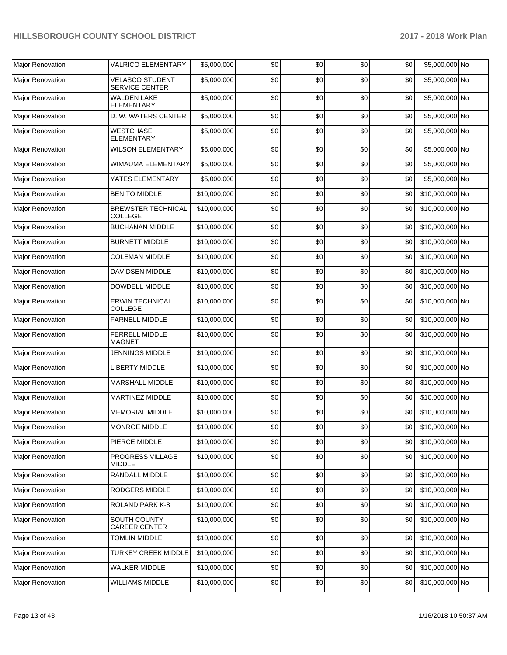| Major Renovation        | <b>VALRICO ELEMENTARY</b>                       | \$5,000,000  | \$0 | \$0 | \$0 | \$0 | \$5,000,000 No  |  |
|-------------------------|-------------------------------------------------|--------------|-----|-----|-----|-----|-----------------|--|
|                         |                                                 |              |     |     |     |     |                 |  |
| <b>Major Renovation</b> | <b>VELASCO STUDENT</b><br><b>SERVICE CENTER</b> | \$5,000,000  | \$0 | \$0 | \$0 | \$0 | \$5,000,000 No  |  |
| <b>Major Renovation</b> | <b>WALDEN LAKE</b><br><b>ELEMENTARY</b>         | \$5,000,000  | \$0 | \$0 | \$0 | \$0 | \$5,000,000 No  |  |
| Major Renovation        | D. W. WATERS CENTER                             | \$5,000,000  | \$0 | \$0 | \$0 | \$0 | \$5,000,000 No  |  |
| Major Renovation        | <b>WESTCHASE</b><br><b>ELEMENTARY</b>           | \$5,000,000  | \$0 | \$0 | \$0 | \$0 | \$5,000,000 No  |  |
| Major Renovation        | <b>WILSON ELEMENTARY</b>                        | \$5,000,000  | \$0 | \$0 | \$0 | \$0 | \$5,000,000 No  |  |
| Major Renovation        | WIMAUMA ELEMENTARY                              | \$5,000,000  | \$0 | \$0 | \$0 | \$0 | \$5,000,000 No  |  |
| Major Renovation        | YATES ELEMENTARY                                | \$5,000,000  | \$0 | \$0 | \$0 | \$0 | \$5,000,000 No  |  |
| Major Renovation        | <b>BENITO MIDDLE</b>                            | \$10,000,000 | \$0 | \$0 | \$0 | \$0 | \$10,000,000 No |  |
| Major Renovation        | <b>BREWSTER TECHNICAL</b><br><b>COLLEGE</b>     | \$10,000,000 | \$0 | \$0 | \$0 | \$0 | \$10,000,000 No |  |
| <b>Major Renovation</b> | <b>BUCHANAN MIDDLE</b>                          | \$10,000,000 | \$0 | \$0 | \$0 | \$0 | \$10,000,000 No |  |
| Major Renovation        | <b>BURNETT MIDDLE</b>                           | \$10,000,000 | \$0 | \$0 | \$0 | \$0 | \$10,000,000 No |  |
| Major Renovation        | <b>COLEMAN MIDDLE</b>                           | \$10,000,000 | \$0 | \$0 | \$0 | \$0 | \$10,000,000 No |  |
| Major Renovation        | DAVIDSEN MIDDLE                                 | \$10,000,000 | \$0 | \$0 | \$0 | \$0 | \$10,000,000 No |  |
| <b>Major Renovation</b> | DOWDELL MIDDLE                                  | \$10,000,000 | \$0 | \$0 | \$0 | \$0 | \$10,000,000 No |  |
| Major Renovation        | <b>ERWIN TECHNICAL</b><br>COLLEGE               | \$10,000,000 | \$0 | \$0 | \$0 | \$0 | \$10,000,000 No |  |
| Major Renovation        | <b>FARNELL MIDDLE</b>                           | \$10,000,000 | \$0 | \$0 | \$0 | \$0 | \$10,000,000 No |  |
| Major Renovation        | FERRELL MIDDLE<br><b>MAGNET</b>                 | \$10,000,000 | \$0 | \$0 | \$0 | \$0 | \$10,000,000 No |  |
| Major Renovation        | <b>JENNINGS MIDDLE</b>                          | \$10,000,000 | \$0 | \$0 | \$0 | \$0 | \$10,000,000 No |  |
| Major Renovation        | <b>LIBERTY MIDDLE</b>                           | \$10,000,000 | \$0 | \$0 | \$0 | \$0 | \$10,000,000 No |  |
| Major Renovation        | <b>MARSHALL MIDDLE</b>                          | \$10,000,000 | \$0 | \$0 | \$0 | \$0 | \$10,000,000 No |  |
| Major Renovation        | MARTINEZ MIDDLE                                 | \$10,000,000 | \$0 | \$0 | \$0 | \$0 | \$10,000,000 No |  |
| <b>Major Renovation</b> | <b>MEMORIAL MIDDLE</b>                          | \$10,000,000 | \$0 | \$0 | \$0 | \$0 | \$10,000,000 No |  |
| Major Renovation        | MONROE MIDDLE                                   | \$10,000,000 | \$0 | \$0 | \$0 | \$0 | \$10,000,000 No |  |
| Major Renovation        | PIERCE MIDDLE                                   | \$10,000,000 | \$0 | \$0 | \$0 | \$0 | \$10,000,000 No |  |
| Major Renovation        | PROGRESS VILLAGE<br><b>MIDDLE</b>               | \$10,000,000 | \$0 | \$0 | \$0 | \$0 | \$10,000,000 No |  |
| Major Renovation        | RANDALL MIDDLE                                  | \$10,000,000 | \$0 | \$0 | \$0 | \$0 | \$10,000,000 No |  |
| Major Renovation        | RODGERS MIDDLE                                  | \$10,000,000 | \$0 | \$0 | \$0 | \$0 | \$10,000,000 No |  |
| Major Renovation        | ROLAND PARK K-8                                 | \$10,000,000 | \$0 | \$0 | \$0 | \$0 | \$10,000,000 No |  |
| <b>Major Renovation</b> | SOUTH COUNTY<br>CAREER CENTER                   | \$10,000,000 | \$0 | \$0 | \$0 | \$0 | \$10,000,000 No |  |
| Major Renovation        | <b>TOMLIN MIDDLE</b>                            | \$10,000,000 | \$0 | \$0 | \$0 | \$0 | \$10,000,000 No |  |
| Major Renovation        | TURKEY CREEK MIDDLE                             | \$10,000,000 | \$0 | \$0 | \$0 | \$0 | \$10,000,000 No |  |
| Major Renovation        | WALKER MIDDLE                                   | \$10,000,000 | \$0 | \$0 | \$0 | \$0 | \$10,000,000 No |  |
| Major Renovation        | <b>WILLIAMS MIDDLE</b>                          | \$10,000,000 | \$0 | \$0 | \$0 | \$0 | \$10,000,000 No |  |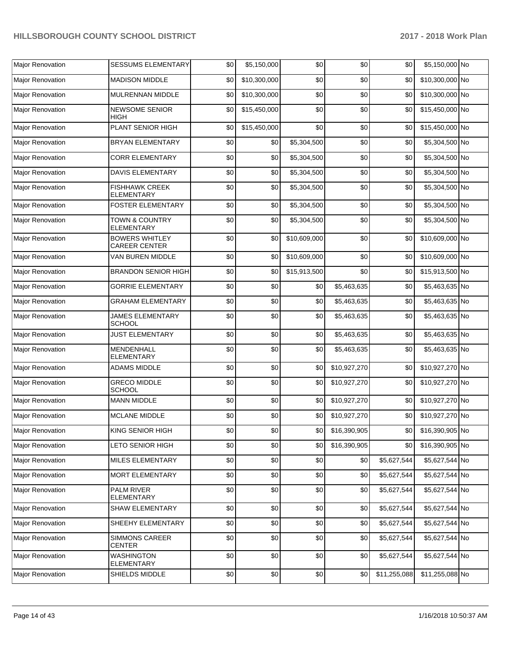| Major Renovation        | <b>SESSUMS ELEMENTARY</b>                     | \$0 | \$5,150,000  | \$0          | \$0              | \$0          | \$5,150,000 No      |  |
|-------------------------|-----------------------------------------------|-----|--------------|--------------|------------------|--------------|---------------------|--|
| Major Renovation        | <b>MADISON MIDDLE</b>                         | \$0 | \$10,300,000 | \$0          | \$0              | \$0          | \$10,300,000 No     |  |
| Major Renovation        | MULRENNAN MIDDLE                              | \$0 | \$10,300,000 | \$0          | \$0              | \$0          | \$10,300,000 No     |  |
| Major Renovation        | <b>NEWSOME SENIOR</b><br>HIGH                 | \$0 | \$15,450,000 | \$0          | \$0              | \$0          | \$15,450,000 No     |  |
| Major Renovation        | PLANT SENIOR HIGH                             | \$0 | \$15,450,000 | \$0          | \$0              | \$0          | \$15,450,000 No     |  |
| Major Renovation        | BRYAN ELEMENTARY                              | \$0 | \$0          | \$5,304,500  | \$0              | \$0          | \$5,304,500 No      |  |
| Major Renovation        | <b>CORR ELEMENTARY</b>                        | \$0 | \$0          | \$5,304,500  | \$0              | \$0          | \$5,304,500 No      |  |
| Major Renovation        | <b>DAVIS ELEMENTARY</b>                       | \$0 | \$0          | \$5,304,500  | \$0              | \$0          | \$5,304,500 No      |  |
| Major Renovation        | <b>FISHHAWK CREEK</b><br><b>ELEMENTARY</b>    | \$0 | \$0          | \$5,304,500  | \$0              | \$0          | \$5,304,500 No      |  |
| Major Renovation        | <b>FOSTER ELEMENTARY</b>                      | \$0 | \$0          | \$5,304,500  | \$0              | \$0          | \$5,304,500 No      |  |
| <b>Major Renovation</b> | TOWN & COUNTRY<br><b>ELEMENTARY</b>           | \$0 | \$0          | \$5,304,500  | \$0              | \$0          | \$5,304,500 No      |  |
| Major Renovation        | <b>BOWERS WHITLEY</b><br><b>CAREER CENTER</b> | \$0 | \$0          | \$10,609,000 | \$0              | \$0          | \$10,609,000 No     |  |
| Major Renovation        | VAN BUREN MIDDLE                              | \$0 | \$0          | \$10,609,000 | \$0              | \$0          | \$10,609,000 No     |  |
| Major Renovation        | <b>BRANDON SENIOR HIGH</b>                    | \$0 | \$0          | \$15,913,500 | \$0              | \$0          | \$15,913,500 No     |  |
| Major Renovation        | <b>GORRIE ELEMENTARY</b>                      | \$0 | \$0          | \$0          | \$5,463,635      | \$0          | \$5,463,635 No      |  |
| Major Renovation        | <b>GRAHAM ELEMENTARY</b>                      | \$0 | \$0          | \$0          | \$5,463,635      | \$0          | \$5,463,635 No      |  |
| Major Renovation        | <b>JAMES ELEMENTARY</b><br><b>SCHOOL</b>      | \$0 | \$0          | \$0          | \$5,463,635      | \$0          | \$5,463,635 No      |  |
| Major Renovation        | <b>JUST ELEMENTARY</b>                        | \$0 | \$0          | \$0          | \$5,463,635      | \$0          | \$5,463,635 No      |  |
| <b>Major Renovation</b> | MENDENHALL<br><b>ELEMENTARY</b>               | \$0 | \$0          | \$0          | \$5,463,635      | \$0          | \$5,463,635 No      |  |
| Major Renovation        | <b>ADAMS MIDDLE</b>                           | \$0 | \$0          | \$0          | \$10,927,270     | \$0          | \$10,927,270 No     |  |
| Major Renovation        | <b>GRECO MIDDLE</b><br><b>SCHOOL</b>          | \$0 | \$0          | \$0          | \$10,927,270     | \$0          | \$10,927,270 No     |  |
| Major Renovation        | <b>MANN MIDDLE</b>                            | \$0 | \$0          | \$0          | \$10,927,270     | \$0          | \$10,927,270 No     |  |
| Major Renovation        | <b>MCLANE MIDDLE</b>                          | \$0 | \$0          | \$0          | \$10,927,270     | \$0          | \$10,927,270 No     |  |
| Major Renovation        | KING SENIOR HIGH                              | \$0 | $$0$$        |              | \$0 \$16,390,905 |              | \$0 \$16,390,905 No |  |
| Major Renovation        | LETO SENIOR HIGH                              | \$0 | \$0          | \$0          | \$16,390,905     | \$0          | \$16,390,905 No     |  |
| Major Renovation        | MILES ELEMENTARY                              | \$0 | \$0          | \$0          | \$0              | \$5,627,544  | \$5,627,544 No      |  |
| Major Renovation        | MORT ELEMENTARY                               | \$0 | \$0          | \$0          | \$0              | \$5,627,544  | \$5,627,544 No      |  |
| Major Renovation        | PALM RIVER<br><b>ELEMENTARY</b>               | \$0 | \$0          | \$0          | \$0              | \$5,627,544  | \$5,627,544 No      |  |
| Major Renovation        | SHAW ELEMENTARY                               | \$0 | \$0          | \$0          | \$0              | \$5,627,544  | \$5,627,544 No      |  |
| Major Renovation        | SHEEHY ELEMENTARY                             | \$0 | \$0          | \$0          | \$0              | \$5,627,544  | \$5,627,544 No      |  |
| Major Renovation        | SIMMONS CAREER<br><b>CENTER</b>               | \$0 | \$0          | \$0          | \$0              | \$5,627,544  | \$5,627,544 No      |  |
| Major Renovation        | <b>WASHINGTON</b><br><b>ELEMENTARY</b>        | \$0 | \$0          | \$0          | \$0              | \$5,627,544  | \$5,627,544 No      |  |
| Major Renovation        | SHIELDS MIDDLE                                | \$0 | \$0          | \$0          | \$0              | \$11,255,088 | \$11,255,088 No     |  |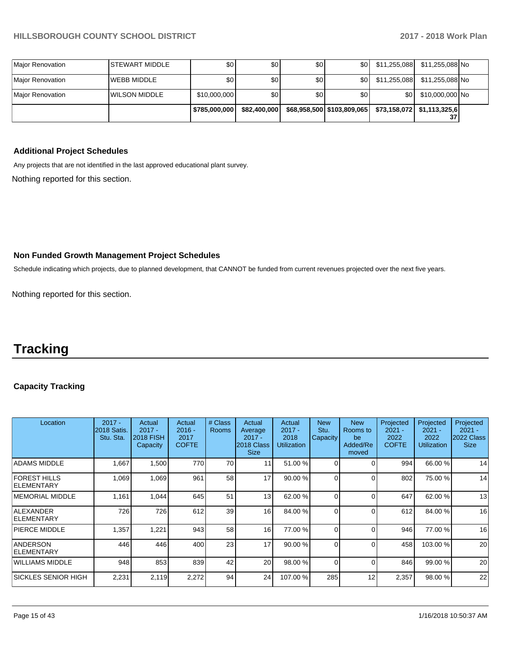|                   |                        | \$785,000,000 | \$82,400,000 |     | \$68,958,500   \$103,809,065 |                  | \$73,158,072   \$1,113,325,6  <br>37 |  |
|-------------------|------------------------|---------------|--------------|-----|------------------------------|------------------|--------------------------------------|--|
| IMaior Renovation | <b>WILSON MIDDLE</b>   | \$10,000,000  | \$0          | \$0 | \$0                          | \$0 <sub>1</sub> | \$10,000,000 No                      |  |
| IMaior Renovation | <b>WEBB MIDDLE</b>     | \$0           | \$0          | \$0 | \$0 I                        | \$11,255,088     | \$11,255,088 No                      |  |
| Major Renovation  | <b>ISTEWART MIDDLE</b> | \$0           | \$0          | \$0 | \$0 I                        | \$11,255,088     | \$11,255,088 No                      |  |

### **Additional Project Schedules**

Any projects that are not identified in the last approved educational plant survey.

Nothing reported for this section.

### **Non Funded Growth Management Project Schedules**

Schedule indicating which projects, due to planned development, that CANNOT be funded from current revenues projected over the next five years.

Nothing reported for this section.

# **Tracking**

# **Capacity Tracking**

| Location                                  | $2017 -$<br>2018 Satis.<br>Stu. Sta. | Actual<br>$2017 -$<br><b>2018 FISH</b><br>Capacity | Actual<br>$2016 -$<br>2017<br><b>COFTE</b> | # Class<br><b>Rooms</b> | Actual<br>Average<br>$2017 -$<br>2018 Class<br><b>Size</b> | Actual<br>$2017 -$<br>2018<br><b>Utilization</b> | <b>New</b><br>Stu.<br>Capacity | <b>New</b><br>Rooms to<br>be<br>Added/Re<br>moved | Projected<br>$2021 -$<br>2022<br><b>COFTE</b> | Projected<br>$2021 -$<br>2022<br><b>Utilization</b> | Projected<br>$2021 -$<br>2022 Class<br><b>Size</b> |
|-------------------------------------------|--------------------------------------|----------------------------------------------------|--------------------------------------------|-------------------------|------------------------------------------------------------|--------------------------------------------------|--------------------------------|---------------------------------------------------|-----------------------------------------------|-----------------------------------------------------|----------------------------------------------------|
| <b>ADAMS MIDDLE</b>                       | 1,667                                | 1,500                                              | 770                                        | 70                      | 11                                                         | 51.00 %                                          |                                | $\Omega$                                          | 994                                           | 66.00 %                                             | 14                                                 |
| <b>FOREST HILLS</b><br><b>IELEMENTARY</b> | 1,069                                | 1,069                                              | 961                                        | 58                      | 17                                                         | 90.00 %                                          |                                | $\Omega$                                          | 802                                           | 75.00 %                                             | 14                                                 |
| <b>MEMORIAL MIDDLE</b>                    | 1,161                                | 1,044                                              | 645                                        | 51                      | 13                                                         | 62.00 %                                          |                                | $\Omega$                                          | 647                                           | 62.00 %                                             | 13                                                 |
| <b>ALEXANDER</b><br>ELEMENTARY            | 726                                  | 726                                                | 612                                        | 39                      | 16                                                         | 84.00 %                                          | $\Omega$                       | $\Omega$                                          | 612                                           | 84.00 %                                             | 16                                                 |
| PIERCE MIDDLE                             | 1,357                                | 1,221                                              | 943                                        | 58                      | 16                                                         | 77.00 %                                          | $\Omega$                       | $\Omega$                                          | 946                                           | 77.00 %                                             | 16                                                 |
| <b>ANDERSON</b><br><b>IELEMENTARY</b>     | 446                                  | 446                                                | 400                                        | 23                      | 17                                                         | 90.00 %                                          | $\Omega$                       | $\Omega$                                          | 458                                           | 103.00 %                                            | 20                                                 |
| WILLIAMS MIDDLE                           | 948                                  | 853                                                | 839                                        | 42                      | 20                                                         | 98.00 %                                          | $\Omega$                       | $\Omega$                                          | 846                                           | 99.00 %                                             | 20                                                 |
| <b>ISICKLES SENIOR HIGH</b>               | 2,231                                | 2,119                                              | 2,272                                      | 94                      | 24                                                         | 107.00 %                                         | 285                            | 12                                                | 2,357                                         | 98.00 %                                             | 22                                                 |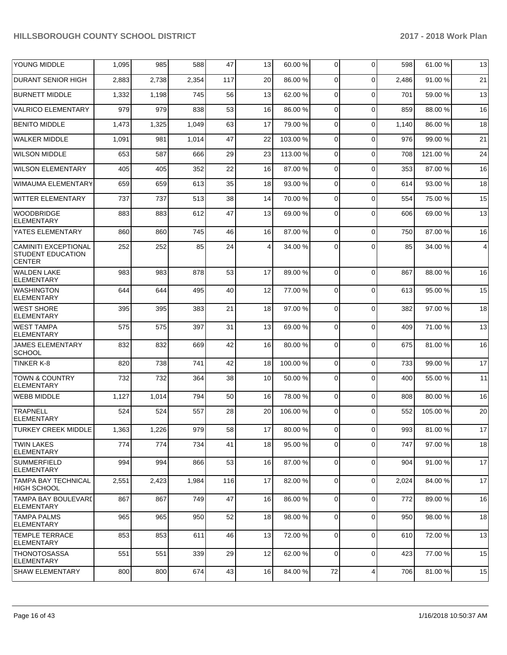| YOUNG MIDDLE                                                             | 1,095 | 985   | 588   | 47  | 13 | 60.00 %  | 0           | $\Omega$ | 598   | 61.00 %  | 13   |
|--------------------------------------------------------------------------|-------|-------|-------|-----|----|----------|-------------|----------|-------|----------|------|
| <b>DURANT SENIOR HIGH</b>                                                | 2,883 | 2,738 | 2,354 | 117 | 20 | 86.00 %  | $\Omega$    | $\Omega$ | 2,486 | 91.00 %  | 21   |
| <b>BURNETT MIDDLE</b>                                                    | 1,332 | 1,198 | 745   | 56  | 13 | 62.00 %  | $\Omega$    | $\Omega$ | 701   | 59.00 %  | 13   |
| <b>VALRICO ELEMENTARY</b>                                                | 979   | 979   | 838   | 53  | 16 | 86.00 %  | $\Omega$    | $\Omega$ | 859   | 88.00 %  | 16   |
| <b>BENITO MIDDLE</b>                                                     | 1,473 | 1,325 | 1,049 | 63  | 17 | 79.00 %  | $\Omega$    | $\Omega$ | 1,140 | 86.00 %  | 18   |
| <b>WALKER MIDDLE</b>                                                     | 1,091 | 981   | 1,014 | 47  | 22 | 103.00%  | $\Omega$    | $\Omega$ | 976   | 99.00 %  | 21   |
| <b>WILSON MIDDLE</b>                                                     | 653   | 587   | 666   | 29  | 23 | 113.00 % | $\Omega$    | $\Omega$ | 708   | 121.00%  | 24   |
| <b>WILSON ELEMENTARY</b>                                                 | 405   | 405   | 352   | 22  | 16 | 87.00 %  | $\Omega$    | $\Omega$ | 353   | 87.00 %  | 16   |
| WIMAUMA ELEMENTARY                                                       | 659   | 659   | 613   | 35  | 18 | 93.00 %  | $\Omega$    | $\Omega$ | 614   | 93.00 %  | 18   |
| <b>WITTER ELEMENTARY</b>                                                 | 737   | 737   | 513   | 38  | 14 | 70.00 %  | $\Omega$    | $\Omega$ | 554   | 75.00 %  | 15   |
| <b>WOODBRIDGE</b><br><b>ELEMENTARY</b>                                   | 883   | 883   | 612   | 47  | 13 | 69.00 %  | $\Omega$    | $\Omega$ | 606   | 69.00 %  | 13   |
| YATES ELEMENTARY                                                         | 860   | 860   | 745   | 46  | 16 | 87.00 %  | 0           | $\Omega$ | 750   | 87.00 %  | 16   |
| <b>CAMINITI EXCEPTIONAL</b><br><b>STUDENT EDUCATION</b><br><b>CENTER</b> | 252   | 252   | 85    | 24  | 4  | 34.00 %  | $\Omega$    | $\Omega$ | 85    | 34.00 %  | 4    |
| <b>WALDEN LAKE</b><br><b>ELEMENTARY</b>                                  | 983   | 983   | 878   | 53  | 17 | 89.00 %  | $\Omega$    | $\Omega$ | 867   | 88.00 %  | 16   |
| <b>WASHINGTON</b><br><b>ELEMENTARY</b>                                   | 644   | 644   | 495   | 40  | 12 | 77.00 %  | $\Omega$    | $\Omega$ | 613   | 95.00 %  | 15   |
| <b>WEST SHORE</b><br>ELEMENTARY                                          | 395   | 395   | 383   | 21  | 18 | 97.00 %  | 0           | $\Omega$ | 382   | 97.00 %  | 18   |
| <b>WEST TAMPA</b><br><b>ELEMENTARY</b>                                   | 575   | 575   | 397   | 31  | 13 | 69.00 %  | $\Omega$    | $\Omega$ | 409   | 71.00%   | 13   |
| <b>JAMES ELEMENTARY</b><br><b>SCHOOL</b>                                 | 832   | 832   | 669   | 42  | 16 | 80.00%   | $\Omega$    | $\Omega$ | 675   | 81.00 %  | 16   |
| TINKER K-8                                                               | 820   | 738   | 741   | 42  | 18 | 100.00%  | 0           | $\Omega$ | 733   | 99.00 %  | 17   |
| <b>TOWN &amp; COUNTRY</b><br><b>ELEMENTARY</b>                           | 732   | 732   | 364   | 38  | 10 | 50.00 %  | 0           | $\Omega$ | 400   | 55.00 %  | 11   |
| <b>WEBB MIDDLE</b>                                                       | 1,127 | 1,014 | 794   | 50  | 16 | 78.00 %  | 0           | $\Omega$ | 808   | 80.00 %  | 16   |
| <b>TRAPNELL</b><br><b>ELEMENTARY</b>                                     | 524   | 524   | 557   | 28  | 20 | 106.00%  | $\Omega$    | $\Omega$ | 552   | 105.00 % | 20   |
| <b>TURKEY CREEK MIDDLE</b>                                               | 1,363 | 1,226 | 979   | 58  | 17 | 80.00%   | $\mathbf 0$ | 0        | 993   | 81.00%   | $17$ |
| <b>TWIN LAKES</b><br><b>ELEMENTARY</b>                                   | 774   | 774   | 734   | 41  | 18 | 95.00 %  | 0           | $\Omega$ | 747   | 97.00 %  | 18   |
| <b>SUMMERFIELD</b><br><b>ELEMENTARY</b>                                  | 994   | 994   | 866   | 53  | 16 | 87.00 %  | 0           | $\Omega$ | 904   | 91.00 %  | 17   |
| <b>TAMPA BAY TECHNICAL</b><br><b>HIGH SCHOOL</b>                         | 2,551 | 2,423 | 1,984 | 116 | 17 | 82.00 %  | 0           | $\Omega$ | 2,024 | 84.00 %  | 17   |
| <b>TAMPA BAY BOULEVARD</b><br><b>ELEMENTARY</b>                          | 867   | 867   | 749   | 47  | 16 | 86.00 %  | $\Omega$    | $\Omega$ | 772   | 89.00 %  | 16   |
| <b>TAMPA PALMS</b><br><b>ELEMENTARY</b>                                  | 965   | 965   | 950   | 52  | 18 | 98.00 %  | 0           | $\Omega$ | 950   | 98.00 %  | 18   |
| <b>TEMPLE TERRACE</b><br><b>ELEMENTARY</b>                               | 853   | 853   | 611   | 46  | 13 | 72.00 %  | 0           | $\Omega$ | 610   | 72.00 %  | 13   |
| <b>THONOTOSASSA</b><br><b>ELEMENTARY</b>                                 | 551   | 551   | 339   | 29  | 12 | 62.00 %  | 0           | $\Omega$ | 423   | 77.00 %  | 15   |
| <b>SHAW ELEMENTARY</b>                                                   | 800   | 800   | 674   | 43  | 16 | 84.00 %  | $72\,$      | 4        | 706   | 81.00%   | 15   |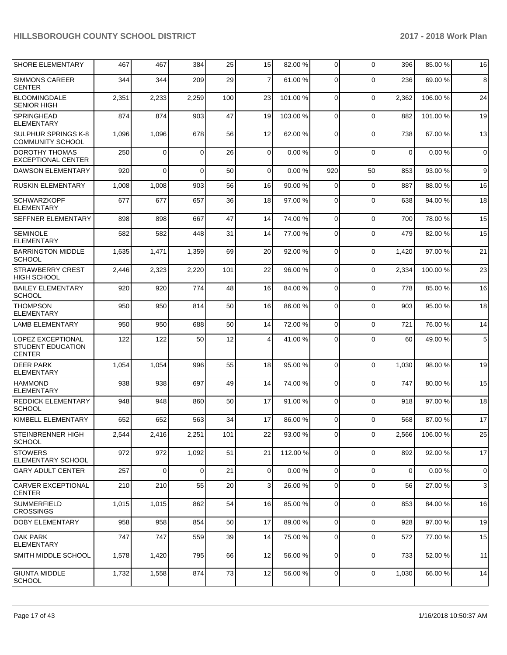| <b>SHORE ELEMENTARY</b>                                               | 467   | 467            | 384      | 25  | 15          | 82.00 %  | $\mathbf 0$    | $\Omega$       | 396         | 85.00 %  | 16          |
|-----------------------------------------------------------------------|-------|----------------|----------|-----|-------------|----------|----------------|----------------|-------------|----------|-------------|
| <b>SIMMONS CAREER</b><br><b>CENTER</b>                                | 344   | 344            | 209      | 29  | 7           | 61.00%   | 0              | $\Omega$       | 236         | 69.00 %  | 8           |
| <b>BLOOMINGDALE</b><br><b>SENIOR HIGH</b>                             | 2,351 | 2,233          | 2,259    | 100 | 23          | 101.00%  | 0              | $\Omega$       | 2,362       | 106.00%  | 24          |
| <b>SPRINGHEAD</b><br><b>ELEMENTARY</b>                                | 874   | 874            | 903      | 47  | 19          | 103.00%  | $\mathbf 0$    | $\Omega$       | 882         | 101.00%  | 19          |
| <b>SULPHUR SPRINGS K-8</b><br><b>COMMUNITY SCHOOL</b>                 | 1,096 | 1,096          | 678      | 56  | 12          | 62.00 %  | 0              | $\Omega$       | 738         | 67.00 %  | 13          |
| <b>DOROTHY THOMAS</b><br><b>EXCEPTIONAL CENTER</b>                    | 250   | 0              | $\Omega$ | 26  | $\mathbf 0$ | 0.00%    | 0              | $\Omega$       | $\mathbf 0$ | 0.00%    | $\mathbf 0$ |
| <b>DAWSON ELEMENTARY</b>                                              | 920   | $\Omega$       | $\Omega$ | 50  | $\mathbf 0$ | 0.00%    | 920            | 50             | 853         | 93.00 %  | 9           |
| <b>RUSKIN ELEMENTARY</b>                                              | 1,008 | 1,008          | 903      | 56  | 16          | 90.00 %  | $\mathbf 0$    | $\Omega$       | 887         | 88.00 %  | 16          |
| <b>SCHWARZKOPF</b><br><b>ELEMENTARY</b>                               | 677   | 677            | 657      | 36  | 18          | 97.00 %  | $\mathbf 0$    | $\Omega$       | 638         | 94.00 %  | 18          |
| <b>SEFFNER ELEMENTARY</b>                                             | 898   | 898            | 667      | 47  | 14          | 74.00 %  | $\mathbf 0$    | $\Omega$       | 700         | 78.00 %  | 15          |
| <b>SEMINOLE</b><br><b>ELEMENTARY</b>                                  | 582   | 582            | 448      | 31  | 14          | 77.00 %  | 0              | $\Omega$       | 479         | 82.00 %  | 15          |
| <b>BARRINGTON MIDDLE</b><br><b>SCHOOL</b>                             | 1,635 | 1,471          | 1,359    | 69  | 20          | 92.00 %  | 0              | $\mathbf 0$    | 1,420       | 97.00 %  | 21          |
| <b>STRAWBERRY CREST</b><br><b>HIGH SCHOOL</b>                         | 2,446 | 2,323          | 2,220    | 101 | 22          | 96.00 %  | $\mathbf 0$    | $\Omega$       | 2,334       | 100.00%  | 23          |
| <b>BAILEY ELEMENTARY</b><br><b>SCHOOL</b>                             | 920   | 920            | 774      | 48  | 16          | 84.00 %  | $\Omega$       | $\Omega$       | 778         | 85.00 %  | 16          |
| <b>THOMPSON</b><br><b>ELEMENTARY</b>                                  | 950   | 950            | 814      | 50  | 16          | 86.00 %  | 0              | $\Omega$       | 903         | 95.00 %  | 18          |
| <b>LAMB ELEMENTARY</b>                                                | 950   | 950            | 688      | 50  | 14          | 72.00 %  | $\mathbf 0$    | $\Omega$       | 721         | 76.00 %  | 14          |
| <b>LOPEZ EXCEPTIONAL</b><br><b>STUDENT EDUCATION</b><br><b>CENTER</b> | 122   | 122            | 50       | 12  | 4           | 41.00 %  | $\Omega$       | $\Omega$       | 60          | 49.00 %  | 5           |
| <b>DEER PARK</b><br><b>ELEMENTARY</b>                                 | 1,054 | 1,054          | 996      | 55  | 18          | 95.00 %  | $\Omega$       | $\Omega$       | 1,030       | 98.00 %  | 19          |
| <b>HAMMOND</b><br><b>ELEMENTARY</b>                                   | 938   | 938            | 697      | 49  | 14          | 74.00 %  | 0              | $\Omega$       | 747         | 80.00 %  | 15          |
| <b>REDDICK ELEMENTARY</b><br><b>SCHOOL</b>                            | 948   | 948            | 860      | 50  | 17          | 91.00%   | $\mathbf 0$    | $\Omega$       | 918         | 97.00 %  | 18          |
| KIMBELL ELEMENTARY                                                    | 652   | 652            | 563      | 34  | 17          | 86.00 %  | $\Omega$       | $\Omega$       | 568         | 87.00 %  | 17          |
| <b>STEINBRENNER HIGH</b><br> SCHOOL                                   | 2,544 | 2,416          | 2,251    | 101 | 22          | 93.00 %  | $\overline{0}$ | $\overline{0}$ | 2,566       | 106.00 % | 25          |
| <b>STOWERS</b><br><b>ELEMENTARY SCHOOL</b>                            | 972   | 972            | 1,092    | 51  | 21          | 112.00 % | $\overline{0}$ | $\mathbf 0$    | 892         | 92.00 %  | 17          |
| <b>GARY ADULT CENTER</b>                                              | 257   | $\overline{0}$ | $\Omega$ | 21  | $\mathbf 0$ | 0.00%    | $\overline{0}$ | $\Omega$       | 0           | 0.00%    | $\mathbf 0$ |
| <b>CARVER EXCEPTIONAL</b><br><b>CENTER</b>                            | 210   | 210            | 55       | 20  | 3           | 26.00 %  | 0              | $\Omega$       | 56          | 27.00%   | 3           |
| <b>SUMMERFIELD</b><br><b>CROSSINGS</b>                                | 1,015 | 1,015          | 862      | 54  | 16          | 85.00 %  | $\overline{0}$ | $\Omega$       | 853         | 84.00 %  | 16          |
| <b>DOBY ELEMENTARY</b>                                                | 958   | 958            | 854      | 50  | 17          | 89.00 %  | $\mathbf{0}$   | $\Omega$       | 928         | 97.00 %  | 19          |
| <b>OAK PARK</b><br><b>ELEMENTARY</b>                                  | 747   | 747            | 559      | 39  | 14          | 75.00 %  | $\mathbf 0$    | $\mathbf 0$    | 572         | 77.00 %  | 15          |
| SMITH MIDDLE SCHOOL                                                   | 1,578 | 1,420          | 795      | 66  | 12          | 56.00 %  | 0              | $\Omega$       | 733         | 52.00 %  | 11          |
| <b>GIUNTA MIDDLE</b><br><b>SCHOOL</b>                                 | 1,732 | 1,558          | 874      | 73  | 12          | 56.00 %  | $\mathbf 0$    | 0              | 1,030       | 66.00 %  | 14          |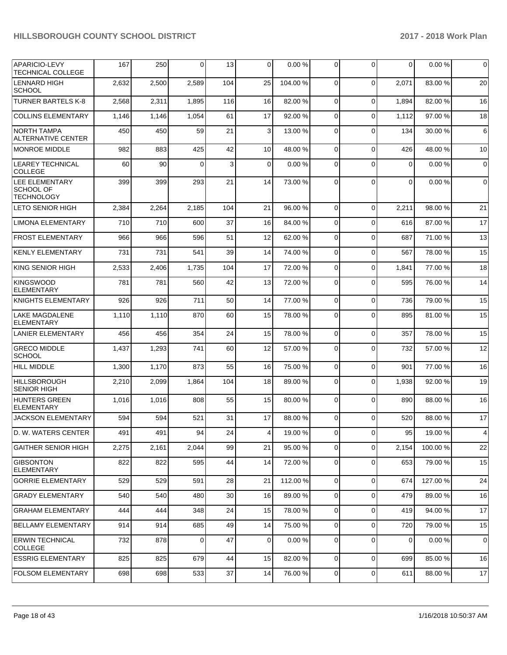| <b>APARICIO-LEVY</b><br><b>TECHNICAL COLLEGE</b>        | 167   | 250   | $\mathbf 0$ | 13  | $\mathbf 0$     | 0.00%    | $\mathbf 0$    | $\Omega$       | $\Omega$    | 0.00%   | $\Omega$    |
|---------------------------------------------------------|-------|-------|-------------|-----|-----------------|----------|----------------|----------------|-------------|---------|-------------|
| <b>LENNARD HIGH</b><br><b>SCHOOL</b>                    | 2,632 | 2,500 | 2,589       | 104 | 25              | 104.00%  | $\Omega$       | $\Omega$       | 2,071       | 83.00 % | 20          |
| <b>TURNER BARTELS K-8</b>                               | 2,568 | 2,311 | 1,895       | 116 | 16              | 82.00 %  | $\Omega$       | $\Omega$       | 1,894       | 82.00 % | 16          |
| <b>COLLINS ELEMENTARY</b>                               | 1,146 | 1,146 | 1,054       | 61  | 17              | 92.00 %  | $\Omega$       | $\Omega$       | 1,112       | 97.00 % | 18          |
| <b>NORTH TAMPA</b><br>ALTERNATIVE CENTER                | 450   | 450   | 59          | 21  | 3               | 13.00 %  | $\Omega$       | $\Omega$       | 134         | 30.00 % | 6           |
| <b>MONROE MIDDLE</b>                                    | 982   | 883   | 425         | 42  | 10              | 48.00 %  | $\Omega$       | $\Omega$       | 426         | 48.00 % | 10          |
| <b>LEAREY TECHNICAL</b><br><b>COLLEGE</b>               | 60    | 90    | $\Omega$    | 3   | $\mathbf 0$     | 0.00%    | 0              | $\Omega$       | $\Omega$    | 0.00%   | 0           |
| LEE ELEMENTARY<br><b>SCHOOL OF</b><br><b>TECHNOLOGY</b> | 399   | 399   | 293         | 21  | 14              | 73.00 %  | $\Omega$       | $\Omega$       | $\mathbf 0$ | 0.00%   | $\mathbf 0$ |
| <b>LETO SENIOR HIGH</b>                                 | 2,384 | 2,264 | 2,185       | 104 | 21              | 96.00 %  | $\Omega$       | $\Omega$       | 2,211       | 98.00 % | 21          |
| <b>LIMONA ELEMENTARY</b>                                | 710   | 710   | 600         | 37  | 16              | 84.00 %  | $\Omega$       | $\Omega$       | 616         | 87.00 % | 17          |
| <b>FROST ELEMENTARY</b>                                 | 966   | 966   | 596         | 51  | 12              | 62.00 %  | $\Omega$       | $\Omega$       | 687         | 71.00 % | 13          |
| <b>KENLY ELEMENTARY</b>                                 | 731   | 731   | 541         | 39  | 14              | 74.00 %  | $\Omega$       | $\Omega$       | 567         | 78.00 % | 15          |
| <b>KING SENIOR HIGH</b>                                 | 2,533 | 2,406 | 1,735       | 104 | 17              | 72.00 %  | $\Omega$       | $\Omega$       | 1,841       | 77.00 % | 18          |
| KINGSWOOD<br>ELEMENTARY                                 | 781   | 781   | 560         | 42  | 13              | 72.00 %  | $\Omega$       | $\Omega$       | 595         | 76.00 % | 14          |
| <b>KNIGHTS ELEMENTARY</b>                               | 926   | 926   | 711         | 50  | 14              | 77.00 %  | $\mathbf 0$    | $\Omega$       | 736         | 79.00 % | 15          |
| <b>LAKE MAGDALENE</b><br><b>ELEMENTARY</b>              | 1,110 | 1,110 | 870         | 60  | 15              | 78.00 %  | $\Omega$       | $\Omega$       | 895         | 81.00%  | 15          |
| <b>LANIER ELEMENTARY</b>                                | 456   | 456   | 354         | 24  | 15              | 78.00 %  | $\mathbf 0$    | $\Omega$       | 357         | 78.00 % | 15          |
| <b>GRECO MIDDLE</b><br><b>SCHOOL</b>                    | 1,437 | 1,293 | 741         | 60  | 12              | 57.00 %  | 0              | 0              | 732         | 57.00 % | 12          |
| <b>HILL MIDDLE</b>                                      | 1,300 | 1,170 | 873         | 55  | 16              | 75.00 %  | $\Omega$       | $\Omega$       | 901         | 77.00 % | 16          |
| HILLSBOROUGH<br><b>SENIOR HIGH</b>                      | 2,210 | 2,099 | 1,864       | 104 | 18              | 89.00 %  | $\Omega$       | $\Omega$       | 1,938       | 92.00 % | 19          |
| <b>HUNTERS GREEN</b><br><b>ELEMENTARY</b>               | 1,016 | 1,016 | 808         | 55  | 15              | 80.00 %  | $\mathbf 0$    | $\Omega$       | 890         | 88.00 % | 16          |
| <b>JACKSON ELEMENTARY</b>                               | 594   | 594   | 521         | 31  | 17              | 88.00 %  | 0              | 0              | 520         | 88.00 % | 17          |
| D. W. WATERS CENTER                                     | 491   | 491   | 94          | 24  | 4 <sub>l</sub>  | 19.00%   | $\overline{0}$ | οI             | 95          | 19.00 % | 4           |
| <b>GAITHER SENIOR HIGH</b>                              | 2,275 | 2,161 | 2,044       | 99  | 21              | 95.00 %  | 0              | $\Omega$       | 2,154       | 100.00% | 22          |
| <b>GIBSONTON</b><br><b>ELEMENTARY</b>                   | 822   | 822   | 595         | 44  | 14              | 72.00 %  | $\mathbf 0$    | 0              | 653         | 79.00 % | 15          |
| <b>GORRIE ELEMENTARY</b>                                | 529   | 529   | 591         | 28  | 21              | 112.00 % | $\mathbf 0$    | $\Omega$       | 674         | 127.00% | 24          |
| <b>GRADY ELEMENTARY</b>                                 | 540   | 540   | 480         | 30  | 16              | 89.00 %  | $\mathbf 0$    | $\Omega$       | 479         | 89.00 % | 16          |
| <b>GRAHAM ELEMENTARY</b>                                | 444   | 444   | 348         | 24  | 15              | 78.00 %  | $\mathbf 0$    | $\Omega$       | 419         | 94.00 % | 17          |
| <b>BELLAMY ELEMENTARY</b>                               | 914   | 914   | 685         | 49  | 14              | 75.00 %  | $\mathbf 0$    | $\Omega$       | 720         | 79.00 % | 15          |
| <b>ERWIN TECHNICAL</b><br><b>COLLEGE</b>                | 732   | 878   | 0           | 47  | 0               | 0.00%    | $\mathbf 0$    | $\Omega$       | 0           | 0.00%   | 0           |
| <b>ESSRIG ELEMENTARY</b>                                | 825   | 825   | 679         | 44  | 15 <sup>1</sup> | 82.00 %  | 0              | $\overline{0}$ | 699         | 85.00 % | 16          |
| <b>FOLSOM ELEMENTARY</b>                                | 698   | 698   | 533         | 37  | 14              | 76.00%   | $\mathbf 0$    | $\overline{0}$ | 611         | 88.00%  | 17          |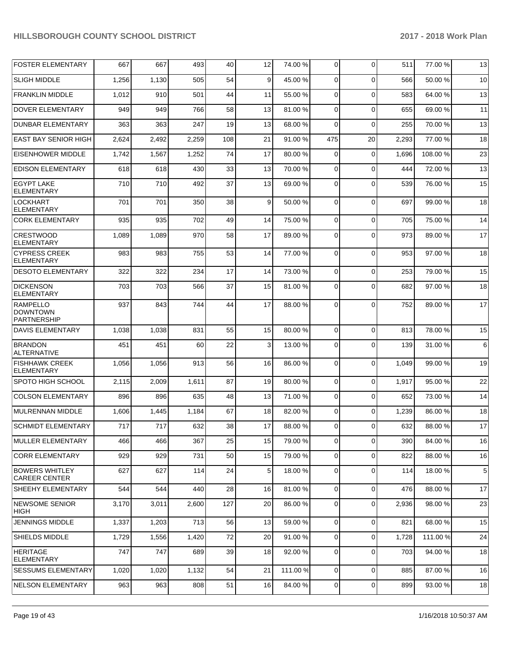| <b>FOSTER ELEMENTARY</b>                                 | 667   | 667   | 493   | 40  | 12 | 74.00 %  | 0           | $\Omega$       | 511   | 77.00 %  | 13 |
|----------------------------------------------------------|-------|-------|-------|-----|----|----------|-------------|----------------|-------|----------|----|
| <b>SLIGH MIDDLE</b>                                      | 1,256 | 1,130 | 505   | 54  | 9  | 45.00 %  | $\Omega$    | $\Omega$       | 566   | 50.00 %  | 10 |
| <b>FRANKLIN MIDDLE</b>                                   | 1,012 | 910   | 501   | 44  | 11 | 55.00 %  | 0           | $\Omega$       | 583   | 64.00 %  | 13 |
| <b>DOVER ELEMENTARY</b>                                  | 949   | 949   | 766   | 58  | 13 | 81.00%   | 0           | $\Omega$       | 655   | 69.00 %  | 11 |
| <b>DUNBAR ELEMENTARY</b>                                 | 363   | 363   | 247   | 19  | 13 | 68.00%   | 0           | $\Omega$       | 255   | 70.00 %  | 13 |
| <b>EAST BAY SENIOR HIGH</b>                              | 2,624 | 2,492 | 2,259 | 108 | 21 | 91.00%   | 475         | 20             | 2,293 | 77.00 %  | 18 |
| <b>EISENHOWER MIDDLE</b>                                 | 1,742 | 1,567 | 1,252 | 74  | 17 | 80.00%   | 0           | $\Omega$       | 1,696 | 108.00%  | 23 |
| <b>EDISON ELEMENTARY</b>                                 | 618   | 618   | 430   | 33  | 13 | 70.00%   | 0           | $\Omega$       | 444   | 72.00 %  | 13 |
| <b>EGYPT LAKE</b><br><b>ELEMENTARY</b>                   | 710   | 710   | 492   | 37  | 13 | 69.00 %  | $\Omega$    | $\Omega$       | 539   | 76.00 %  | 15 |
| <b>LOCKHART</b><br><b>ELEMENTARY</b>                     | 701   | 701   | 350   | 38  | 9  | 50.00 %  | $\Omega$    | $\Omega$       | 697   | 99.00 %  | 18 |
| <b>CORK ELEMENTARY</b>                                   | 935   | 935   | 702   | 49  | 14 | 75.00 %  | 0           | $\Omega$       | 705   | 75.00 %  | 14 |
| <b>CRESTWOOD</b><br>ELEMENTARY                           | 1,089 | 1,089 | 970   | 58  | 17 | 89.00 %  | 0           | $\Omega$       | 973   | 89.00 %  | 17 |
| <b>CYPRESS CREEK</b><br><b>ELEMENTARY</b>                | 983   | 983   | 755   | 53  | 14 | 77.00 %  | $\Omega$    | $\Omega$       | 953   | 97.00 %  | 18 |
| <b>DESOTO ELEMENTARY</b>                                 | 322   | 322   | 234   | 17  | 14 | 73.00 %  | $\Omega$    | $\Omega$       | 253   | 79.00 %  | 15 |
| <b>DICKENSON</b><br><b>ELEMENTARY</b>                    | 703   | 703   | 566   | 37  | 15 | 81.00 %  | $\Omega$    | $\Omega$       | 682   | 97.00 %  | 18 |
| <b>RAMPELLO</b><br><b>DOWNTOWN</b><br><b>PARTNERSHIP</b> | 937   | 843   | 744   | 44  | 17 | 88.00 %  | $\Omega$    | $\Omega$       | 752   | 89.00 %  | 17 |
| DAVIS ELEMENTARY                                         | 1,038 | 1,038 | 831   | 55  | 15 | 80.00 %  | 0           | $\Omega$       | 813   | 78.00 %  | 15 |
| <b>BRANDON</b><br>ALTERNATIVE                            | 451   | 451   | 60    | 22  | 3  | 13.00 %  | $\Omega$    | $\Omega$       | 139   | 31.00 %  | 6  |
| <b>FISHHAWK CREEK</b><br><b>ELEMENTARY</b>               | 1,056 | 1,056 | 913   | 56  | 16 | 86.00 %  | $\Omega$    | $\Omega$       | 1,049 | 99.00 %  | 19 |
| SPOTO HIGH SCHOOL                                        | 2,115 | 2,009 | 1,611 | 87  | 19 | 80.00%   | 0           | $\Omega$       | 1,917 | 95.00 %  | 22 |
| <b>COLSON ELEMENTARY</b>                                 | 896   | 896   | 635   | 48  | 13 | 71.00 %  | 0           | $\Omega$       | 652   | 73.00 %  | 14 |
| MULRENNAN MIDDLE                                         | 1,606 | 1,445 | 1,184 | 67  | 18 | 82.00 %  | $\mathbf 0$ | $\Omega$       | 1,239 | 86.00 %  | 18 |
| <b>SCHMIDT ELEMENTARY</b>                                | 717   | 717   | 632   | 38  | 17 | 88.00 %  | $\Omega$    | $\Omega$       | 632   | 88.00 %  | 17 |
| <b>MULLER ELEMENTARY</b>                                 | 466   | 466   | 367   | 25  | 15 | 79.00 %  | 0           | $\Omega$       | 390   | 84.00 %  | 16 |
| <b>CORR ELEMENTARY</b>                                   | 929   | 929   | 731   | 50  | 15 | 79.00 %  | $\mathbf 0$ | $\Omega$       | 822   | 88.00 %  | 16 |
| <b>BOWERS WHITLEY</b><br><b>CAREER CENTER</b>            | 627   | 627   | 114   | 24  | 5  | 18.00 %  | 0           | $\Omega$       | 114   | 18.00 %  | 5  |
| SHEEHY ELEMENTARY                                        | 544   | 544   | 440   | 28  | 16 | 81.00 %  | $\mathbf 0$ | $\Omega$       | 476   | 88.00 %  | 17 |
| NEWSOME SENIOR<br>HIGH                                   | 3,170 | 3,011 | 2,600 | 127 | 20 | 86.00 %  | $\mathbf 0$ | $\Omega$       | 2,936 | 98.00 %  | 23 |
| <b>JENNINGS MIDDLE</b>                                   | 1,337 | 1,203 | 713   | 56  | 13 | 59.00 %  | 0           | $\Omega$       | 821   | 68.00 %  | 15 |
| SHIELDS MIDDLE                                           | 1,729 | 1,556 | 1,420 | 72  | 20 | 91.00 %  | $\mathbf 0$ | $\overline{0}$ | 1,728 | 111.00 % | 24 |
| <b>HERITAGE</b><br><b>ELEMENTARY</b>                     | 747   | 747   | 689   | 39  | 18 | 92.00 %  | 0           | $\mathbf 0$    | 703   | 94.00 %  | 18 |
| <b>SESSUMS ELEMENTARY</b>                                | 1,020 | 1,020 | 1,132 | 54  | 21 | 111.00 % | $\mathbf 0$ | $\mathbf 0$    | 885   | 87.00 %  | 16 |
| NELSON ELEMENTARY                                        | 963   | 963   | 808   | 51  | 16 | 84.00 %  | 0           | 0              | 899   | 93.00 %  | 18 |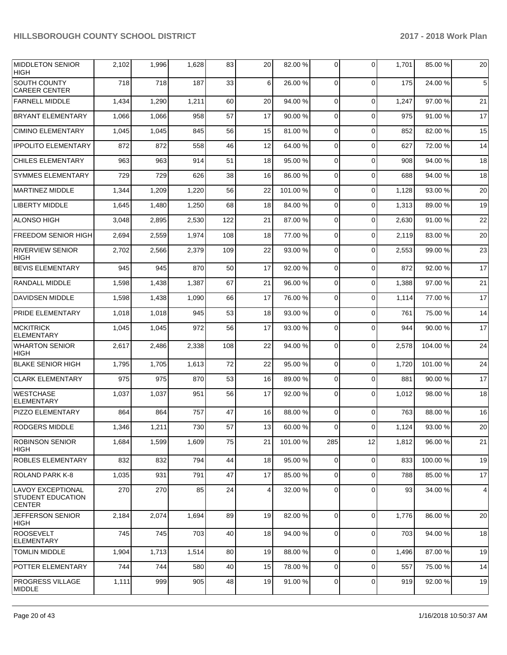| <b>MIDDLETON SENIOR</b><br><b>HIGH</b>                                | 2,102 | 1,996 | 1,628 | 83  | 20             | 82.00 % | 0              | $\Omega$ | 1,701 | 85.00 % | 20 |
|-----------------------------------------------------------------------|-------|-------|-------|-----|----------------|---------|----------------|----------|-------|---------|----|
| SOUTH COUNTY<br><b>CAREER CENTER</b>                                  | 718   | 718   | 187   | 33  | 6              | 26.00 % | $\mathbf 0$    | $\Omega$ | 175   | 24.00 % | 5  |
| <b>FARNELL MIDDLE</b>                                                 | 1,434 | 1,290 | 1,211 | 60  | 20             | 94.00 % | $\mathbf 0$    | $\Omega$ | 1,247 | 97.00 % | 21 |
| <b>BRYANT ELEMENTARY</b>                                              | 1,066 | 1,066 | 958   | 57  | 17             | 90.00 % | $\mathbf 0$    | $\Omega$ | 975   | 91.00 % | 17 |
| <b>CIMINO ELEMENTARY</b>                                              | 1,045 | 1,045 | 845   | 56  | 15             | 81.00 % | 0              | $\Omega$ | 852   | 82.00 % | 15 |
| <b>IPPOLITO ELEMENTARY</b>                                            | 872   | 872   | 558   | 46  | 12             | 64.00%  | $\mathbf 0$    | $\Omega$ | 627   | 72.00 % | 14 |
| <b>CHILES ELEMENTARY</b>                                              | 963   | 963   | 914   | 51  | 18             | 95.00 % | $\mathbf 0$    | $\Omega$ | 908   | 94.00 % | 18 |
| <b>SYMMES ELEMENTARY</b>                                              | 729   | 729   | 626   | 38  | 16             | 86.00%  | $\mathbf 0$    | $\Omega$ | 688   | 94.00 % | 18 |
| <b>MARTINEZ MIDDLE</b>                                                | 1,344 | 1,209 | 1,220 | 56  | 22             | 101.00% | $\mathbf 0$    | $\Omega$ | 1,128 | 93.00 % | 20 |
| <b>LIBERTY MIDDLE</b>                                                 | 1,645 | 1,480 | 1,250 | 68  | 18             | 84.00%  | $\mathbf 0$    | 0        | 1,313 | 89.00 % | 19 |
| <b>ALONSO HIGH</b>                                                    | 3,048 | 2,895 | 2,530 | 122 | 21             | 87.00 % | 0              | $\Omega$ | 2,630 | 91.00 % | 22 |
| <b>FREEDOM SENIOR HIGH</b>                                            | 2,694 | 2,559 | 1,974 | 108 | 18             | 77.00 % | $\mathbf 0$    | $\Omega$ | 2,119 | 83.00 % | 20 |
| <b>RIVERVIEW SENIOR</b><br><b>HIGH</b>                                | 2,702 | 2,566 | 2,379 | 109 | 22             | 93.00 % | 0              | $\Omega$ | 2,553 | 99.00 % | 23 |
| <b>BEVIS ELEMENTARY</b>                                               | 945   | 945   | 870   | 50  | 17             | 92.00%  | 0              | $\Omega$ | 872   | 92.00 % | 17 |
| RANDALL MIDDLE                                                        | 1,598 | 1,438 | 1,387 | 67  | 21             | 96.00 % | 0              | $\Omega$ | 1,388 | 97.00 % | 21 |
| <b>DAVIDSEN MIDDLE</b>                                                | 1,598 | 1,438 | 1,090 | 66  | 17             | 76.00 % | 0              | $\Omega$ | 1,114 | 77.00 % | 17 |
| PRIDE ELEMENTARY                                                      | 1,018 | 1,018 | 945   | 53  | 18             | 93.00 % | 0              | $\Omega$ | 761   | 75.00 % | 14 |
| <b>MCKITRICK</b><br><b>ELEMENTARY</b>                                 | 1,045 | 1,045 | 972   | 56  | 17             | 93.00 % | 0              | $\Omega$ | 944   | 90.00 % | 17 |
| <b>WHARTON SENIOR</b><br><b>HIGH</b>                                  | 2,617 | 2,486 | 2,338 | 108 | 22             | 94.00 % | 0              | $\Omega$ | 2,578 | 104.00% | 24 |
| <b>BLAKE SENIOR HIGH</b>                                              | 1,795 | 1,705 | 1,613 | 72  | 22             | 95.00%  | $\mathbf 0$    | $\Omega$ | 1,720 | 101.00% | 24 |
| <b>CLARK ELEMENTARY</b>                                               | 975   | 975   | 870   | 53  | 16             | 89.00 % | $\mathbf 0$    | $\Omega$ | 881   | 90.00 % | 17 |
| <b>WESTCHASE</b><br><b>ELEMENTARY</b>                                 | 1,037 | 1,037 | 951   | 56  | 17             | 92.00 % | 0              | $\Omega$ | 1,012 | 98.00 % | 18 |
| PIZZO ELEMENTARY                                                      | 864   | 864   | 757   | 47  | 16             | 88.00 % | 0              | $\Omega$ | 763   | 88.00 % | 16 |
| <b>RODGERS MIDDLE</b>                                                 | 1.346 | 1,211 | 730   | 57  | 13             | 60.00 % | $\overline{0}$ | $\Omega$ | 1.124 | 93.00 % | 20 |
| <b>ROBINSON SENIOR</b><br><b>HIGH</b>                                 | 1,684 | 1,599 | 1,609 | 75  | 21             | 101.00% | 285            | 12       | 1,812 | 96.00 % | 21 |
| ROBLES ELEMENTARY                                                     | 832   | 832   | 794   | 44  | 18             | 95.00 % | 0              | $\Omega$ | 833   | 100.00% | 19 |
| <b>ROLAND PARK K-8</b>                                                | 1,035 | 931   | 791   | 47  | 17             | 85.00 % | $\overline{0}$ | $\Omega$ | 788   | 85.00 % | 17 |
| <b>LAVOY EXCEPTIONAL</b><br><b>STUDENT EDUCATION</b><br><b>CENTER</b> | 270   | 270   | 85    | 24  | $\overline{4}$ | 32.00 % | 0              | $\Omega$ | 93    | 34.00 % | 4  |
| JEFFERSON SENIOR<br>HIGH                                              | 2,184 | 2,074 | 1,694 | 89  | 19             | 82.00 % | $\overline{0}$ | $\Omega$ | 1,776 | 86.00 % | 20 |
| <b>ROOSEVELT</b><br><b>ELEMENTARY</b>                                 | 745   | 745   | 703   | 40  | 18             | 94.00 % | $\overline{0}$ | $\Omega$ | 703   | 94.00 % | 18 |
| <b>TOMLIN MIDDLE</b>                                                  | 1,904 | 1,713 | 1,514 | 80  | 19             | 88.00 % | 0              | $\Omega$ | 1,496 | 87.00 % | 19 |
| POTTER ELEMENTARY                                                     | 744   | 744   | 580   | 40  | 15             | 78.00 % | 0              | $\Omega$ | 557   | 75.00 % | 14 |
| <b>PROGRESS VILLAGE</b><br><b>MIDDLE</b>                              | 1,111 | 999   | 905   | 48  | 19             | 91.00 % | 0              | 0        | 919   | 92.00 % | 19 |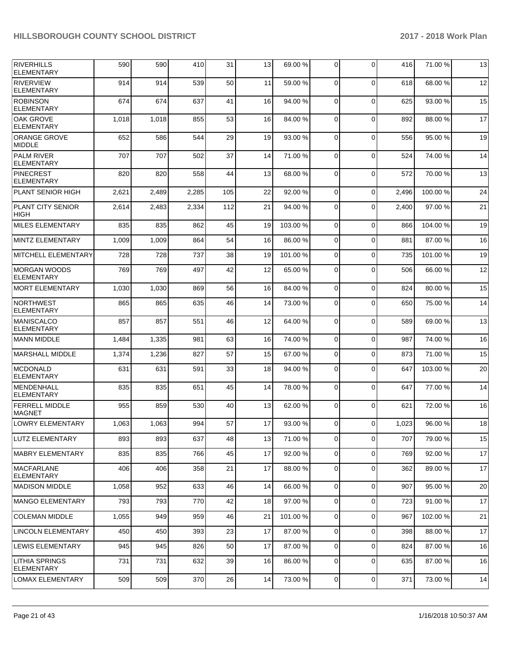| RIVERHILLS                                 | 590   | 590   | 410   | 31  | 13 | 69.00 %  | 0           | $\Omega$    | 416   | 71.00 % | 13 |
|--------------------------------------------|-------|-------|-------|-----|----|----------|-------------|-------------|-------|---------|----|
| <b>ELEMENTARY</b>                          |       |       |       |     |    |          |             |             |       |         |    |
| <b>RIVERVIEW</b><br><b>ELEMENTARY</b>      | 914   | 914   | 539   | 50  | 11 | 59.00 %  | $\mathbf 0$ | $\Omega$    | 618   | 68.00 % | 12 |
| <b>ROBINSON</b><br><b>ELEMENTARY</b>       | 674   | 674   | 637   | 41  | 16 | 94.00 %  | $\mathbf 0$ | $\Omega$    | 625   | 93.00 % | 15 |
| OAK GROVE<br><b>ELEMENTARY</b>             | 1,018 | 1,018 | 855   | 53  | 16 | 84.00 %  | 0           | $\Omega$    | 892   | 88.00 % | 17 |
| <b>ORANGE GROVE</b><br><b>MIDDLE</b>       | 652   | 586   | 544   | 29  | 19 | 93.00 %  | $\mathbf 0$ | $\Omega$    | 556   | 95.00 % | 19 |
| <b>PALM RIVER</b><br><b>ELEMENTARY</b>     | 707   | 707   | 502   | 37  | 14 | 71.00%   | $\mathbf 0$ | $\Omega$    | 524   | 74.00 % | 14 |
| <b>PINECREST</b><br><b>ELEMENTARY</b>      | 820   | 820   | 558   | 44  | 13 | 68.00 %  | 0           | $\Omega$    | 572   | 70.00 % | 13 |
| <b>PLANT SENIOR HIGH</b>                   | 2,621 | 2,489 | 2,285 | 105 | 22 | 92.00 %  | $\mathbf 0$ | $\Omega$    | 2,496 | 100.00% | 24 |
| <b>PLANT CITY SENIOR</b><br><b>HIGH</b>    | 2,614 | 2,483 | 2,334 | 112 | 21 | 94.00 %  | 0           | $\Omega$    | 2,400 | 97.00 % | 21 |
| <b>MILES ELEMENTARY</b>                    | 835   | 835   | 862   | 45  | 19 | 103.00%  | $\mathbf 0$ | $\Omega$    | 866   | 104.00% | 19 |
| <b>MINTZ ELEMENTARY</b>                    | 1,009 | 1,009 | 864   | 54  | 16 | 86.00 %  | $\mathbf 0$ | $\Omega$    | 881   | 87.00 % | 16 |
| <b>MITCHELL ELEMENTARY</b>                 | 728   | 728   | 737   | 38  | 19 | 101.00%  | $\mathbf 0$ | $\Omega$    | 735   | 101.00% | 19 |
| <b>MORGAN WOODS</b><br><b>ELEMENTARY</b>   | 769   | 769   | 497   | 42  | 12 | 65.00 %  | 0           | $\Omega$    | 506   | 66.00 % | 12 |
| <b>MORT ELEMENTARY</b>                     | 1,030 | 1,030 | 869   | 56  | 16 | 84.00 %  | 0           | $\Omega$    | 824   | 80.00 % | 15 |
| NORTHWEST<br><b>ELEMENTARY</b>             | 865   | 865   | 635   | 46  | 14 | 73.00 %  | 0           | $\Omega$    | 650   | 75.00 % | 14 |
| <b>MANISCALCO</b><br><b>ELEMENTARY</b>     | 857   | 857   | 551   | 46  | 12 | 64.00%   | $\mathbf 0$ | $\Omega$    | 589   | 69.00 % | 13 |
| <b>MANN MIDDLE</b>                         | 1,484 | 1,335 | 981   | 63  | 16 | 74.00 %  | $\mathbf 0$ | $\Omega$    | 987   | 74.00 % | 16 |
| <b>MARSHALL MIDDLE</b>                     | 1,374 | 1,236 | 827   | 57  | 15 | 67.00 %  | $\mathbf 0$ | $\Omega$    | 873   | 71.00 % | 15 |
| <b>MCDONALD</b><br><b>ELEMENTARY</b>       | 631   | 631   | 591   | 33  | 18 | 94.00 %  | 0           | $\Omega$    | 647   | 103.00% | 20 |
| <b>MENDENHALL</b><br><b>ELEMENTARY</b>     | 835   | 835   | 651   | 45  | 14 | 78.00 %  | 0           | $\Omega$    | 647   | 77.00 % | 14 |
| <b>FERRELL MIDDLE</b><br><b>MAGNET</b>     | 955   | 859   | 530   | 40  | 13 | 62.00 %  | $\mathbf 0$ | $\Omega$    | 621   | 72.00 % | 16 |
| <b>LOWRY ELEMENTARY</b>                    | 1,063 | 1,063 | 994   | 57  | 17 | 93.00 %  | $\Omega$    | $\Omega$    | 1,023 | 96.00 % | 18 |
| LUTZ ELEMENTARY                            | 893   | 893   | 637   | 48  | 13 | 71.00 %  | $\mathbf 0$ | $\Omega$    | 707   | 79.00 % | 15 |
| <b>MABRY ELEMENTARY</b>                    | 835   | 835   | 766   | 45  | 17 | 92.00 %  | $\mathbf 0$ | $\Omega$    | 769   | 92.00 % | 17 |
| <b>MACFARLANE</b><br><b>ELEMENTARY</b>     | 406   | 406   | 358   | 21  | 17 | 88.00 %  | $\mathbf 0$ | $\mathbf 0$ | 362   | 89.00 % | 17 |
| <b>MADISON MIDDLE</b>                      | 1,058 | 952   | 633   | 46  | 14 | 66.00 %  | 0           | $\mathbf 0$ | 907   | 95.00 % | 20 |
| <b>MANGO ELEMENTARY</b>                    | 793   | 793   | 770   | 42  | 18 | 97.00 %  | 0           | 0           | 723   | 91.00 % | 17 |
| <b>COLEMAN MIDDLE</b>                      | 1,055 | 949   | 959   | 46  | 21 | 101.00 % | 0           | 0           | 967   | 102.00% | 21 |
| LINCOLN ELEMENTARY                         | 450   | 450   | 393   | 23  | 17 | 87.00 %  | 0           | 0           | 398   | 88.00 % | 17 |
| LEWIS ELEMENTARY                           | 945   | 945   | 826   | 50  | 17 | 87.00 %  | 0           | 0           | 824   | 87.00 % | 16 |
| <b>LITHIA SPRINGS</b><br><b>ELEMENTARY</b> | 731   | 731   | 632   | 39  | 16 | 86.00 %  | 0           | 0           | 635   | 87.00 % | 16 |
| <b>LOMAX ELEMENTARY</b>                    | 509   | 509   | 370   | 26  | 14 | 73.00 %  | 0           | 0           | 371   | 73.00 % | 14 |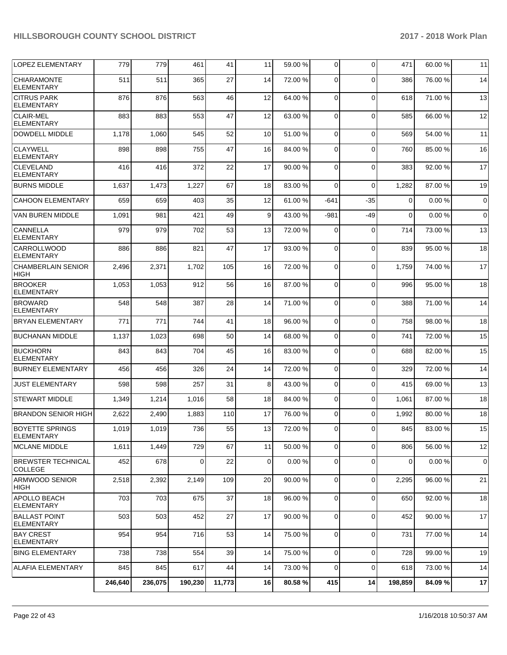| <b>LOPEZ ELEMENTARY</b>                     | 779     | 779     | 461     | 41     | 11 | 59.00 % | $\mathbf 0$    | $\Omega$       | 471         | 60.00 % | 11          |
|---------------------------------------------|---------|---------|---------|--------|----|---------|----------------|----------------|-------------|---------|-------------|
| <b>CHIARAMONTE</b><br><b>ELEMENTARY</b>     | 511     | 511     | 365     | 27     | 14 | 72.00 % | 0              | $\Omega$       | 386         | 76.00 % | 14          |
| <b>CITRUS PARK</b><br><b>ELEMENTARY</b>     | 876     | 876     | 563     | 46     | 12 | 64.00 % | $\mathbf 0$    | $\Omega$       | 618         | 71.00 % | 13          |
| <b>CLAIR-MEL</b><br><b>ELEMENTARY</b>       | 883     | 883     | 553     | 47     | 12 | 63.00 % | $\mathbf 0$    | $\Omega$       | 585         | 66.00 % | 12          |
| <b>DOWDELL MIDDLE</b>                       | 1,178   | 1,060   | 545     | 52     | 10 | 51.00 % | $\mathbf 0$    | $\Omega$       | 569         | 54.00 % | 11          |
| <b>CLAYWELL</b><br><b>ELEMENTARY</b>        | 898     | 898     | 755     | 47     | 16 | 84.00%  | 0              | $\Omega$       | 760         | 85.00 % | 16          |
| <b>CLEVELAND</b><br><b>ELEMENTARY</b>       | 416     | 416     | 372     | 22     | 17 | 90.00 % | $\mathbf 0$    | $\Omega$       | 383         | 92.00 % | 17          |
| <b>BURNS MIDDLE</b>                         | 1,637   | 1,473   | 1,227   | 67     | 18 | 83.00 % | $\mathbf 0$    | $\Omega$       | 1,282       | 87.00 % | 19          |
| <b>CAHOON ELEMENTARY</b>                    | 659     | 659     | 403     | 35     | 12 | 61.00%  | $-641$         | $-35$          | $\mathbf 0$ | 0.00%   | $\mathbf 0$ |
| <b>VAN BUREN MIDDLE</b>                     | 1,091   | 981     | 421     | 49     | 9  | 43.00 % | $-981$         | -49            | $\mathbf 0$ | 0.00%   | $\mathbf 0$ |
| CANNELLA<br><b>ELEMENTARY</b>               | 979     | 979     | 702     | 53     | 13 | 72.00 % | 0              | 0              | 714         | 73.00 % | 13          |
| CARROLLWOOD<br><b>ELEMENTARY</b>            | 886     | 886     | 821     | 47     | 17 | 93.00 % | $\mathbf 0$    | $\Omega$       | 839         | 95.00 % | 18          |
| <b>CHAMBERLAIN SENIOR</b><br><b>HIGH</b>    | 2,496   | 2,371   | 1,702   | 105    | 16 | 72.00 % | $\mathbf 0$    | $\Omega$       | 1,759       | 74.00 % | 17          |
| <b>BROOKER</b><br><b>ELEMENTARY</b>         | 1,053   | 1,053   | 912     | 56     | 16 | 87.00 % | 0              | $\mathbf 0$    | 996         | 95.00 % | 18          |
| <b>BROWARD</b><br><b>ELEMENTARY</b>         | 548     | 548     | 387     | 28     | 14 | 71.00 % | $\mathbf 0$    | $\Omega$       | 388         | 71.00 % | 14          |
| <b>BRYAN ELEMENTARY</b>                     | 771     | 771     | 744     | 41     | 18 | 96.00 % | $\mathbf 0$    | $\mathbf 0$    | 758         | 98.00 % | 18          |
| <b>BUCHANAN MIDDLE</b>                      | 1,137   | 1,023   | 698     | 50     | 14 | 68.00 % | $\mathbf 0$    | $\Omega$       | 741         | 72.00 % | 15          |
| <b>BUCKHORN</b><br><b>ELEMENTARY</b>        | 843     | 843     | 704     | 45     | 16 | 83.00 % | $\mathbf 0$    | $\Omega$       | 688         | 82.00 % | 15          |
| <b>BURNEY ELEMENTARY</b>                    | 456     | 456     | 326     | 24     | 14 | 72.00 % | $\mathbf 0$    | $\mathbf 0$    | 329         | 72.00 % | 14          |
| <b>JUST ELEMENTARY</b>                      | 598     | 598     | 257     | 31     | 8  | 43.00 % | 0              | $\mathbf 0$    | 415         | 69.00 % | 13          |
| <b>STEWART MIDDLE</b>                       | 1,349   | 1,214   | 1,016   | 58     | 18 | 84.00 % | $\mathbf 0$    | $\Omega$       | 1,061       | 87.00 % | 18          |
| <b>BRANDON SENIOR HIGH</b>                  | 2,622   | 2,490   | 1,883   | 110    | 17 | 76.00 % | 0              | $\Omega$       | 1,992       | 80.00 % | 18          |
| <b>BOYETTE SPRINGS</b><br><b>ELEMENTARY</b> | 1,019   | 1,019   | 736     | 55     | 13 | 72.00 % | 0              | $\overline{0}$ | 845         | 83.00 % | 15          |
| MCLANE MIDDLE                               | 1,611   | 1,449   | 729     | 67     | 11 | 50.00 % | 0              | $\Omega$       | 806         | 56.00 % | 12          |
| <b>BREWSTER TECHNICAL</b><br><b>COLLEGE</b> | 452     | 678     | 0       | 22     | 0  | 0.00%   | 0              | $\mathbf 0$    | 0           | 0.00%   | $\mathbf 0$ |
| <b>ARMWOOD SENIOR</b><br>HIGH               | 2,518   | 2,392   | 2,149   | 109    | 20 | 90.00 % | $\overline{0}$ | $\mathbf 0$    | 2,295       | 96.00 % | 21          |
| <b>APOLLO BEACH</b><br>ELEMENTARY           | 703     | 703     | 675     | 37     | 18 | 96.00 % | 0              | $\mathbf 0$    | 650         | 92.00 % | 18          |
| <b>BALLAST POINT</b><br>ELEMENTARY          | 503     | 503     | 452     | 27     | 17 | 90.00 % | 0              | $\mathbf 0$    | 452         | 90.00 % | 17          |
| <b>BAY CREST</b><br><b>ELEMENTARY</b>       | 954     | 954     | 716     | 53     | 14 | 75.00 % | $\overline{0}$ | $\mathbf 0$    | 731         | 77.00 % | 14          |
| <b>BING ELEMENTARY</b>                      | 738     | 738     | 554     | 39     | 14 | 75.00 % | $\overline{0}$ | $\mathbf 0$    | 728         | 99.00 % | 19          |
| ALLAFIA ELEMENTARY                          | 845     | 845     | 617     | 44     | 14 | 73.00 % | 0              | $\mathbf 0$    | 618         | 73.00 % | 14          |
|                                             | 246,640 | 236,075 | 190,230 | 11,773 | 16 | 80.58 % | 415            | 14             | 198,859     | 84.09%  | 17          |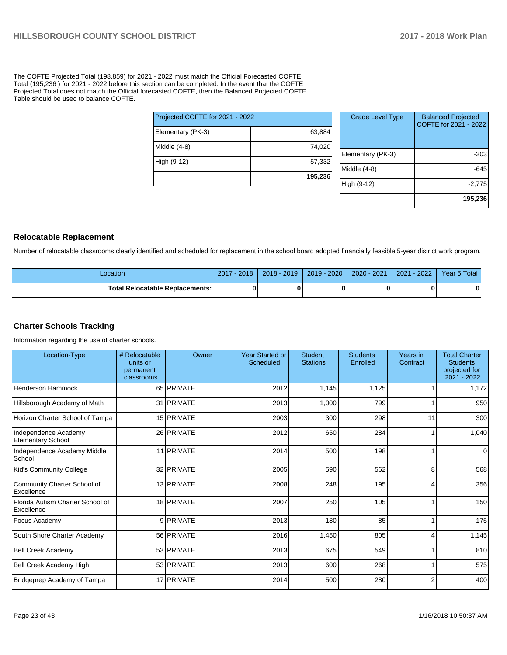The COFTE Projected Total (198,859) for 2021 - 2022 must match the Official Forecasted COFTE Total (195,236 ) for 2021 - 2022 before this section can be completed. In the event that the COFTE Projected Total does not match the Official forecasted COFTE, then the Balanced Projected COFTE Table should be used to balance COFTE.

| Projected COFTE for 2021 - 2022 |         |
|---------------------------------|---------|
| Elementary (PK-3)               | 63,884  |
| Middle (4-8)                    | 74,020  |
| High (9-12)                     | 57,332  |
|                                 | 195,236 |

| <b>Grade Level Type</b> | <b>Balanced Projected</b><br>COFTE for 2021 - 2022 |
|-------------------------|----------------------------------------------------|
| Elementary (PK-3)       | -203                                               |
| Middle $(4-8)$          | -645                                               |
| High (9-12)             | $-2,775$                                           |
|                         | 195,236                                            |

#### **Relocatable Replacement**

Number of relocatable classrooms clearly identified and scheduled for replacement in the school board adopted financially feasible 5-year district work program.

| ∟ocation                               | $-2018$<br>2017 | $2018 - 2019$ | $2019 - 2020$ | 2020 - 2021 | $-2022$<br>2021 | Year 5 Total |
|----------------------------------------|-----------------|---------------|---------------|-------------|-----------------|--------------|
| <b>Total Relocatable Replacements:</b> |                 |               |               |             |                 |              |

#### **Charter Schools Tracking**

Information regarding the use of charter schools.

| Location-Type                                    | # Relocatable<br>units or<br>permanent<br>classrooms | Owner      | Year Started or<br>Scheduled | <b>Student</b><br><b>Stations</b> | <b>Students</b><br>Enrolled | Years in<br>Contract | <b>Total Charter</b><br><b>Students</b><br>projected for<br>2021 - 2022 |
|--------------------------------------------------|------------------------------------------------------|------------|------------------------------|-----------------------------------|-----------------------------|----------------------|-------------------------------------------------------------------------|
| <b>Henderson Hammock</b>                         |                                                      | 65 PRIVATE | 2012                         | 1,145                             | 1,125                       |                      | 1,172                                                                   |
| Hillsborough Academy of Math                     |                                                      | 31 PRIVATE | 2013                         | 1,000                             | 799                         | 1                    | 950                                                                     |
| Horizon Charter School of Tampa                  |                                                      | 15 PRIVATE | 2003                         | 300                               | 298                         | 11                   | 300                                                                     |
| Independence Academy<br><b>Elementary School</b> |                                                      | 26 PRIVATE | 2012                         | 650                               | 284                         | 1                    | 1,040                                                                   |
| Independence Academy Middle<br>School            |                                                      | 11 PRIVATE | 2014                         | 500                               | 198                         |                      | $\overline{0}$                                                          |
| Kid's Community College                          |                                                      | 32 PRIVATE | 2005                         | 590                               | 562                         | 8                    | 568                                                                     |
| Community Charter School of<br>Excellence        |                                                      | 13 PRIVATE | 2008                         | 248                               | 195                         | 4                    | 356                                                                     |
| Florida Autism Charter School of<br>Excellence   |                                                      | 18 PRIVATE | 2007                         | 250                               | 105                         |                      | 150                                                                     |
| Focus Academy                                    |                                                      | 9 PRIVATE  | 2013                         | 180                               | 85                          |                      | 175                                                                     |
| South Shore Charter Academy                      |                                                      | 56 PRIVATE | 2016                         | 1,450                             | 805                         | 4                    | 1,145                                                                   |
| <b>Bell Creek Academy</b>                        |                                                      | 53 PRIVATE | 2013                         | 675                               | 549                         |                      | 810                                                                     |
| Bell Creek Academy High                          |                                                      | 53 PRIVATE | 2013                         | 600                               | 268                         |                      | 575                                                                     |
| Bridgeprep Academy of Tampa                      |                                                      | 17 PRIVATE | 2014                         | 500                               | 280                         | $\overline{2}$       | 400                                                                     |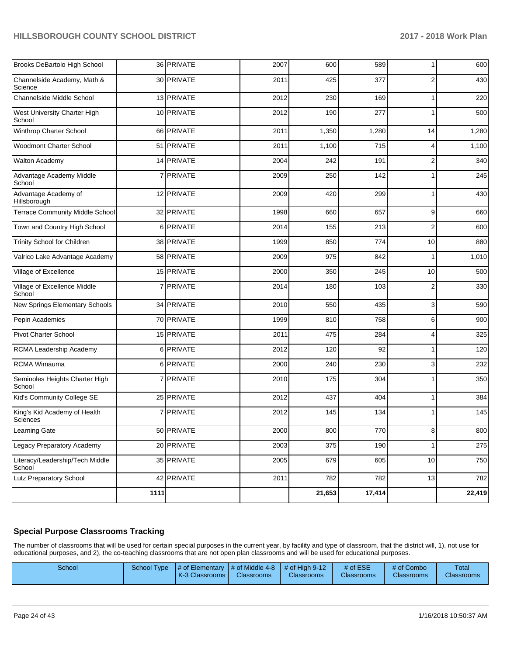| Brooks DeBartolo High School              |      | 36 PRIVATE     | 2007 | 600    | 589    | 1              | 600    |
|-------------------------------------------|------|----------------|------|--------|--------|----------------|--------|
| Channelside Academy, Math &<br>Science    |      | 30 PRIVATE     | 2011 | 425    | 377    | $\overline{2}$ | 430    |
| Channelside Middle School                 |      | 13 PRIVATE     | 2012 | 230    | 169    | 1              | 220    |
| West University Charter High<br>School    |      | 10 PRIVATE     | 2012 | 190    | 277    | 1              | 500    |
| Winthrop Charter School                   |      | 66 PRIVATE     | 2011 | 1,350  | 1,280  | 14             | 1,280  |
| Woodmont Charter School                   | 51   | PRIVATE        | 2011 | 1,100  | 715    | 4              | 1,100  |
| Walton Academy                            |      | 14 PRIVATE     | 2004 | 242    | 191    | $\overline{2}$ | 340    |
| Advantage Academy Middle<br>School        |      | <b>PRIVATE</b> | 2009 | 250    | 142    |                | 245    |
| Advantage Academy of<br>Hillsborough      |      | 12 PRIVATE     | 2009 | 420    | 299    | 1              | 430    |
| <b>Terrace Community Middle School</b>    |      | 32 PRIVATE     | 1998 | 660    | 657    | 9              | 660    |
| Town and Country High School              |      | 6 PRIVATE      | 2014 | 155    | 213    | $\overline{2}$ | 600    |
| Trinity School for Children               |      | 38 PRIVATE     | 1999 | 850    | 774    | 10             | 880    |
| Valrico Lake Advantage Academy            |      | 58 PRIVATE     | 2009 | 975    | 842    |                | 1,010  |
| Village of Excellence                     |      | 15 PRIVATE     | 2000 | 350    | 245    | 10             | 500    |
| Village of Excellence Middle<br>School    | 7    | PRIVATE        | 2014 | 180    | 103    | $\overline{2}$ | 330    |
| New Springs Elementary Schools            |      | 34 PRIVATE     | 2010 | 550    | 435    | 3              | 590    |
| Pepin Academies                           |      | 70 PRIVATE     | 1999 | 810    | 758    | 6              | 900    |
| <b>Pivot Charter School</b>               |      | 15 PRIVATE     | 2011 | 475    | 284    | 4              | 325    |
| RCMA Leadership Academy                   | 6    | PRIVATE        | 2012 | 120    | 92     | 1              | 120    |
| <b>RCMA Wimauma</b>                       |      | 6 PRIVATE      | 2000 | 240    | 230    | 3              | 232    |
| Seminoles Heights Charter High<br>School  |      | <b>PRIVATE</b> | 2010 | 175    | 304    | 1              | 350    |
| Kid's Community College SE                |      | 25 PRIVATE     | 2012 | 437    | 404    | 1              | 384    |
| King's Kid Academy of Health<br>Sciences  | 7    | PRIVATE        | 2012 | 145    | 134    |                | 145    |
| Learning Gate                             |      | 50 PRIVATE     | 2000 | 800    | 770    | 8              | 800    |
| Legacy Preparatory Academy                |      | 20 PRIVATE     | 2003 | 375    | 190    | $\mathbf{1}$   | 275    |
| Literacy/Leadership/Tech Middle<br>School |      | 35 PRIVATE     | 2005 | 679    | 605    | $10$           | 750    |
| Lutz Preparatory School                   |      | 42 PRIVATE     | 2011 | 782    | 782    | 13             | 782    |
|                                           | 1111 |                |      | 21,653 | 17,414 |                | 22,419 |

# **Special Purpose Classrooms Tracking**

The number of classrooms that will be used for certain special purposes in the current year, by facility and type of classroom, that the district will, 1), not use for educational purposes, and 2), the co-teaching classrooms that are not open plan classrooms and will be used for educational purposes.

| School |  | School Type $\frac{1}{4}$ of Elementary $\frac{1}{4}$ of Middle 4-8 $\frac{1}{4}$ of High 9-12<br>K-3 Classrooms I | <b>Classrooms</b> | <b>Classrooms</b> | # of ESE<br><b>Classrooms</b> | # of Combo<br><b>Classrooms</b> | <b>Total</b><br><b>Classrooms</b> |
|--------|--|--------------------------------------------------------------------------------------------------------------------|-------------------|-------------------|-------------------------------|---------------------------------|-----------------------------------|
|--------|--|--------------------------------------------------------------------------------------------------------------------|-------------------|-------------------|-------------------------------|---------------------------------|-----------------------------------|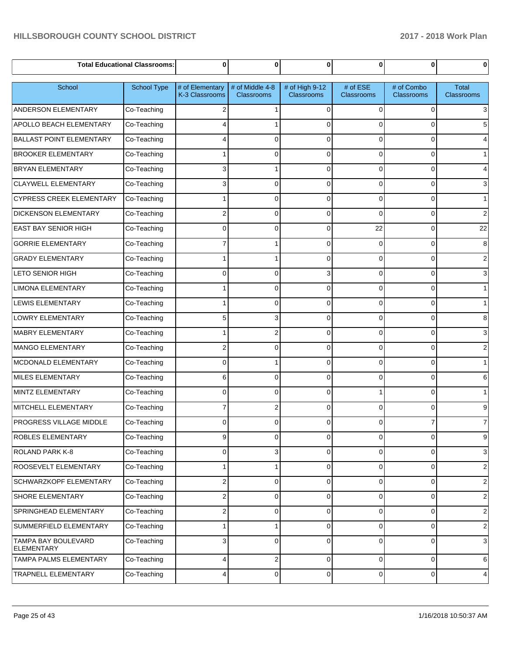|                                          | <b>Total Educational Classrooms:</b> | 0                                 | 0                             | $\bf{0}$                            | 0                      | $\mathbf 0$                     | $\bf{0}$                   |
|------------------------------------------|--------------------------------------|-----------------------------------|-------------------------------|-------------------------------------|------------------------|---------------------------------|----------------------------|
| School                                   | School Type                          | # of Elementary<br>K-3 Classrooms | # of Middle 4-8<br>Classrooms | # of High 9-12<br><b>Classrooms</b> | # of ESE<br>Classrooms | # of Combo<br><b>Classrooms</b> | <b>Total</b><br>Classrooms |
| <b>ANDERSON ELEMENTARY</b>               | Co-Teaching                          | 2                                 |                               | $\Omega$                            | $\Omega$               | 0                               | 3                          |
| APOLLO BEACH ELEMENTARY                  | Co-Teaching                          |                                   |                               | $\Omega$                            | $\Omega$               | 0                               | 5                          |
| <b>BALLAST POINT ELEMENTARY</b>          | Co-Teaching                          |                                   | 0                             | $\Omega$                            | $\Omega$               | 0                               |                            |
| <b>BROOKER ELEMENTARY</b>                | Co-Teaching                          |                                   | 0                             | $\Omega$                            | $\Omega$               | 0                               | $\mathbf 1$                |
| <b>BRYAN ELEMENTARY</b>                  | Co-Teaching                          | 3                                 |                               | $\Omega$                            | $\Omega$               | 0                               |                            |
| <b>CLAYWELL ELEMENTARY</b>               | Co-Teaching                          | 3                                 | 0                             | $\Omega$                            | $\Omega$               | 0                               | 3                          |
| <b>CYPRESS CREEK ELEMENTARY</b>          | Co-Teaching                          |                                   | 0                             | $\Omega$                            | $\Omega$               | 0                               | 1                          |
| <b>DICKENSON ELEMENTARY</b>              | Co-Teaching                          | 2                                 | 0                             | $\Omega$                            | $\Omega$               | 0                               | 2                          |
| <b>EAST BAY SENIOR HIGH</b>              | Co-Teaching                          | $\Omega$                          | 0                             | $\Omega$                            | 22                     | 0                               | 22                         |
| <b>GORRIE ELEMENTARY</b>                 | Co-Teaching                          |                                   |                               | $\Omega$                            | $\Omega$               | 0                               | 8                          |
| <b>GRADY ELEMENTARY</b>                  | Co-Teaching                          |                                   |                               | $\Omega$                            | $\Omega$               | 0                               | 2                          |
| <b>LETO SENIOR HIGH</b>                  | Co-Teaching                          | $\Omega$                          | 0                             | 3                                   | $\Omega$               | $\Omega$                        | 3                          |
| <b>LIMONA ELEMENTARY</b>                 | Co-Teaching                          |                                   | 0                             | $\Omega$                            | $\Omega$               | 0                               | 1                          |
| <b>LEWIS ELEMENTARY</b>                  | Co-Teaching                          |                                   | 0                             | $\Omega$                            | $\Omega$               | 0                               | $\mathbf 1$                |
| LOWRY ELEMENTARY                         | Co-Teaching                          | 5                                 | 3                             | $\Omega$                            | $\Omega$               | 0                               | 8                          |
| <b>MABRY ELEMENTARY</b>                  | Co-Teaching                          |                                   | 2                             | $\Omega$                            | $\Omega$               | 0                               | 3                          |
| <b>MANGO ELEMENTARY</b>                  | Co-Teaching                          | 2                                 | 0                             | $\Omega$                            | $\Omega$               | 0                               | 2                          |
| MCDONALD ELEMENTARY                      | Co-Teaching                          | $\Omega$                          |                               | $\Omega$                            | $\Omega$               | $\Omega$                        | $\mathbf 1$                |
| MILES ELEMENTARY                         | Co-Teaching                          | 6                                 | 0                             | $\Omega$                            | $\Omega$               | 0                               | 6                          |
| MINTZ ELEMENTARY                         | Co-Teaching                          | $\Omega$                          | 0                             | $\Omega$                            |                        | $\Omega$                        | $\mathbf 1$                |
| MITCHELL ELEMENTARY                      | Co-Teaching                          | 7                                 | 2                             | $\Omega$                            | $\Omega$               | $\Omega$                        | 9                          |
| PROGRESS VILLAGE MIDDLE                  | Co-Teaching                          | $\Omega$                          | ŋ                             |                                     | 0                      |                                 | $\overline{7}$             |
| ROBLES ELEMENTARY                        | Co-Teaching                          | 9                                 | 0                             | $\mathbf 0$                         | $\overline{0}$         | 0                               | 9                          |
| <b>ROLAND PARK K-8</b>                   | Co-Teaching                          | 0                                 | 3                             | $\mathbf 0$                         | $\overline{0}$         | 0                               | 3                          |
| ROOSEVELT ELEMENTARY                     | Co-Teaching                          |                                   |                               | $\Omega$                            | 0                      | 0                               | $\overline{c}$             |
| SCHWARZKOPF ELEMENTARY                   | Co-Teaching                          | 2                                 | 0                             | $\mathbf 0$                         | 0                      | 0                               | $\overline{c}$             |
| SHORE ELEMENTARY                         | Co-Teaching                          | 2                                 | 0                             | $\Omega$                            | 0                      | 0                               | $\overline{2}$             |
| SPRINGHEAD ELEMENTARY                    | Co-Teaching                          | 2                                 | 0                             | $\mathbf 0$                         | $\overline{0}$         | 0                               | $\overline{c}$             |
| SUMMERFIELD ELEMENTARY                   | Co-Teaching                          |                                   |                               | $\Omega$                            | 0                      | 0                               | $\overline{c}$             |
| TAMPA BAY BOULEVARD<br><b>ELEMENTARY</b> | Co-Teaching                          | 3                                 | 0                             | $\Omega$                            | 0                      | 0                               | 3                          |
| TAMPA PALMS ELEMENTARY                   | Co-Teaching                          | 4                                 | 2                             | 0                                   | 0                      | 0                               | 6                          |
| TRAPNELL ELEMENTARY                      | Co-Teaching                          | 4                                 | 0                             | 0                                   | $\mathbf 0$            | $\pmb{0}$                       | 4                          |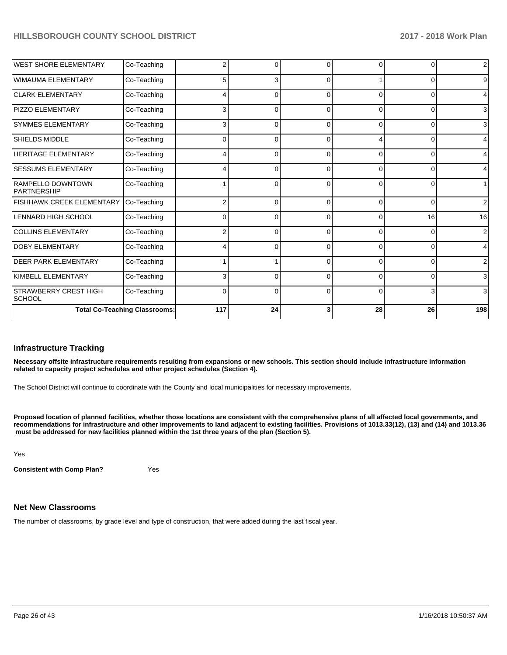| <b>WEST SHORE ELEMENTARY</b>                  | Co-Teaching                          | 2        | 0  | $\Omega$ | $\Omega$ | $\Omega$ | $\overline{2}$ |
|-----------------------------------------------|--------------------------------------|----------|----|----------|----------|----------|----------------|
| <b>WIMAUMA ELEMENTARY</b>                     | Co-Teaching                          | 5        | 3  | $\Omega$ |          | 0        | 9              |
| <b>CLARK ELEMENTARY</b>                       | Co-Teaching                          |          | 0  | $\Omega$ | 0        | 0        |                |
| PIZZO ELEMENTARY                              | Co-Teaching                          | 3        | O  | $\Omega$ | $\Omega$ | 0        | 3              |
| <b>SYMMES ELEMENTARY</b>                      | Co-Teaching                          | 3        | O  | $\Omega$ | $\Omega$ | $\Omega$ | 3              |
| SHIELDS MIDDLE                                | Co-Teaching                          | $\Omega$ | U  | C        |          | 0        | 4              |
| <b>HERITAGE ELEMENTARY</b>                    | Co-Teaching                          |          | ŋ  | $\Omega$ | 0        | 0        |                |
| <b>SESSUMS ELEMENTARY</b>                     | Co-Teaching                          |          | 0  | $\Omega$ | $\Omega$ | 0        |                |
| RAMPELLO DOWNTOWN<br><b>PARTNERSHIP</b>       | Co-Teaching                          |          | 0  | $\Omega$ | $\Omega$ | 0        |                |
| <b>FISHHAWK CREEK ELEMENTARY</b>              | Co-Teaching                          | 2        | ŋ  | $\Omega$ | $\Omega$ | $\Omega$ | 2              |
| <b>LENNARD HIGH SCHOOL</b>                    | Co-Teaching                          | 0        | 0  | 0        | $\Omega$ | 16       | 16             |
| <b>COLLINS ELEMENTARY</b>                     | Co-Teaching                          | 2        | 0  | $\Omega$ | $\Omega$ | 0        | 2              |
| <b>DOBY ELEMENTARY</b>                        | Co-Teaching                          |          | ŋ  | $\Omega$ | $\Omega$ | 0        |                |
| <b>DEER PARK ELEMENTARY</b>                   | Co-Teaching                          |          |    | $\Omega$ | $\Omega$ | 0        | 2              |
| KIMBELL ELEMENTARY                            | Co-Teaching                          | 3        | O  | $\Omega$ | $\Omega$ | $\Omega$ | 3              |
| <b>STRAWBERRY CREST HIGH</b><br><b>SCHOOL</b> | Co-Teaching                          | $\Omega$ | 0  | $\Omega$ | $\Omega$ | 3        | 3              |
|                                               | <b>Total Co-Teaching Classrooms:</b> | 117      | 24 | 3        | 28       | 26       | 198            |

#### **Infrastructure Tracking**

**Necessary offsite infrastructure requirements resulting from expansions or new schools. This section should include infrastructure information related to capacity project schedules and other project schedules (Section 4).** 

The School District will continue to coordinate with the County and local municipalities for necessary improvements.

**Proposed location of planned facilities, whether those locations are consistent with the comprehensive plans of all affected local governments, and recommendations for infrastructure and other improvements to land adjacent to existing facilities. Provisions of 1013.33(12), (13) and (14) and 1013.36** must be addressed for new facilities planned within the 1st three years of the plan (Section 5).

Yes

**Consistent with Comp Plan?** Yes

#### **Net New Classrooms**

The number of classrooms, by grade level and type of construction, that were added during the last fiscal year.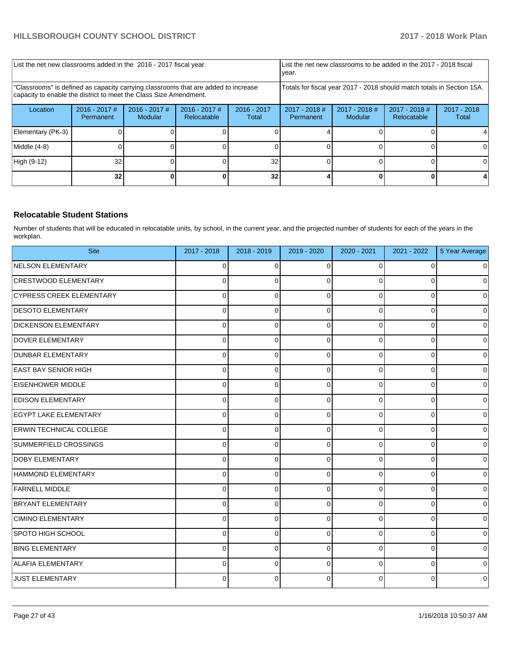| List the net new classrooms added in the 2016 - 2017 fiscal year.                                                                                       |                              |                            |                                                                        |                        | List the net new classrooms to be added in the 2017 - 2018 fiscal<br>year. |                            |                                |                        |
|---------------------------------------------------------------------------------------------------------------------------------------------------------|------------------------------|----------------------------|------------------------------------------------------------------------|------------------------|----------------------------------------------------------------------------|----------------------------|--------------------------------|------------------------|
| 'Classrooms" is defined as capacity carrying classrooms that are added to increase<br>capacity to enable the district to meet the Class Size Amendment. |                              |                            | Totals for fiscal year 2017 - 2018 should match totals in Section 15A. |                        |                                                                            |                            |                                |                        |
| Location                                                                                                                                                | $2016 - 2017$ #<br>Permanent | $2016 - 2017$ #<br>Modular | $2016 - 2017$ #<br>Relocatable                                         | $2016 - 2017$<br>Total | $2017 - 2018$ #<br>Permanent                                               | $2017 - 2018$ #<br>Modular | $2017 - 2018$ #<br>Relocatable | $2017 - 2018$<br>Total |
| Elementary (PK-3)                                                                                                                                       |                              |                            |                                                                        |                        |                                                                            |                            |                                |                        |
| Middle (4-8)                                                                                                                                            |                              |                            |                                                                        |                        |                                                                            |                            |                                |                        |
| High (9-12)                                                                                                                                             | 32                           |                            |                                                                        | 32                     |                                                                            |                            |                                |                        |
|                                                                                                                                                         | 32                           |                            |                                                                        | 32                     |                                                                            |                            |                                |                        |

### **Relocatable Student Stations**

Number of students that will be educated in relocatable units, by school, in the current year, and the projected number of students for each of the years in the workplan.

| <b>Site</b>                     | 2017 - 2018 | 2018 - 2019 | 2019 - 2020 | 2020 - 2021    | 2021 - 2022 | 5 Year Average |
|---------------------------------|-------------|-------------|-------------|----------------|-------------|----------------|
| NELSON ELEMENTARY               | 0           | $\Omega$    | $\Omega$    | 0              | $\Omega$    | $\mathbf 0$    |
| <b>CRESTWOOD ELEMENTARY</b>     | 0           | 0           | $\Omega$    | 0              | 0           | $\mathbf 0$    |
| <b>CYPRESS CREEK ELEMENTARY</b> | 0           | 0           | $\Omega$    | $\Omega$       | 0           | $\mathbf 0$    |
| <b>DESOTO ELEMENTARY</b>        | 0           | 0           | $\Omega$    | 0              | 0           | $\mathbf 0$    |
| <b>DICKENSON ELEMENTARY</b>     | 0           | 0           | $\Omega$    | $\Omega$       | $\Omega$    | $\mathbf 0$    |
| DOVER ELEMENTARY                | 0           | 0           | $\Omega$    | $\overline{0}$ | 0           | $\mathbf 0$    |
| <b>DUNBAR ELEMENTARY</b>        | 0           | 0           | $\Omega$    | $\mathbf 0$    | 0           | $\pmb{0}$      |
| <b>EAST BAY SENIOR HIGH</b>     | $\Omega$    | $\Omega$    | $\Omega$    | $\Omega$       | 0           | $\mathbf 0$    |
| <b>EISENHOWER MIDDLE</b>        | 0           | $\Omega$    | $\Omega$    | $\Omega$       | 0           | $\pmb{0}$      |
| <b>EDISON ELEMENTARY</b>        | 0           | 0           | $\Omega$    | 0              | 0           | $\pmb{0}$      |
| <b>EGYPT LAKE ELEMENTARY</b>    | 0           | 0           | $\Omega$    | 0              | 0           | $\pmb{0}$      |
| <b>ERWIN TECHNICAL COLLEGE</b>  | 0           | 0           | $\Omega$    | 0              | 0           | $\mathbf 0$    |
| SUMMERFIELD CROSSINGS           | 0           | 0           | $\Omega$    | 0              | $\Omega$    | $\pmb{0}$      |
| <b>DOBY ELEMENTARY</b>          | 0           | 0           | $\Omega$    | 0              | 0           | $\pmb{0}$      |
| HAMMOND ELEMENTARY              | 0           | 0           | 0           | 0              | 0           | $\pmb{0}$      |
| <b>FARNELL MIDDLE</b>           | $\Omega$    | 0           | $\Omega$    | $\Omega$       | $\Omega$    | $\mathbf 0$    |
| BRYANT ELEMENTARY               | 0           | $\Omega$    | $\Omega$    | $\Omega$       | 0           | $\mathbf 0$    |
| <b>CIMINO ELEMENTARY</b>        | 0           | 0           | $\Omega$    | $\Omega$       | 0           | $\pmb{0}$      |
| SPOTO HIGH SCHOOL               | 0           | 0           | $\Omega$    | 0              | $\Omega$    | $\mathbf 0$    |
| <b>BING ELEMENTARY</b>          | 0           | 0           | $\Omega$    | $\Omega$       | 0           | $\mathbf 0$    |
| ALAFIA ELEMENTARY               | 0           | 0           | $\Omega$    | 0              | $\Omega$    | $\mathbf 0$    |
| JUST ELEMENTARY                 | 0           | 0           | $\Omega$    | 0              | 0           | $\pmb{0}$      |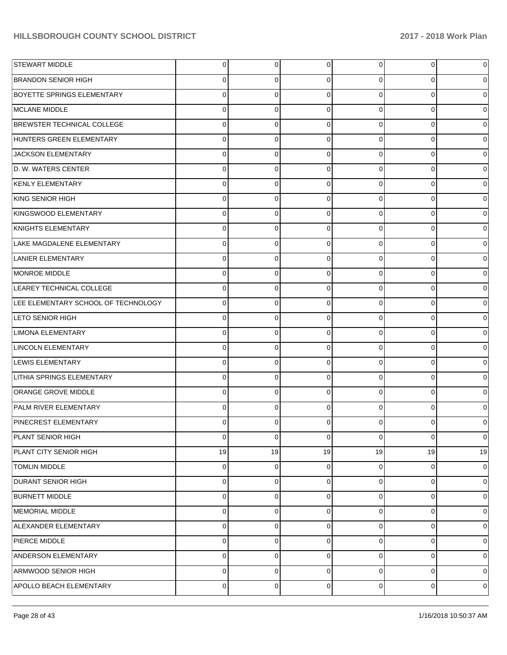| <b>STEWART MIDDLE</b>               | 0  | 0  | $\Omega$    | 0  | $\overline{0}$ | $\mathbf 0$    |
|-------------------------------------|----|----|-------------|----|----------------|----------------|
| <b>BRANDON SENIOR HIGH</b>          | 0  | 0  | $\Omega$    | 0  | 0              | $\overline{0}$ |
| <b>BOYETTE SPRINGS ELEMENTARY</b>   | 0  | 0  | $\Omega$    | 0  | 0              | $\overline{0}$ |
| MCLANE MIDDLE                       | 0  | 0  | $\Omega$    | 0  | 0              | $\overline{0}$ |
| BREWSTER TECHNICAL COLLEGE          | 0  | 0  | $\Omega$    | 0  | 0              | $\overline{0}$ |
| HUNTERS GREEN ELEMENTARY            | 0  | 0  | $\Omega$    | 0  | 0              | $\overline{0}$ |
| JACKSON ELEMENTARY                  | 0  | 0  | $\Omega$    | 0  | 0              | $\mathbf 0$    |
| D. W. WATERS CENTER                 | 0  | 0  | $\Omega$    | 0  | 0              | $\overline{0}$ |
| KENLY ELEMENTARY                    | 0  | 0  | $\Omega$    | 0  | 0              | $\overline{0}$ |
| KING SENIOR HIGH                    | 0  | 0  | $\Omega$    | 0  | 0              | $\overline{0}$ |
| KINGSWOOD ELEMENTARY                | 0  | 0  | $\Omega$    | 0  | 0              | $\overline{0}$ |
| KNIGHTS ELEMENTARY                  | 0  | 0  | $\Omega$    | 0  | $\overline{0}$ | $\overline{0}$ |
| LAKE MAGDALENE ELEMENTARY           | 0  | 0  | $\Omega$    | 0  | 0              | $\overline{0}$ |
| LANIER ELEMENTARY                   | 0  | 0  | $\Omega$    | 0  | 0              | $\overline{0}$ |
| MONROE MIDDLE                       | 0  | 0  | $\Omega$    | 0  | 0              | $\overline{0}$ |
| LEAREY TECHNICAL COLLEGE            | 0  | 0  | $\Omega$    | 0  | $\overline{0}$ | $\overline{0}$ |
| LEE ELEMENTARY SCHOOL OF TECHNOLOGY | 0  | 0  | $\Omega$    | 0  | 0              | $\overline{0}$ |
| <b>LETO SENIOR HIGH</b>             | 0  | 0  | $\Omega$    | 0  | 0              | $\overline{0}$ |
| <b>LIMONA ELEMENTARY</b>            | 0  | 0  | $\Omega$    | 0  | 0              | $\overline{0}$ |
| LINCOLN ELEMENTARY                  | 0  | 0  | $\Omega$    | 0  | $\overline{0}$ | $\overline{0}$ |
| <b>LEWIS ELEMENTARY</b>             | 0  | 0  | $\Omega$    | 0  | 0              | $\overline{0}$ |
| <b>LITHIA SPRINGS ELEMENTARY</b>    | 0  | 0  | $\Omega$    | 0  | 0              | $\overline{0}$ |
| ORANGE GROVE MIDDLE                 | 0  | 0  | $\Omega$    | 0  | 0              | $\overline{0}$ |
| <b>PALM RIVER ELEMENTARY</b>        | 0  | 0  | $\Omega$    | 0  | $\overline{0}$ | $\overline{0}$ |
| <b>PINECREST ELEMENTARY</b>         | 0  | 0  | $\Omega$    |    | 0              | $\overline{0}$ |
| PLANT SENIOR HIGH                   | 0  | 0  | $\mathbf 0$ | 0  | $\overline{0}$ | $\mathbf 0$    |
| PLANT CITY SENIOR HIGH              | 19 | 19 | 19          | 19 | 19             | 19             |
| <b>TOMLIN MIDDLE</b>                | 0  | 0  | 0           | 0  | $\overline{0}$ | $\overline{0}$ |
| <b>DURANT SENIOR HIGH</b>           | 0  | 0  | 0           | 0  | $\overline{0}$ | $\overline{0}$ |
| <b>BURNETT MIDDLE</b>               | 0  | 0  | $\Omega$    | 0  | 0              | $\overline{0}$ |
| MEMORIAL MIDDLE                     | 0  | 0  | 0           | 0  | $\overline{0}$ | $\overline{0}$ |
| ALEXANDER ELEMENTARY                | 0  | 0  | $\Omega$    | 0  | 0              | $\overline{0}$ |
| PIERCE MIDDLE                       | 0  | 0  | 0           | 0  | $\overline{0}$ | $\overline{0}$ |
| ANDERSON ELEMENTARY                 | 0  | 0  | $\Omega$    | 0  | 0              | $\overline{0}$ |
| ARMWOOD SENIOR HIGH                 | 0  | 0  | 0           | 0  | $\overline{0}$ | $\overline{0}$ |
| <b>APOLLO BEACH ELEMENTARY</b>      | 0  | 0  | 0           | 0  | $\overline{0}$ | $\mathbf 0$    |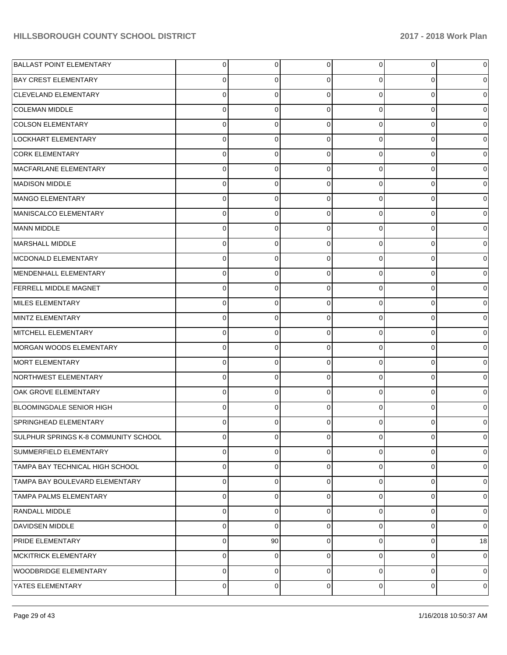| <b>BALLAST POINT ELEMENTARY</b>        | 0 | 0  | 0        | 0 | $\overline{0}$ | $\overline{0}$ |
|----------------------------------------|---|----|----------|---|----------------|----------------|
| <b>BAY CREST ELEMENTARY</b>            | 0 | 0  | $\Omega$ | 0 | 0              | $\overline{0}$ |
| CLEVELAND ELEMENTARY                   | 0 | 0  | $\Omega$ | 0 | 0              | $\overline{0}$ |
| <b>COLEMAN MIDDLE</b>                  | 0 | 0  | $\Omega$ | 0 | 0              | $\overline{0}$ |
| COLSON ELEMENTARY                      | 0 | 0  | $\Omega$ | 0 | 0              | $\overline{0}$ |
| LOCKHART ELEMENTARY                    | 0 | 0  | $\Omega$ | 0 | 0              | $\overline{0}$ |
| <b>CORK ELEMENTARY</b>                 | 0 | 0  | $\Omega$ | 0 | 0              | $\overline{0}$ |
| MACFARLANE ELEMENTARY                  | 0 | 0  | $\Omega$ | 0 | 0              | $\overline{0}$ |
| MADISON MIDDLE                         | 0 | 0  | $\Omega$ | 0 | 0              | $\overline{0}$ |
| MANGO ELEMENTARY                       | 0 | 0  | $\Omega$ | 0 | 0              | $\overline{0}$ |
| MANISCALCO ELEMENTARY                  | 0 | 0  | $\Omega$ | 0 | 0              | $\overline{0}$ |
| MANN MIDDLE                            | 0 | 0  | $\Omega$ | 0 | 0              | $\overline{0}$ |
| MARSHALL MIDDLE                        | 0 | 0  | $\Omega$ | 0 | 0              | $\overline{0}$ |
| MCDONALD ELEMENTARY                    | 0 | 0  | $\Omega$ | 0 | 0              | $\overline{0}$ |
| MENDENHALL ELEMENTARY                  | 0 | 0  | $\Omega$ | 0 | 0              | $\overline{0}$ |
| <b>FERRELL MIDDLE MAGNET</b>           | 0 | 0  | $\Omega$ | 0 | 0              | $\overline{0}$ |
| MILES ELEMENTARY                       | 0 | 0  | $\Omega$ | 0 | 0              | $\overline{0}$ |
| MINTZ ELEMENTARY                       | 0 | 0  | $\Omega$ | 0 | 0              | $\overline{0}$ |
| MITCHELL ELEMENTARY                    | 0 | 0  | $\Omega$ | 0 | 0              | $\overline{0}$ |
| MORGAN WOODS ELEMENTARY                | 0 | 0  | $\Omega$ | 0 | 0              | $\overline{0}$ |
| MORT ELEMENTARY                        | 0 | 0  | $\Omega$ | 0 | 0              | $\overline{0}$ |
| NORTHWEST ELEMENTARY                   | 0 | 0  | $\Omega$ | 0 | $\overline{0}$ | $\overline{0}$ |
| OAK GROVE ELEMENTARY                   | 0 | 0  | $\Omega$ | 0 | 0              | $\overline{0}$ |
| BLOOMINGDALE SENIOR HIGH               | 0 | 0  | $\Omega$ | 0 | 0              | $\overline{0}$ |
| <b>SPRINGHEAD ELEMENTARY</b>           | 0 | 0  | $\Omega$ | 0 | 0              | $\overline{0}$ |
| SULPHUR SPRINGS K-8 COMMUNITY SCHOOL   | 0 | 0  | $\Omega$ | 0 | $\overline{0}$ | $\overline{0}$ |
| SUMMERFIELD ELEMENTARY                 | 0 | 0  | $\Omega$ | 0 | $\overline{0}$ | $\overline{0}$ |
| <b>TAMPA BAY TECHNICAL HIGH SCHOOL</b> | 0 | 0  | $\Omega$ | 0 | $\overline{0}$ | $\overline{0}$ |
| TAMPA BAY BOULEVARD ELEMENTARY         | 0 | 0  | $\Omega$ | 0 | $\overline{0}$ | $\overline{0}$ |
| <b>TAMPA PALMS ELEMENTARY</b>          | 0 | 0  | $\Omega$ | 0 | $\mathbf{O}$   | $\overline{0}$ |
| <b>RANDALL MIDDLE</b>                  | 0 | 0  | $\Omega$ | 0 | $\mathbf{O}$   | $\mathbf 0$    |
| <b>DAVIDSEN MIDDLE</b>                 | 0 | 0  | $\Omega$ | 0 | $\mathbf{O}$   | $\mathbf 0$    |
| <b>PRIDE ELEMENTARY</b>                | 0 | 90 | 0        | 0 | $\mathbf{O}$   | 18             |
| <b>MCKITRICK ELEMENTARY</b>            | 0 | 0  | $\Omega$ | 0 | $\mathbf{O}$   | $\mathbf 0$    |
| <b>WOODBRIDGE ELEMENTARY</b>           | 0 | 0  | $\Omega$ | 0 | $\mathbf{O}$   | $\mathbf 0$    |
| YATES ELEMENTARY                       | 0 | 0  | 0        | 0 | $\mathbf 0$    | $\mathbf 0$    |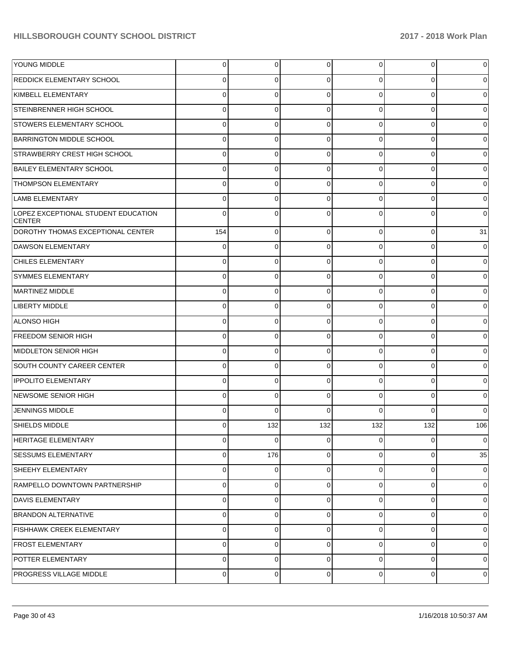| <b>YOUNG MIDDLE</b>                                  | 0           | 0        | $\Omega$    | 0   | $\overline{0}$ | $\mathbf 0$    |
|------------------------------------------------------|-------------|----------|-------------|-----|----------------|----------------|
| <b>REDDICK ELEMENTARY SCHOOL</b>                     | 0           | 0        | $\Omega$    | 0   | 0              | $\overline{0}$ |
| KIMBELL ELEMENTARY                                   | 0           | 0        | $\Omega$    | 0   | 0              | $\mathbf 0$    |
| STEINBRENNER HIGH SCHOOL                             | 0           | 0        | $\Omega$    | 0   | $\overline{0}$ | $\mathbf 0$    |
| <b>STOWERS ELEMENTARY SCHOOL</b>                     | 0           | 0        | $\Omega$    | 0   | 0              | $\mathbf 0$    |
| <b>BARRINGTON MIDDLE SCHOOL</b>                      | 0           | 0        | $\Omega$    | 0   | 0              | $\overline{0}$ |
| <b>STRAWBERRY CREST HIGH SCHOOL</b>                  | 0           | 0        | $\Omega$    | 0   | 0              | $\mathbf 0$    |
| <b>BAILEY ELEMENTARY SCHOOL</b>                      | 0           | 0        | $\Omega$    | 0   | 0              | $\mathbf 0$    |
| <b>THOMPSON ELEMENTARY</b>                           | 0           | 0        | $\Omega$    | 0   | 0              | $\mathbf 0$    |
| <b>LAMB ELEMENTARY</b>                               | 0           | 0        | $\Omega$    | 0   | 0              | $\overline{0}$ |
| LOPEZ EXCEPTIONAL STUDENT EDUCATION<br><b>CENTER</b> | 0           | 0        | $\Omega$    | 0   | 0              | $\mathbf 0$    |
| DOROTHY THOMAS EXCEPTIONAL CENTER                    | 154         | 0        | $\Omega$    | 0   | $\overline{0}$ | 31             |
| DAWSON ELEMENTARY                                    | 0           | 0        | $\Omega$    | 0   | $\mathbf{O}$   | $\mathbf 0$    |
| <b>CHILES ELEMENTARY</b>                             | 0           | 0        | $\Omega$    | 0   | $\overline{0}$ | $\mathbf 0$    |
| <b>SYMMES ELEMENTARY</b>                             | 0           | 0        | $\Omega$    | 0   | $\mathbf{O}$   | $\mathbf 0$    |
| MARTINEZ MIDDLE                                      | 0           | 0        | $\Omega$    | 0   | $\mathbf 0$    | $\mathbf 0$    |
| <b>LIBERTY MIDDLE</b>                                | 0           | 0        | $\Omega$    | 0   | $\mathbf{O}$   | $\mathbf 0$    |
| ALONSO HIGH                                          | 0           | 0        | $\Omega$    | 0   | $\overline{0}$ | $\mathbf 0$    |
| <b>FREEDOM SENIOR HIGH</b>                           | 0           | 0        | $\Omega$    | 0   | $\mathbf 0$    | $\mathbf 0$    |
| MIDDLETON SENIOR HIGH                                | 0           | 0        | $\Omega$    | 0   | $\mathbf{O}$   | $\mathbf 0$    |
| <b>SOUTH COUNTY CAREER CENTER</b>                    | 0           | 0        | $\Omega$    | 0   | $\overline{0}$ | $\mathbf 0$    |
| <b>IPPOLITO ELEMENTARY</b>                           | 0           | 0        | $\Omega$    | 0   | $\overline{0}$ | $\mathbf 0$    |
| NEWSOME SENIOR HIGH                                  | 0           | 0        | $\Omega$    | 0   | $\mathbf 0$    | $\mathbf 0$    |
| <b>JENNINGS MIDDLE</b>                               | $\Omega$    | 0        | $\Omega$    |     | $\Omega$       | $\overline{0}$ |
| <b>SHIELDS MIDDLE</b>                                | 0           | 132      | 132         | 132 | 132            | 106            |
| <b>HERITAGE ELEMENTARY</b>                           | $\mathbf 0$ | $\Omega$ | $\Omega$    | 0   | $\overline{0}$ | $\mathbf 0$    |
| <b>SESSUMS ELEMENTARY</b>                            | 0           | 176      | $\Omega$    | 0   | $\overline{0}$ | 35             |
| SHEEHY ELEMENTARY                                    | 0           | $\Omega$ | $\Omega$    | 0   | $\overline{0}$ | $\mathbf 0$    |
| RAMPELLO DOWNTOWN PARTNERSHIP                        | 0           | 0        | $\Omega$    | 0   | $\overline{0}$ | $\mathbf 0$    |
| DAVIS ELEMENTARY                                     | 0           | 0        | $\Omega$    | 0   | $\overline{0}$ | $\mathbf 0$    |
| BRANDON ALTERNATIVE                                  | 0           | 0        | $\Omega$    | 0   | $\overline{0}$ | $\overline{0}$ |
| <b>FISHHAWK CREEK ELEMENTARY</b>                     | 0           | 0        | $\Omega$    | 0   | $\overline{0}$ | $\overline{0}$ |
| <b>FROST ELEMENTARY</b>                              | $\mathbf 0$ | 0        | $\Omega$    | 0   | $\overline{0}$ | $\overline{0}$ |
| POTTER ELEMENTARY                                    | $\mathbf 0$ | 0        | $\Omega$    | 0   | $\overline{0}$ | $\overline{0}$ |
| <b>PROGRESS VILLAGE MIDDLE</b>                       | 0           | 0        | $\mathbf 0$ | 0   | $\overline{0}$ | $\overline{0}$ |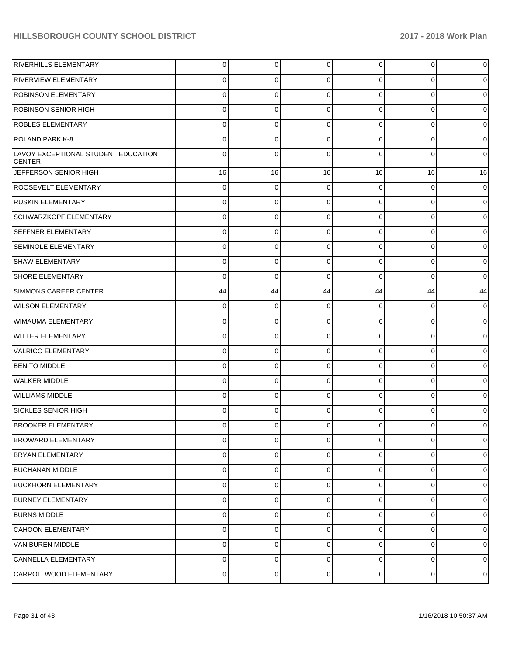| RIVERHILLS ELEMENTARY                                | 0           | 0           | 0        | $\overline{0}$ | 0           | 0           |
|------------------------------------------------------|-------------|-------------|----------|----------------|-------------|-------------|
| <b>RIVERVIEW ELEMENTARY</b>                          | 0           | 0           | 0        | 0              | 0           | 0           |
| <b>ROBINSON ELEMENTARY</b>                           | 0           | 0           | C        | $\Omega$       | 0           | 0           |
| <b>ROBINSON SENIOR HIGH</b>                          | 0           | 0           | 0        | 0              | 0           | 0           |
| <b>ROBLES ELEMENTARY</b>                             | 0           | 0           | C        | $\Omega$       | 0           | 0           |
| <b>ROLAND PARK K-8</b>                               | 0           | 0           | 0        | $\Omega$       | 0           | 0           |
| LAVOY EXCEPTIONAL STUDENT EDUCATION<br><b>CENTER</b> | $\Omega$    | 0           |          | $\Omega$       | 0           | 0           |
| JEFFERSON SENIOR HIGH                                | 16          | 16          | 16       | 16             | 16          | 16          |
| <b>ROOSEVELT ELEMENTARY</b>                          | 0           | $\mathbf 0$ | 0        | $\Omega$       | 0           | $\mathbf 0$ |
| <b>RUSKIN ELEMENTARY</b>                             | 0           | 0           | $\Omega$ | $\Omega$       | 0           | $\mathbf 0$ |
| SCHWARZKOPF ELEMENTARY                               | 0           | 0           | $\Omega$ | $\Omega$       | 0           | 0           |
| <b>SEFFNER ELEMENTARY</b>                            | 0           | 0           | $\Omega$ | $\Omega$       | 0           | 0           |
| <b>SEMINOLE ELEMENTARY</b>                           | 0           | 0           | 0        | $\Omega$       | 0           | 0           |
| SHAW ELEMENTARY                                      | 0           | 0           | $\Omega$ | $\Omega$       | 0           | $\mathbf 0$ |
| SHORE ELEMENTARY                                     | 0           | 0           | $\Omega$ | $\Omega$       | 0           | 0           |
| <b>SIMMONS CAREER CENTER</b>                         | 44          | 44          | 44       | 44             | 44          | 44          |
| <b>WILSON ELEMENTARY</b>                             | 0           | 0           | 0        | $\Omega$       | 0           | $\mathbf 0$ |
| WIMAUMA ELEMENTARY                                   | 0           | 0           | $\Omega$ | $\Omega$       | 0           | $\mathbf 0$ |
| <b>WITTER ELEMENTARY</b>                             | 0           | 0           | $\Omega$ | $\Omega$       | 0           | 0           |
| VALRICO ELEMENTARY                                   | 0           | 0           | $\Omega$ | $\Omega$       | 0           | 0           |
| <b>BENITO MIDDLE</b>                                 | 0           | 0           | $\Omega$ | $\Omega$       | 0           | 0           |
| WALKER MIDDLE                                        | 0           | 0           | $\Omega$ | $\Omega$       | 0           | $\Omega$    |
| <b>WILLIAMS MIDDLE</b>                               | 0           | 0           | $\Omega$ | $\Omega$       | 0           | 0           |
| <b>SICKLES SENIOR HIGH</b>                           | 0           | 0           | $\Omega$ | $\Omega$       | 0           | 0           |
| <b>BROOKER ELEMENTARY</b>                            | 0           | 0           | 0        | $\overline{0}$ | 0           | 0           |
| <b>BROWARD ELEMENTARY</b>                            | 0           | 0           | $\Omega$ | $\Omega$       | 0           | $\Omega$    |
| <b>BRYAN ELEMENTARY</b>                              | $\mathbf 0$ | 0           | $\Omega$ | $\overline{0}$ | $\mathbf 0$ | 0           |
| <b>BUCHANAN MIDDLE</b>                               | 0           | 0           | $\Omega$ | $\Omega$       | 0           | 0           |
| <b>BUCKHORN ELEMENTARY</b>                           | 0           | $\mathbf 0$ | $\Omega$ | $\Omega$       | 0           | $\mathbf 0$ |
| <b>BURNEY ELEMENTARY</b>                             | 0           | $\mathbf 0$ | $\Omega$ | $\overline{0}$ | 0           | 0           |
| <b>BURNS MIDDLE</b>                                  | 0           | $\mathbf 0$ | $\Omega$ | $\overline{0}$ | 0           | 0           |
| CAHOON ELEMENTARY                                    | 0           | 0           | $\Omega$ | $\Omega$       | 0           | 0           |
| VAN BUREN MIDDLE                                     | 0           | $\mathbf 0$ | $\Omega$ | $\Omega$       | 0           | $\mathbf 0$ |
| CANNELLA ELEMENTARY                                  | 0           | 0           | $\Omega$ | $\overline{0}$ | 0           | 0           |
| CARROLLWOOD ELEMENTARY                               | 0           | 0           | 0        | $\overline{0}$ | 0           | 0           |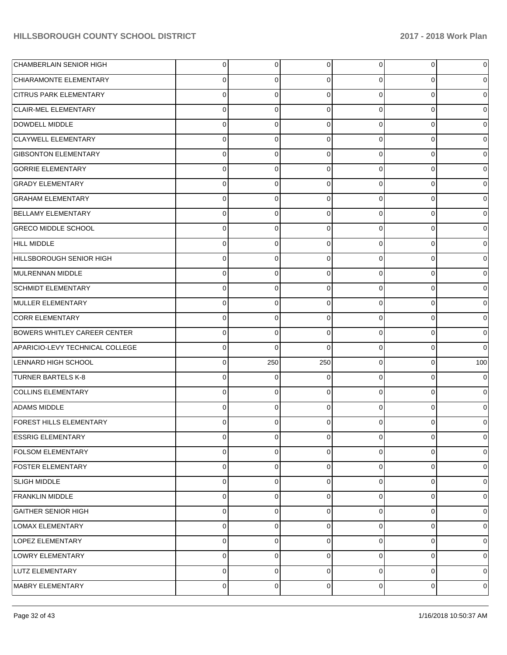| CHAMBERLAIN SENIOR HIGH             | 0 | 0   | 0           | 0 | $\overline{0}$ | $\overline{0}$ |
|-------------------------------------|---|-----|-------------|---|----------------|----------------|
| CHIARAMONTE ELEMENTARY              | 0 | 0   | $\Omega$    | 0 | 0              | $\overline{0}$ |
| <b>CITRUS PARK ELEMENTARY</b>       | 0 | 0   | $\Omega$    | 0 | 0              | $\overline{0}$ |
| <b>CLAIR-MEL ELEMENTARY</b>         | 0 | 0   | $\Omega$    | 0 | $\overline{0}$ | $\overline{0}$ |
| DOWDELL MIDDLE                      | 0 | 0   | $\Omega$    | 0 | 0              | $\overline{0}$ |
| <b>CLAYWELL ELEMENTARY</b>          | 0 | 0   | $\Omega$    | 0 | 0              | $\overline{0}$ |
| <b>GIBSONTON ELEMENTARY</b>         | 0 | 0   | $\Omega$    | 0 | 0              | $\overline{0}$ |
| <b>GORRIE ELEMENTARY</b>            | 0 | 0   | $\Omega$    | 0 | 0              | $\overline{0}$ |
| <b>GRADY ELEMENTARY</b>             | 0 | 0   | $\Omega$    | 0 | 0              | $\overline{0}$ |
| <b>GRAHAM ELEMENTARY</b>            | 0 | 0   | $\Omega$    | 0 | 0              | $\overline{0}$ |
| <b>BELLAMY ELEMENTARY</b>           | 0 | 0   | $\Omega$    | 0 | 0              | $\overline{0}$ |
| <b>GRECO MIDDLE SCHOOL</b>          | 0 | 0   | $\Omega$    | 0 | 0              | $\overline{0}$ |
| <b>HILL MIDDLE</b>                  | 0 | 0   | $\Omega$    | 0 | 0              | $\overline{0}$ |
| HILLSBOROUGH SENIOR HIGH            | 0 | 0   | $\Omega$    | 0 | 0              | $\overline{0}$ |
| MULRENNAN MIDDLE                    | 0 | 0   | $\Omega$    | 0 | 0              | $\overline{0}$ |
| <b>SCHMIDT ELEMENTARY</b>           | 0 | 0   | $\Omega$    | 0 | 0              | $\overline{0}$ |
| MULLER ELEMENTARY                   | 0 | 0   | $\Omega$    | 0 | 0              | $\overline{0}$ |
| <b>CORR ELEMENTARY</b>              | 0 | 0   | $\Omega$    | 0 | $\overline{0}$ | $\overline{0}$ |
| <b>BOWERS WHITLEY CAREER CENTER</b> | 0 | 0   | $\Omega$    | 0 | 0              | $\overline{0}$ |
| APARICIO-LEVY TECHNICAL COLLEGE     | 0 | 0   | $\Omega$    | 0 | 0              | $\overline{0}$ |
| <b>LENNARD HIGH SCHOOL</b>          | 0 | 250 | 250         | 0 | 0              | 100            |
| <b>TURNER BARTELS K-8</b>           | 0 | 0   | $\Omega$    | 0 | $\overline{0}$ | $\overline{0}$ |
| COLLINS ELEMENTARY                  | 0 | 0   | $\Omega$    | 0 | 0              | $\overline{0}$ |
| <b>ADAMS MIDDLE</b>                 | 0 | 0   | $\Omega$    | 0 | 0              | $\overline{0}$ |
| <b>FOREST HILLS ELEMENTARY</b>      | 0 | 0   | $\Omega$    | 0 | 0              | $\overline{0}$ |
| <b>ESSRIG ELEMENTARY</b>            | 0 | 0   | $\mathbf 0$ | 0 | $\overline{0}$ | $\overline{0}$ |
| <b>FOLSOM ELEMENTARY</b>            | 0 | 0   | 0           | 0 | $\overline{0}$ | $\overline{0}$ |
| <b>FOSTER ELEMENTARY</b>            | 0 | 0   | $\Omega$    | 0 | $\overline{0}$ | $\overline{0}$ |
| <b>SLIGH MIDDLE</b>                 | 0 | 0   | 0           | 0 | $\overline{0}$ | $\overline{0}$ |
| <b>FRANKLIN MIDDLE</b>              | 0 | 0   | $\Omega$    | 0 | $\overline{0}$ | $\overline{0}$ |
| <b>GAITHER SENIOR HIGH</b>          | 0 | 0   | 0           | 0 | $\overline{0}$ | $\overline{0}$ |
| LOMAX ELEMENTARY                    | 0 | 0   | $\Omega$    | 0 | $\overline{0}$ | $\overline{0}$ |
| LOPEZ ELEMENTARY                    | 0 | 0   | 0           | 0 | $\overline{0}$ | $\overline{0}$ |
| LOWRY ELEMENTARY                    | 0 | 0   | $\Omega$    | 0 | $\overline{0}$ | $\overline{0}$ |
| LUTZ ELEMENTARY                     | 0 | 0   | 0           | 0 | $\overline{0}$ | $\mathbf 0$    |
| MABRY ELEMENTARY                    | 0 | 0   | 0           | 0 | $\mathbf 0$    | $\pmb{0}$      |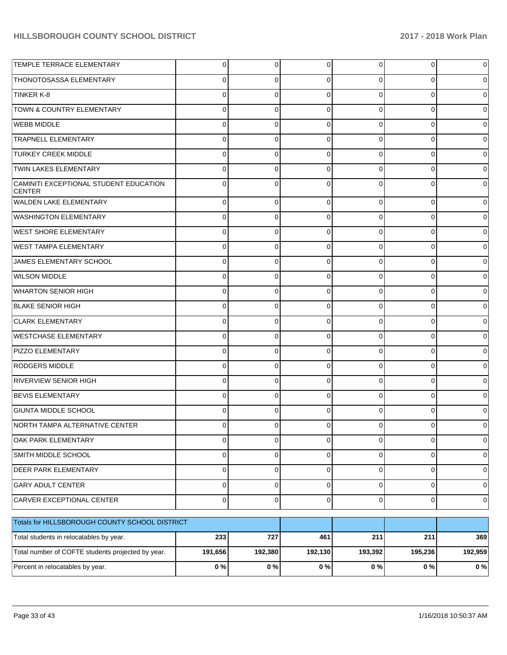| TEMPLE TERRACE ELEMENTARY                               | $\overline{0}$ | $\overline{0}$ | $\overline{0}$ | $\overline{0}$ | $\overline{0}$ | $\Omega$       |
|---------------------------------------------------------|----------------|----------------|----------------|----------------|----------------|----------------|
| THONOTOSASSA ELEMENTARY                                 | 0              | 0              | 0              | $\Omega$       | $\Omega$       | 0              |
| TINKER K-8                                              | 0              | 0              | $\Omega$       | $\Omega$       | $\Omega$       | 0              |
| TOWN & COUNTRY ELEMENTARY                               | 0              | 0              | 0              | $\Omega$       | $\Omega$       | 0              |
| <b>WEBB MIDDLE</b>                                      | 0              | 0              | $\Omega$       | $\Omega$       | $\Omega$       | 0              |
| <b>TRAPNELL ELEMENTARY</b>                              | 0              | $\mathbf 0$    | 0              | $\Omega$       | $\Omega$       | 0              |
| <b>TURKEY CREEK MIDDLE</b>                              | 0              | 0              | $\Omega$       | $\Omega$       | $\Omega$       | 0              |
| <b>TWIN LAKES ELEMENTARY</b>                            | 0              | 0              | 0              | $\Omega$       | $\Omega$       | 0              |
| CAMINITI EXCEPTIONAL STUDENT EDUCATION<br><b>CENTER</b> | 0              | $\Omega$       | $\Omega$       | $\Omega$       | $\Omega$       | $\Omega$       |
| WALDEN LAKE ELEMENTARY                                  | 0              | $\mathbf 0$    | $\Omega$       | 0              | $\Omega$       | $\Omega$       |
| <b>WASHINGTON ELEMENTARY</b>                            | 0              | $\mathbf 0$    | $\Omega$       | 0              | 0              | 0              |
| <b>WEST SHORE ELEMENTARY</b>                            | 0              | $\mathbf 0$    | $\Omega$       | 0              | $\Omega$       | 0              |
| <b>WEST TAMPA ELEMENTARY</b>                            | 0              | $\mathbf 0$    | 0              | 0              | 0              | 0              |
| JAMES ELEMENTARY SCHOOL                                 | 0              | $\mathbf 0$    | $\Omega$       | 0              | 0              | 0              |
| <b>WILSON MIDDLE</b>                                    | 0              | $\mathbf 0$    | $\Omega$       | 0              | 0              | 0              |
| <b>WHARTON SENIOR HIGH</b>                              | 0              | $\mathbf 0$    | $\Omega$       | 0              | $\Omega$       | 0              |
| <b>BLAKE SENIOR HIGH</b>                                | 0              | $\mathbf 0$    | 0              | 0              | $\Omega$       | 0              |
| <b>CLARK ELEMENTARY</b>                                 | 0              | $\mathbf 0$    | $\Omega$       | 0              | 0              | 0              |
| <b>WESTCHASE ELEMENTARY</b>                             | 0              | $\mathbf 0$    | $\Omega$       | 0              | 0              | 0              |
| PIZZO ELEMENTARY                                        | 0              | $\mathbf 0$    | $\Omega$       | 0              | 0              | 0              |
| <b>RODGERS MIDDLE</b>                                   | 0              | $\mathbf 0$    | 0              | $\Omega$       | $\Omega$       | 0              |
| <b>RIVERVIEW SENIOR HIGH</b>                            | 0              | $\mathbf 0$    | $\Omega$       | <sup>0</sup>   | 0              | 0              |
| <b>BEVIS ELEMENTARY</b>                                 | 0              | $\mathbf 0$    | $\Omega$       | 0              | 0              | 0              |
| <b>GIUNTA MIDDLE SCHOOL</b>                             | 0              | 0              | $\Omega$       | <sup>0</sup>   | 0              | 0              |
| NORTH TAMPA ALTERNATIVE CENTER                          | 0              | 0              | 0              | 0              | 0              | 0              |
| OAK PARK ELEMENTARY                                     | $\mathbf 0$    | 0              | 0              | 0              | $\mathbf 0$    | 0              |
| SMITH MIDDLE SCHOOL                                     | 0              | $\mathbf 0$    | $\pmb{0}$      | $\overline{0}$ | $\mathbf 0$    | $\overline{0}$ |
| <b>DEER PARK ELEMENTARY</b>                             | 0              | $\mathbf 0$    | $\pmb{0}$      | $\mathbf 0$    | $\mathbf 0$    | $\overline{0}$ |
| <b>GARY ADULT CENTER</b>                                | 0              | $\mathbf 0$    | $\pmb{0}$      | $\mathbf 0$    | $\mathbf 0$    | $\overline{0}$ |
| CARVER EXCEPTIONAL CENTER                               | 0              | $\mathbf 0$    | $\pmb{0}$      | $\overline{0}$ | $\mathbf 0$    | $\overline{0}$ |
| Totals for HILLSBOROUGH COUNTY SCHOOL DISTRICT          |                |                |                |                |                |                |
| Total students in relocatables by year.                 | 233            | 727            | 461            | 211            | 211            | 369            |
| Total number of COFTE students projected by year.       | 191,656        | 192,380        | 192,130        | 193,392        | 195,236        | 192,959        |
| Percent in relocatables by year.                        | $0\ \%$        | 0%             | $0\ \%$        | $0\%$          | $0\ \%$        | 0%             |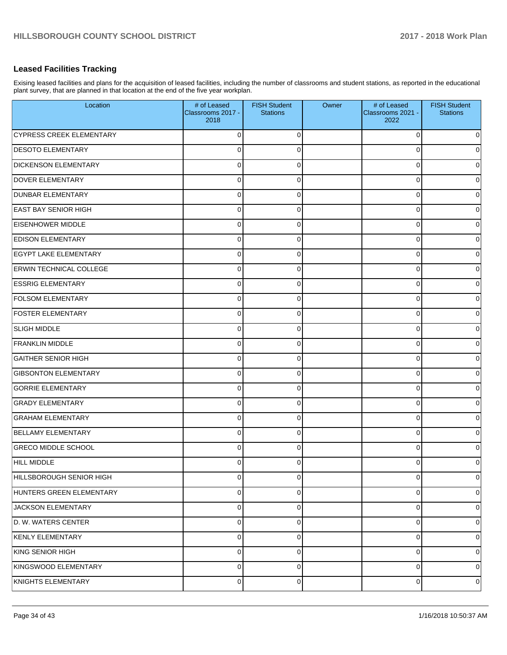# **Leased Facilities Tracking**

Exising leased facilities and plans for the acquisition of leased facilities, including the number of classrooms and student stations, as reported in the educational plant survey, that are planned in that location at the end of the five year workplan.

| Location                        | # of Leased<br>Classrooms 2017 -<br>2018 | <b>FISH Student</b><br><b>Stations</b> | Owner | # of Leased<br>Classrooms 2021 -<br>2022 | <b>FISH Student</b><br><b>Stations</b> |
|---------------------------------|------------------------------------------|----------------------------------------|-------|------------------------------------------|----------------------------------------|
| <b>CYPRESS CREEK ELEMENTARY</b> | $\overline{0}$                           | $\Omega$                               |       | $\Omega$                                 | $\mathbf 0$                            |
| <b>DESOTO ELEMENTARY</b>        | $\overline{0}$                           | $\Omega$                               |       | 0                                        | $\mathbf 0$                            |
| <b>DICKENSON ELEMENTARY</b>     | $\overline{0}$                           | $\Omega$                               |       | $\Omega$                                 | $\mathbf 0$                            |
| <b>DOVER ELEMENTARY</b>         | $\overline{0}$                           | $\Omega$                               |       | $\mathbf 0$                              | $\mathbf 0$                            |
| <b>DUNBAR ELEMENTARY</b>        | $\overline{0}$                           | $\Omega$                               |       | $\Omega$                                 | $\mathbf 0$                            |
| <b>EAST BAY SENIOR HIGH</b>     | $\overline{0}$                           | $\Omega$                               |       | $\mathbf 0$                              | $\mathbf 0$                            |
| <b>EISENHOWER MIDDLE</b>        | $\overline{0}$                           | $\Omega$                               |       | 0                                        | $\mathbf 0$                            |
| <b>EDISON ELEMENTARY</b>        | $\overline{0}$                           | $\Omega$                               |       | $\mathbf 0$                              | $\mathbf 0$                            |
| <b>EGYPT LAKE ELEMENTARY</b>    | $\overline{0}$                           | $\Omega$                               |       | 0                                        | $\mathbf 0$                            |
| <b>ERWIN TECHNICAL COLLEGE</b>  | $\overline{0}$                           | $\Omega$                               |       | $\mathbf 0$                              | $\mathbf 0$                            |
| <b>ESSRIG ELEMENTARY</b>        | $\overline{0}$                           | $\Omega$                               |       | $\mathbf 0$                              | $\mathbf 0$                            |
| <b>FOLSOM ELEMENTARY</b>        | $\overline{0}$                           | $\Omega$                               |       | $\mathbf 0$                              | $\mathbf 0$                            |
| <b>FOSTER ELEMENTARY</b>        | $\overline{0}$                           | $\Omega$                               |       | 0                                        | $\mathbf 0$                            |
| <b>SLIGH MIDDLE</b>             | $\overline{0}$                           | $\Omega$                               |       | $\mathbf 0$                              | $\mathbf 0$                            |
| <b>FRANKLIN MIDDLE</b>          | $\overline{0}$                           | $\Omega$                               |       | 0                                        | $\mathbf 0$                            |
| <b>GAITHER SENIOR HIGH</b>      | $\overline{0}$                           | $\Omega$                               |       | $\mathbf 0$                              | $\mathbf 0$                            |
| <b>GIBSONTON ELEMENTARY</b>     | $\overline{0}$                           | $\Omega$                               |       | $\Omega$                                 | $\mathbf 0$                            |
| <b>GORRIE ELEMENTARY</b>        | $\overline{0}$                           | $\Omega$                               |       | $\mathbf 0$                              | $\mathbf 0$                            |
| <b>GRADY ELEMENTARY</b>         | $\overline{0}$                           | $\Omega$                               |       | 0                                        | $\mathbf 0$                            |
| <b>GRAHAM ELEMENTARY</b>        | $\overline{0}$                           | $\Omega$                               |       | $\mathbf 0$                              | $\mathbf 0$                            |
| BELLAMY ELEMENTARY              | $\overline{0}$                           | $\Omega$                               |       | 0                                        | $\mathbf 0$                            |
| <b>GRECO MIDDLE SCHOOL</b>      | $\overline{0}$                           | $\Omega$                               |       | 0                                        | $\mathbf 0$                            |
| <b>HILL MIDDLE</b>              | $\overline{0}$                           | $\Omega$                               |       | 0                                        | $\mathbf 0$                            |
| HILLSBOROUGH SENIOR HIGH        | $\overline{0}$                           | $\mathbf 0$                            |       | 0                                        | $\mathbf 0$                            |
| HUNTERS GREEN ELEMENTARY        | $\overline{0}$                           | $\mathbf 0$                            |       | 0                                        | $\mathbf 0$                            |
| <b>JACKSON ELEMENTARY</b>       | $\overline{0}$                           | $\Omega$                               |       | 0                                        | $\overline{0}$                         |
| D. W. WATERS CENTER             | $\overline{0}$                           | $\mathbf 0$                            |       | $\mathbf 0$                              | $\overline{0}$                         |
| KENLY ELEMENTARY                | $\overline{0}$                           | $\Omega$                               |       | $\mathbf 0$                              | $\overline{0}$                         |
| KING SENIOR HIGH                | $\overline{0}$                           | $\Omega$                               |       | $\mathbf 0$                              | $\overline{0}$                         |
| KINGSWOOD ELEMENTARY            | $\overline{0}$                           | $\Omega$                               |       | 0                                        | $\overline{0}$                         |
| KNIGHTS ELEMENTARY              | $\overline{0}$                           | $\overline{0}$                         |       | 0                                        | $\mathbf 0$                            |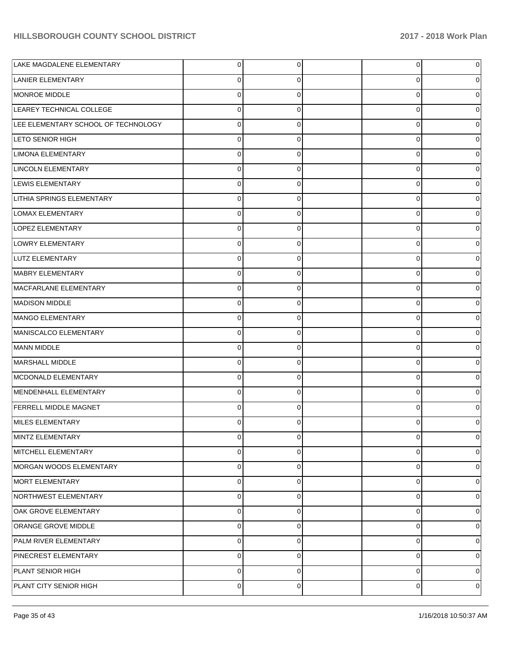| LAKE MAGDALENE ELEMENTARY           | $\overline{0}$ | 0        | $\overline{0}$ | 0        |
|-------------------------------------|----------------|----------|----------------|----------|
| LANIER ELEMENTARY                   | $\overline{0}$ | 0        | 0              |          |
| MONROE MIDDLE                       | $\overline{0}$ | 0        | 0              |          |
| LEAREY TECHNICAL COLLEGE            | $\overline{0}$ | 0        | 0              |          |
| LEE ELEMENTARY SCHOOL OF TECHNOLOGY | $\overline{0}$ | $\Omega$ | 0              |          |
| LETO SENIOR HIGH                    | $\overline{0}$ | 0        | 0              |          |
| LIMONA ELEMENTARY                   | $\overline{0}$ | $\Omega$ | 0              |          |
| LINCOLN ELEMENTARY                  | $\overline{0}$ | 0        | 0              |          |
| LEWIS ELEMENTARY                    | $\overline{0}$ | $\Omega$ | 0              |          |
| LITHIA SPRINGS ELEMENTARY           | $\overline{0}$ | 0        | 0              |          |
| LOMAX ELEMENTARY                    | $\overline{0}$ | $\Omega$ | 0              |          |
| LOPEZ ELEMENTARY                    | $\overline{0}$ | 0        | 0              |          |
| LOWRY ELEMENTARY                    | $\overline{0}$ | $\Omega$ | 0              |          |
| LUTZ ELEMENTARY                     | $\overline{0}$ | 0        | 0              |          |
| MABRY ELEMENTARY                    | $\overline{0}$ | $\Omega$ | 0              |          |
| MACFARLANE ELEMENTARY               | $\overline{0}$ | 0        | 0              |          |
| <b>MADISON MIDDLE</b>               | $\overline{0}$ | $\Omega$ | 0              |          |
| MANGO ELEMENTARY                    | $\overline{0}$ | 0        | 0              |          |
| MANISCALCO ELEMENTARY               | $\overline{0}$ | $\Omega$ | 0              |          |
| <b>MANN MIDDLE</b>                  | $\overline{0}$ | 0        | 0              |          |
| MARSHALL MIDDLE                     | $\overline{0}$ | $\Omega$ | 0              |          |
| MCDONALD ELEMENTARY                 | $\overline{0}$ | 0        | 0              |          |
| MENDENHALL ELEMENTARY               | $\overline{0}$ | $\Omega$ | 0              |          |
| <b>FERRELL MIDDLE MAGNET</b>        | $\overline{0}$ | 0        | 0              |          |
| MILES ELEMENTARY                    | $\Omega$       | 0        | 0              |          |
| MINTZ ELEMENTARY                    | $\overline{0}$ | 0        | 0              | 0        |
| MITCHELL ELEMENTARY                 | $\overline{0}$ | 0        | 0              | 0        |
| MORGAN WOODS ELEMENTARY             | $\overline{0}$ | 0        | 0              | 0        |
| MORT ELEMENTARY                     | $\overline{0}$ | 0        | 0              | 0        |
| NORTHWEST ELEMENTARY                | $\overline{0}$ | $\Omega$ | 0              | $\Omega$ |
| OAK GROVE ELEMENTARY                | $\overline{0}$ | 0        | 0              | 0        |
| ORANGE GROVE MIDDLE                 | $\overline{0}$ | 0        | 0              | $\Omega$ |
| PALM RIVER ELEMENTARY               | $\overline{0}$ | 0        | 0              | 0        |
| PINECREST ELEMENTARY                | $\overline{0}$ | $\Omega$ | 0              | $\Omega$ |
| PLANT SENIOR HIGH                   | $\overline{0}$ | 0        | 0              | 0        |
| PLANT CITY SENIOR HIGH              | $\mathbf 0$    | 0        | 0              | 0        |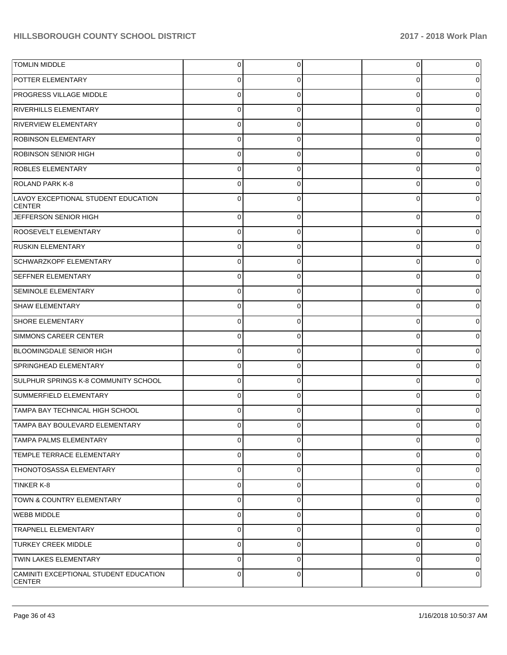| <b>TOMLIN MIDDLE</b>                                    | $\mathbf 0$ | 0           | 0           | 0 |
|---------------------------------------------------------|-------------|-------------|-------------|---|
| POTTER ELEMENTARY                                       | 0           | 0           | 0           | 0 |
| PROGRESS VILLAGE MIDDLE                                 | 0           | 0           | 0           |   |
| <b>RIVERHILLS ELEMENTARY</b>                            | $\mathbf 0$ | 0           | 0           | o |
| <b>RIVERVIEW ELEMENTARY</b>                             | 0           | 0           | 0           |   |
| <b>ROBINSON ELEMENTARY</b>                              | $\mathbf 0$ | 0           | 0           | 0 |
| <b>ROBINSON SENIOR HIGH</b>                             | 0           | 0           | 0           |   |
| <b>ROBLES ELEMENTARY</b>                                | $\mathbf 0$ | 0           | 0           | o |
| <b>ROLAND PARK K-8</b>                                  | 0           | 0           | 0           | ი |
| LAVOY EXCEPTIONAL STUDENT EDUCATION<br><b>CENTER</b>    | $\mathbf 0$ | 0           | 0           | 0 |
| JEFFERSON SENIOR HIGH                                   | $\mathbf 0$ | 0           | 0           | 0 |
| ROOSEVELT ELEMENTARY                                    | $\mathbf 0$ | 0           | 0           | 0 |
| <b>RUSKIN ELEMENTARY</b>                                | $\mathbf 0$ | 0           | 0           | 0 |
| SCHWARZKOPF ELEMENTARY                                  | $\mathbf 0$ | 0           | 0           | 0 |
| <b>SEFFNER ELEMENTARY</b>                               | $\mathbf 0$ | 0           | 0           | 0 |
| <b>SEMINOLE ELEMENTARY</b>                              | $\mathbf 0$ | 0           | 0           | 0 |
| <b>SHAW ELEMENTARY</b>                                  | $\mathbf 0$ | 0           | 0           | 0 |
| SHORE ELEMENTARY                                        | $\mathbf 0$ | 0           | 0           | 0 |
| <b>SIMMONS CAREER CENTER</b>                            | $\mathbf 0$ | 0           | 0           | 0 |
| <b>BLOOMINGDALE SENIOR HIGH</b>                         | $\mathbf 0$ | 0           | 0           | 0 |
| SPRINGHEAD ELEMENTARY                                   | $\mathbf 0$ | 0           | 0           | 0 |
| SULPHUR SPRINGS K-8 COMMUNITY SCHOOL                    | $\mathbf 0$ | 0           | 0           | 0 |
| SUMMERFIELD ELEMENTARY                                  | $\mathbf 0$ | 0           | 0           | 0 |
| TAMPA BAY TECHNICAL HIGH SCHOOL                         | $\Omega$    | $\Omega$    | $\Omega$    | o |
| TAMPA BAY BOULEVARD ELEMENTARY                          | 0           | $\Omega$    | 0           | 0 |
| <b>TAMPA PALMS ELEMENTARY</b>                           | $\Omega$    | 0           | 0           | 0 |
| TEMPLE TERRACE ELEMENTARY                               | $\Omega$    | $\mathbf 0$ | $\mathbf 0$ | 0 |
| <b>THONOTOSASSA ELEMENTARY</b>                          | $\Omega$    | $\Omega$    | 0           | 0 |
| TINKER K-8                                              | $\Omega$    | $\Omega$    | 0           | 0 |
| <b>TOWN &amp; COUNTRY ELEMENTARY</b>                    | $\mathbf 0$ | 0           | 0           | 0 |
| <b>WEBB MIDDLE</b>                                      | $\Omega$    | $\mathbf 0$ | $\mathbf 0$ | 0 |
| <b>TRAPNELL ELEMENTARY</b>                              | $\Omega$    | $\Omega$    | $\mathbf 0$ | 0 |
| <b>TURKEY CREEK MIDDLE</b>                              | $\Omega$    | $\Omega$    | 0           | 0 |
| TWIN LAKES ELEMENTARY                                   | $\Omega$    | 0           | 0           | 0 |
| CAMINITI EXCEPTIONAL STUDENT EDUCATION<br><b>CENTER</b> | $\mathbf 0$ | 0           | $\mathbf 0$ | 0 |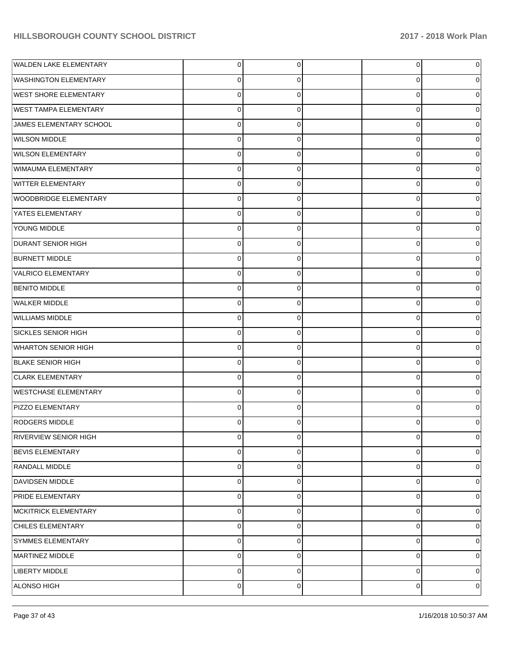| WALDEN LAKE ELEMENTARY       | $\overline{0}$ | 0 | 0 | 0 |
|------------------------------|----------------|---|---|---|
| <b>WASHINGTON ELEMENTARY</b> | 0              | 0 | 0 | 0 |
| <b>WEST SHORE ELEMENTARY</b> | $\overline{0}$ | 0 | 0 | 0 |
| <b>WEST TAMPA ELEMENTARY</b> | $\overline{0}$ | 0 | 0 | 0 |
| JAMES ELEMENTARY SCHOOL      | $\overline{0}$ | 0 | 0 | 0 |
| <b>WILSON MIDDLE</b>         | $\mathbf 0$    | 0 | 0 | 0 |
| <b>WILSON ELEMENTARY</b>     | $\overline{0}$ | 0 | 0 | 0 |
| WIMAUMA ELEMENTARY           | $\overline{0}$ | 0 | 0 | 0 |
| <b>WITTER ELEMENTARY</b>     | $\overline{0}$ | 0 | 0 | 0 |
| <b>WOODBRIDGE ELEMENTARY</b> | $\overline{0}$ | 0 | 0 | 0 |
| YATES ELEMENTARY             | $\overline{0}$ | 0 | 0 | 0 |
| YOUNG MIDDLE                 | $\overline{0}$ | 0 | 0 | 0 |
| <b>DURANT SENIOR HIGH</b>    | $\overline{0}$ | 0 | 0 | 0 |
| <b>BURNETT MIDDLE</b>        | $\overline{0}$ | 0 | 0 | 0 |
| VALRICO ELEMENTARY           | $\overline{0}$ | 0 | 0 | 0 |
| <b>BENITO MIDDLE</b>         | $\overline{0}$ | 0 | 0 | 0 |
| <b>WALKER MIDDLE</b>         | $\overline{0}$ | 0 | 0 | 0 |
| <b>WILLIAMS MIDDLE</b>       | $\overline{0}$ | 0 | 0 | 0 |
| SICKLES SENIOR HIGH          | $\overline{0}$ | 0 | 0 | 0 |
| <b>WHARTON SENIOR HIGH</b>   | $\overline{0}$ | 0 | 0 | 0 |
| <b>BLAKE SENIOR HIGH</b>     | $\overline{0}$ | 0 | 0 | 0 |
| <b>CLARK ELEMENTARY</b>      | $\mathbf{0}$   | 0 | 0 | 0 |
| <b>WESTCHASE ELEMENTARY</b>  | $\mathbf{0}$   | 0 | 0 | 0 |
| <b>PIZZO ELEMENTARY</b>      | $\mathbf 0$    | 0 | 0 | 0 |
| <b>RODGERS MIDDLE</b>        | 0              | 0 | 0 | 0 |
| <b>RIVERVIEW SENIOR HIGH</b> | $\overline{0}$ | 0 | 0 | 0 |
| <b>BEVIS ELEMENTARY</b>      | 0              | 0 | 0 | 0 |
| RANDALL MIDDLE               | $\mathbf{0}$   | 0 | 0 | 0 |
| <b>DAVIDSEN MIDDLE</b>       | $\mathbf{0}$   | 0 | 0 | 0 |
| PRIDE ELEMENTARY             | $\mathbf{0}$   | 0 | 0 | 0 |
| <b>MCKITRICK ELEMENTARY</b>  | $\mathbf 0$    | 0 | 0 | 0 |
| <b>CHILES ELEMENTARY</b>     | $\mathbf{0}$   | 0 | 0 | 0 |
| SYMMES ELEMENTARY            | $\mathbf{0}$   | 0 | 0 | 0 |
| MARTINEZ MIDDLE              | $\mathbf{0}$   | 0 | 0 | 0 |
| <b>LIBERTY MIDDLE</b>        | $\mathbf{0}$   | 0 | 0 | 0 |
| ALONSO HIGH                  | $\mathbf 0$    | 0 | 0 | 0 |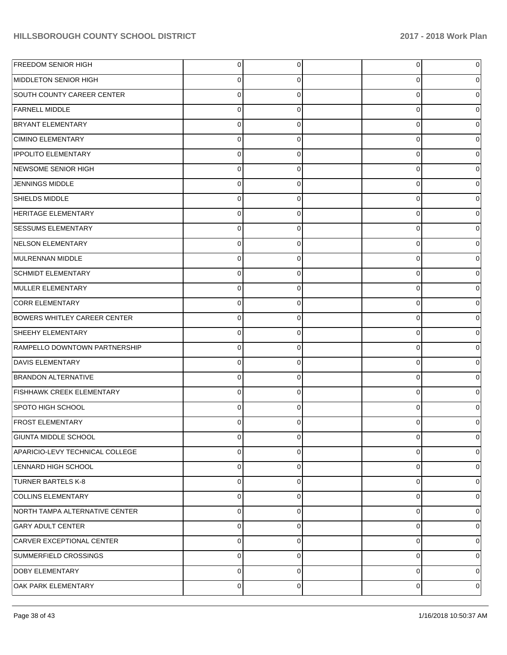| <b>FREEDOM SENIOR HIGH</b>          | $\overline{0}$ | 0              | 0 | 0 |
|-------------------------------------|----------------|----------------|---|---|
| MIDDLETON SENIOR HIGH               | $\overline{0}$ | 0              | 0 | 0 |
| SOUTH COUNTY CAREER CENTER          | $\overline{0}$ | $\Omega$       | 0 | 0 |
| <b>FARNELL MIDDLE</b>               | $\overline{0}$ | $\Omega$       | 0 | 0 |
| <b>BRYANT ELEMENTARY</b>            | $\overline{0}$ | $\Omega$       | 0 |   |
| <b>CIMINO ELEMENTARY</b>            | $\overline{0}$ | $\Omega$       | 0 | 0 |
| <b>IPPOLITO ELEMENTARY</b>          | $\overline{0}$ | $\Omega$       | 0 |   |
| NEWSOME SENIOR HIGH                 | $\overline{0}$ | $\Omega$       | 0 | 0 |
| JENNINGS MIDDLE                     | $\overline{0}$ | $\Omega$       | 0 |   |
| SHIELDS MIDDLE                      | $\overline{0}$ | $\Omega$       | 0 | 0 |
| <b>HERITAGE ELEMENTARY</b>          | $\overline{0}$ | $\Omega$       | 0 |   |
| <b>SESSUMS ELEMENTARY</b>           | $\overline{0}$ | $\Omega$       | 0 | 0 |
| NELSON ELEMENTARY                   | $\overline{0}$ | $\Omega$       | 0 |   |
| MULRENNAN MIDDLE                    | $\overline{0}$ | $\Omega$       | 0 | 0 |
| <b>SCHMIDT ELEMENTARY</b>           | $\overline{0}$ | $\Omega$       | 0 |   |
| MULLER ELEMENTARY                   | $\overline{0}$ | $\Omega$       | 0 | 0 |
| CORR ELEMENTARY                     | $\overline{0}$ | $\Omega$       | 0 |   |
| <b>BOWERS WHITLEY CAREER CENTER</b> | $\overline{0}$ | $\Omega$       | 0 | 0 |
| SHEEHY ELEMENTARY                   | $\overline{0}$ | $\Omega$       | 0 |   |
| RAMPELLO DOWNTOWN PARTNERSHIP       | $\overline{0}$ | $\Omega$       | 0 | 0 |
| <b>DAVIS ELEMENTARY</b>             | $\overline{0}$ | $\Omega$       | 0 |   |
| <b>BRANDON ALTERNATIVE</b>          | $\overline{0}$ | $\Omega$       | 0 | 0 |
| <b>FISHHAWK CREEK ELEMENTARY</b>    | $\overline{0}$ | $\Omega$       | 0 |   |
| SPOTO HIGH SCHOOL                   | $\overline{0}$ | $\Omega$       | 0 |   |
| <b>FROST ELEMENTARY</b>             | 0              | ∩              |   |   |
| <b>GIUNTA MIDDLE SCHOOL</b>         | $\overline{0}$ | $\overline{0}$ | 0 | 0 |
| APARICIO-LEVY TECHNICAL COLLEGE     | $\overline{0}$ | $\Omega$       | 0 | 0 |
| LENNARD HIGH SCHOOL                 | $\overline{0}$ | $\Omega$       | 0 | 0 |
| <b>TURNER BARTELS K-8</b>           | $\overline{0}$ | $\Omega$       | 0 | 0 |
| COLLINS ELEMENTARY                  | $\overline{0}$ | $\Omega$       | 0 | 0 |
| NORTH TAMPA ALTERNATIVE CENTER      | $\overline{0}$ | $\Omega$       | 0 | 0 |
| <b>GARY ADULT CENTER</b>            | $\overline{0}$ | $\Omega$       | 0 | 0 |
| CARVER EXCEPTIONAL CENTER           | $\overline{0}$ | $\Omega$       | 0 | 0 |
| SUMMERFIELD CROSSINGS               | $\overline{0}$ | $\Omega$       | 0 | 0 |
| <b>DOBY ELEMENTARY</b>              | $\overline{0}$ | $\Omega$       | 0 | 0 |
| OAK PARK ELEMENTARY                 | $\overline{0}$ | 0              | 0 | 0 |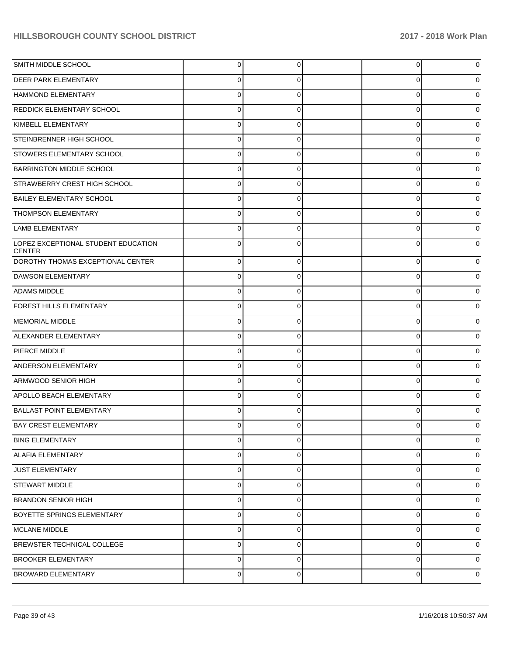| SMITH MIDDLE SCHOOL                                  | $\overline{0}$ | $\overline{0}$ | $\overline{0}$ | 0 |
|------------------------------------------------------|----------------|----------------|----------------|---|
| <b>DEER PARK ELEMENTARY</b>                          | 0              | 0              | 0              | 0 |
| HAMMOND ELEMENTARY                                   | $\Omega$       | $\Omega$       | 0              | 0 |
| <b>REDDICK ELEMENTARY SCHOOL</b>                     | $\Omega$       | 0              | 0              | 0 |
| KIMBELL ELEMENTARY                                   | $\Omega$       | $\Omega$       | 0              |   |
| STEINBRENNER HIGH SCHOOL                             | $\Omega$       | 0              | 0              | 0 |
| <b>STOWERS ELEMENTARY SCHOOL</b>                     | $\Omega$       | 0              | 0              |   |
| <b>BARRINGTON MIDDLE SCHOOL</b>                      | $\Omega$       | 0              | 0              | 0 |
| <b>STRAWBERRY CREST HIGH SCHOOL</b>                  | $\Omega$       | $\Omega$       | 0              | 0 |
| <b>BAILEY ELEMENTARY SCHOOL</b>                      | $\Omega$       | 0              | 0              | 0 |
| <b>THOMPSON ELEMENTARY</b>                           | $\Omega$       | 0              | 0              |   |
| LAMB ELEMENTARY                                      | 0              | $\Omega$       | 0              | 0 |
| LOPEZ EXCEPTIONAL STUDENT EDUCATION<br><b>CENTER</b> | $\Omega$       | $\Omega$       | $\Omega$       |   |
| DOROTHY THOMAS EXCEPTIONAL CENTER                    | $\Omega$       | $\mathbf 0$    | $\mathbf 0$    |   |
| DAWSON ELEMENTARY                                    | $\Omega$       | 0              | 0              |   |
| <b>ADAMS MIDDLE</b>                                  | $\Omega$       | 0              | 0              |   |
| FOREST HILLS ELEMENTARY                              | $\Omega$       | 0              | 0              |   |
| MEMORIAL MIDDLE                                      | $\Omega$       | 0              | $\mathbf 0$    |   |
| ALEXANDER ELEMENTARY                                 | $\Omega$       | 0              | 0              |   |
| PIERCE MIDDLE                                        | $\Omega$       | 0              | 0              |   |
| <b>ANDERSON ELEMENTARY</b>                           | $\Omega$       | 0              | 0              |   |
| ARMWOOD SENIOR HIGH                                  | $\Omega$       | 0              | 0              |   |
| <b>APOLLO BEACH ELEMENTARY</b>                       | $\Omega$       | 0              | $\mathbf 0$    |   |
| <b>BALLAST POINT ELEMENTARY</b>                      | $\Omega$       | 0              | $\Omega$       |   |
| <b>BAY CREST ELEMENTARY</b>                          | 0              | 0              | 0              | 0 |
| <b>BING ELEMENTARY</b>                               | 0              | $\mathbf 0$    | 0              | 0 |
| <b>ALAFIA ELEMENTARY</b>                             | 0              | $\mathbf 0$    | $\pmb{0}$      | 0 |
| <b>JUST ELEMENTARY</b>                               | 0              | $\mathbf 0$    | $\mathbf 0$    | 0 |
| <b>STEWART MIDDLE</b>                                | 0              | $\mathbf 0$    | $\mathbf 0$    | 0 |
| <b>BRANDON SENIOR HIGH</b>                           | 0              | $\mathbf 0$    | 0              | 0 |
| <b>BOYETTE SPRINGS ELEMENTARY</b>                    | 0              | $\mathbf 0$    | 0              | 0 |
| MCLANE MIDDLE                                        | 0              | $\mathbf 0$    | 0              | 0 |
| BREWSTER TECHNICAL COLLEGE                           | 0              | $\mathbf 0$    | 0              | 0 |
| <b>BROOKER ELEMENTARY</b>                            | 0              | $\mathbf 0$    | $\mathbf 0$    | 0 |
| <b>BROWARD ELEMENTARY</b>                            | 0              | 0              | 0              | 0 |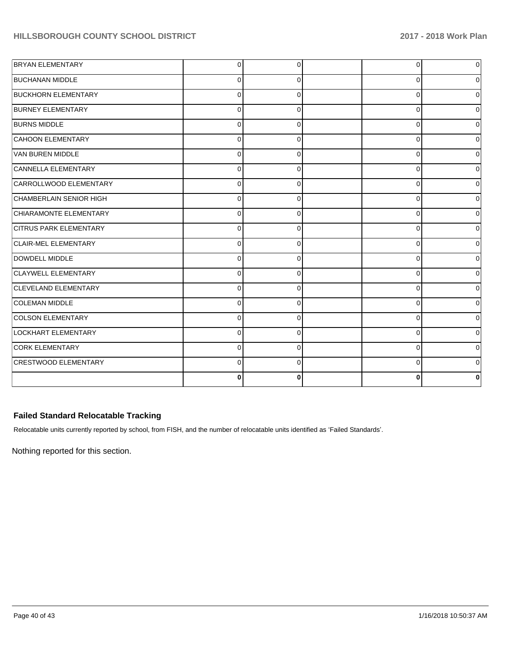| <b>BRYAN ELEMENTARY</b>       | $\Omega$       | $\Omega$ | $\Omega$ | $\Omega$     |
|-------------------------------|----------------|----------|----------|--------------|
| <b>BUCHANAN MIDDLE</b>        | $\mathbf 0$    | 0        | 0        |              |
| <b>BUCKHORN ELEMENTARY</b>    | $\mathbf 0$    | 0        | 0        | 0            |
| <b>BURNEY ELEMENTARY</b>      | $\overline{0}$ | 0        | 0        | U            |
| <b>BURNS MIDDLE</b>           | $\mathbf 0$    | $\Omega$ | 0        | ი            |
| <b>CAHOON ELEMENTARY</b>      | $\mathbf 0$    | $\Omega$ | 0        | 0            |
| VAN BUREN MIDDLE              | $\Omega$       | $\Omega$ | $\Omega$ | $\Omega$     |
| CANNELLA ELEMENTARY           | $\mathbf{0}$   | $\Omega$ | 0        | <sup>0</sup> |
| CARROLLWOOD ELEMENTARY        | $\mathbf 0$    | $\Omega$ | $\Omega$ |              |
| CHAMBERLAIN SENIOR HIGH       | $\Omega$       | $\Omega$ | $\Omega$ |              |
| CHIARAMONTE ELEMENTARY        | $\Omega$       | 0        | $\Omega$ | U            |
| <b>CITRUS PARK ELEMENTARY</b> | $\overline{0}$ | $\Omega$ | 0        | <sup>0</sup> |
| <b>CLAIR-MEL ELEMENTARY</b>   | $\Omega$       | $\Omega$ | 0        |              |
| DOWDELL MIDDLE                | $\Omega$       | $\Omega$ | $\Omega$ |              |
| CLAYWELL ELEMENTARY           | $\mathbf{0}$   | $\Omega$ | $\Omega$ | $\Omega$     |
| CLEVELAND ELEMENTARY          | $\Omega$       | 0        | 0        | 0            |
| COLEMAN MIDDLE                | $\mathbf 0$    | 0        | 0        |              |
| <b>COLSON ELEMENTARY</b>      | $\mathbf 0$    | $\Omega$ | $\Omega$ |              |
| LOCKHART ELEMENTARY           | $\mathbf 0$    | 0        | 0        | 0            |
| <b>CORK ELEMENTARY</b>        | $\Omega$       | $\Omega$ | $\Omega$ | $\Omega$     |
| <b>CRESTWOOD ELEMENTARY</b>   | $\Omega$       | $\Omega$ | $\Omega$ |              |
|                               | $\bf{0}$       | 0        | $\bf{0}$ |              |

## **Failed Standard Relocatable Tracking**

Relocatable units currently reported by school, from FISH, and the number of relocatable units identified as 'Failed Standards'.

Nothing reported for this section.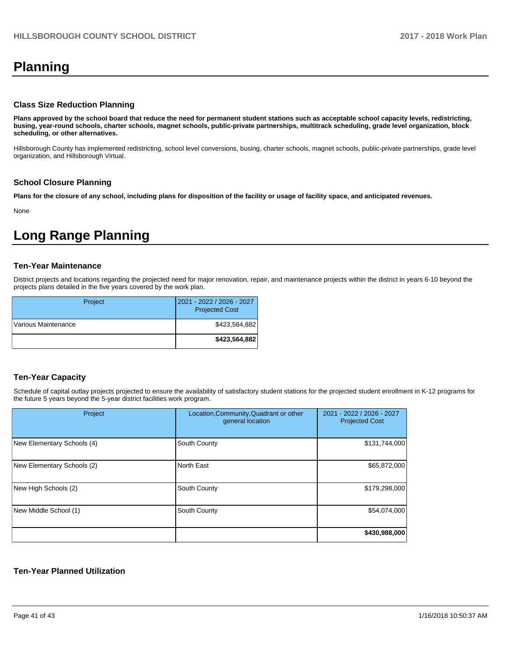# **Planning**

#### **Class Size Reduction Planning**

**Plans approved by the school board that reduce the need for permanent student stations such as acceptable school capacity levels, redistricting, busing, year-round schools, charter schools, magnet schools, public-private partnerships, multitrack scheduling, grade level organization, block scheduling, or other alternatives.**

Hillsborough County has implemented redistricting, school level conversions, busing, charter schools, magnet schools, public-private partnerships, grade level organization, and Hillsborough Virtual.

#### **School Closure Planning**

**Plans for the closure of any school, including plans for disposition of the facility or usage of facility space, and anticipated revenues.** 

None

# **Long Range Planning**

#### **Ten-Year Maintenance**

District projects and locations regarding the projected need for major renovation, repair, and maintenance projects within the district in years 6-10 beyond the projects plans detailed in the five years covered by the work plan.

| Project             | 2021 - 2022 / 2026 - 2027<br><b>Projected Cost</b> |
|---------------------|----------------------------------------------------|
| Various Maintenance | \$423,564,882                                      |
|                     | \$423,564,882                                      |

## **Ten-Year Capacity**

Schedule of capital outlay projects projected to ensure the availability of satisfactory student stations for the projected student enrollment in K-12 programs for the future 5 years beyond the 5-year district facilities work program.

| Project                    | Location, Community, Quadrant or other<br>general location | 2021 - 2022 / 2026 - 2027<br><b>Projected Cost</b> |
|----------------------------|------------------------------------------------------------|----------------------------------------------------|
| New Elementary Schools (4) | South County                                               | \$131,744,000                                      |
| New Elementary Schools (2) | North East                                                 | \$65,872,000                                       |
| New High Schools (2)       | South County                                               | \$179,298,000                                      |
| New Middle School (1)      | South County                                               | \$54,074,000                                       |
|                            |                                                            | \$430,988,000                                      |

### **Ten-Year Planned Utilization**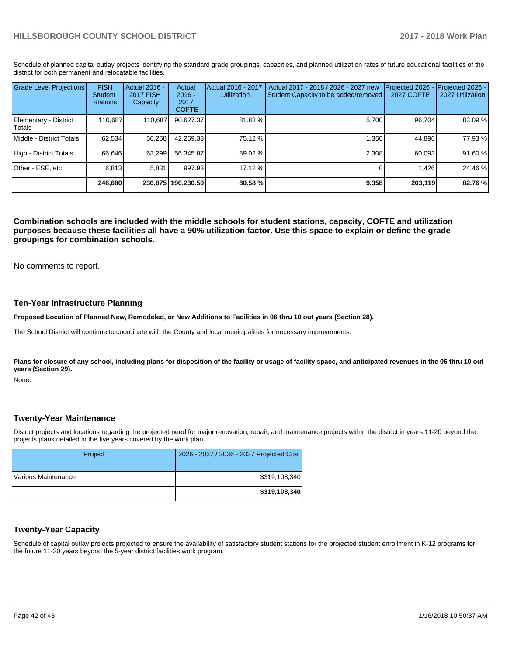Schedule of planned capital outlay projects identifying the standard grade groupings, capacities, and planned utilization rates of future educational facilities of the district for both permanent and relocatable facilities.

| <b>Grade Level Projections</b>   | <b>FISH</b><br><b>Student</b><br><b>Stations</b> | <b>Actual 2016 -</b><br><b>2017 FISH</b><br>Capacity | Actual<br>$2016 -$<br>2017<br><b>COFTE</b> | Actual 2016 - 2017<br><b>Utilization</b> | Actual 2017 - 2018 / 2026 - 2027 new<br>Student Capacity to be added/removed | Projected 2026<br>2027 COFTE | Projected 2026 -<br>2027 Utilization |
|----------------------------------|--------------------------------------------------|------------------------------------------------------|--------------------------------------------|------------------------------------------|------------------------------------------------------------------------------|------------------------------|--------------------------------------|
| Elementary - District<br> Totals | 110.687                                          | 110,687                                              | 90,627.37                                  | 81.88%                                   | 5.700                                                                        | 96,704                       | 83.09%                               |
| Middle - District Totals         | 62.534                                           | 56,258                                               | 42.259.33                                  | 75.12 %                                  | 1.350                                                                        | 44.896                       | 77.93 %                              |
| High - District Totals           | 66.646                                           | 63,299                                               | 56,345.87                                  | 89.02 %                                  | 2,308                                                                        | 60.093                       | 91.60%                               |
| Other - ESE, etc                 | 6.813                                            | 5.831                                                | 997.93                                     | 17.12 %                                  |                                                                              | 1.426                        | 24.46 %                              |
|                                  | 246.680                                          |                                                      | 236.075 190.230.50                         | 80.58 %                                  | 9,358                                                                        | 203.119                      | 82.76 %                              |

**Combination schools are included with the middle schools for student stations, capacity, COFTE and utilization purposes because these facilities all have a 90% utilization factor. Use this space to explain or define the grade groupings for combination schools.** 

No comments to report.

#### **Ten-Year Infrastructure Planning**

**Proposed Location of Planned New, Remodeled, or New Additions to Facilities in 06 thru 10 out years (Section 28).**

The School District will continue to coordinate with the County and local municipalities for necessary improvements.

Plans for closure of any school, including plans for disposition of the facility or usage of facility space, and anticipated revenues in the 06 thru 10 out **years (Section 29).**

None.

#### **Twenty-Year Maintenance**

District projects and locations regarding the projected need for major renovation, repair, and maintenance projects within the district in years 11-20 beyond the projects plans detailed in the five years covered by the work plan.

| Project             | 2026 - 2027 / 2036 - 2037 Projected Cost |
|---------------------|------------------------------------------|
| Various Maintenance | \$319,108,340                            |
|                     | \$319,108,340                            |

## **Twenty-Year Capacity**

Schedule of capital outlay projects projected to ensure the availability of satisfactory student stations for the projected student enrollment in K-12 programs for the future 11-20 years beyond the 5-year district facilities work program.